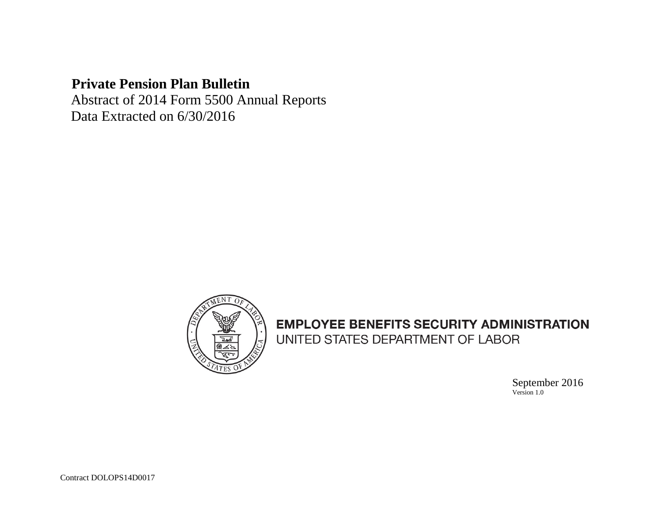# **Private Pension Plan Bulletin**

 Abstract of 2014 Form 5500 Annual Reports Data Extracted on 6/30/2016



# **EMPLOYEE BENEFITS SECURITY ADMINISTRATION** UNITED STATES DEPARTMENT OF LABOR

 September 2016 Version 1.0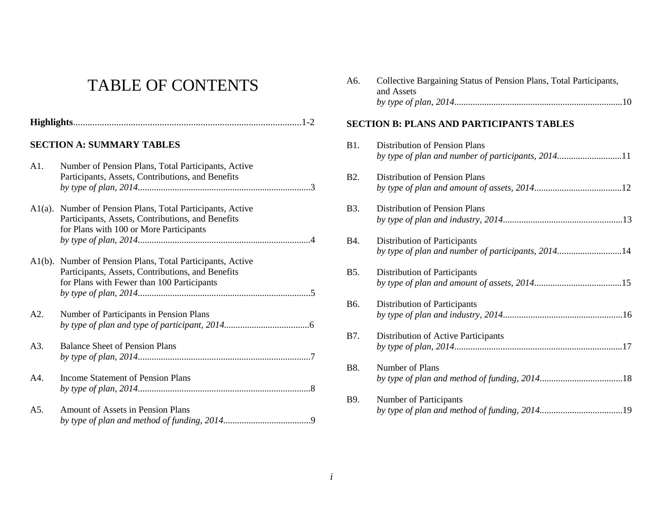# TABLE OF CONTENTS

#### **SECTION A: SUMMARY TABLES**

| A1. | Number of Pension Plans, Total Participants, Active<br>Participants, Assets, Contributions, and Benefits                                                      |
|-----|---------------------------------------------------------------------------------------------------------------------------------------------------------------|
|     | A1(a). Number of Pension Plans, Total Participants, Active<br>Participants, Assets, Contributions, and Benefits<br>for Plans with 100 or More Participants    |
|     | A1(b). Number of Pension Plans, Total Participants, Active<br>Participants, Assets, Contributions, and Benefits<br>for Plans with Fewer than 100 Participants |
| A2. | Number of Participants in Pension Plans                                                                                                                       |
| A3. | <b>Balance Sheet of Pension Plans</b>                                                                                                                         |
| A4. | <b>Income Statement of Pension Plans</b>                                                                                                                      |
| A5. | <b>Amount of Assets in Pension Plans</b>                                                                                                                      |

| A6.              | Collective Bargaining Status of Pension Plans, Total Participants,<br>and Assets    |
|------------------|-------------------------------------------------------------------------------------|
|                  | <b>SECTION B: PLANS AND PARTICIPANTS TABLES</b>                                     |
| <b>B1.</b>       | Distribution of Pension Plans<br>by type of plan and number of participants, 201411 |
| B <sub>2</sub> . | <b>Distribution of Pension Plans</b>                                                |
| <b>B</b> 3.      | <b>Distribution of Pension Plans</b>                                                |
| <b>B</b> 4.      | Distribution of Participants<br>by type of plan and number of participants, 201414  |
| <b>B5.</b>       | Distribution of Participants                                                        |
| B6.              | Distribution of Participants                                                        |
| B7.              | Distribution of Active Participants                                                 |
| <b>B8.</b>       | Number of Plans                                                                     |
| B9.              | Number of Participants                                                              |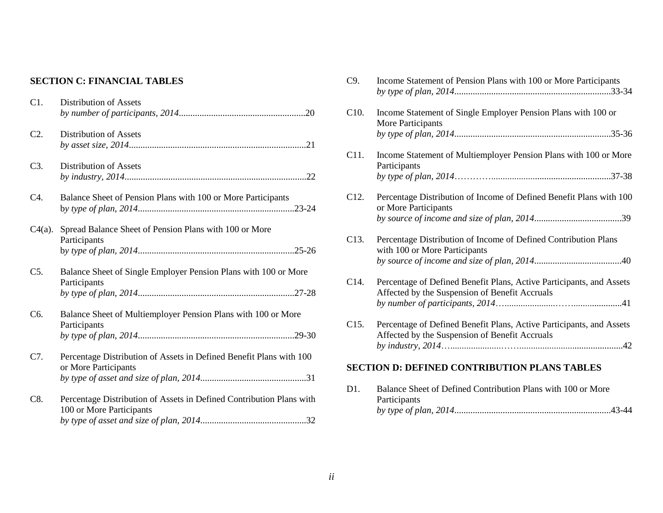#### **SECTION C: FINANCIAL TABLES**

| C1.              | <b>Distribution of Assets</b>                                                                    |
|------------------|--------------------------------------------------------------------------------------------------|
| $C2$ .           | <b>Distribution of Assets</b>                                                                    |
| C3.              | Distribution of Assets                                                                           |
| C4.              | Balance Sheet of Pension Plans with 100 or More Participants                                     |
| $C4(a)$ .        | Spread Balance Sheet of Pension Plans with 100 or More<br>Participants                           |
| $C5$ .           | Balance Sheet of Single Employer Pension Plans with 100 or More<br>Participants                  |
| C <sub>6</sub> . | Balance Sheet of Multiemployer Pension Plans with 100 or More<br>Participants                    |
| C7.              | Percentage Distribution of Assets in Defined Benefit Plans with 100<br>or More Participants      |
| C8.              | Percentage Distribution of Assets in Defined Contribution Plans with<br>100 or More Participants |

| C9.               | Income Statement of Pension Plans with 100 or More Participants                                                        |
|-------------------|------------------------------------------------------------------------------------------------------------------------|
| C <sub>10</sub> . | Income Statement of Single Employer Pension Plans with 100 or<br><b>More Participants</b>                              |
|                   |                                                                                                                        |
| C11.              | Income Statement of Multiemployer Pension Plans with 100 or More<br>Participants                                       |
|                   |                                                                                                                        |
| C <sub>12</sub> . | Percentage Distribution of Income of Defined Benefit Plans with 100<br>or More Participants                            |
|                   |                                                                                                                        |
| C13.              | Percentage Distribution of Income of Defined Contribution Plans<br>with 100 or More Participants                       |
|                   |                                                                                                                        |
| C14.              | Percentage of Defined Benefit Plans, Active Participants, and Assets<br>Affected by the Suspension of Benefit Accruals |
|                   |                                                                                                                        |
| C15.              | Percentage of Defined Benefit Plans, Active Participants, and Assets<br>Affected by the Suspension of Benefit Accruals |
|                   |                                                                                                                        |
|                   | <b>SECTION D: DEFINED CONTRIBUTION PLANS TABLES</b>                                                                    |
| D1.               | Balance Sheet of Defined Contribution Plans with 100 or More                                                           |

*by type of plan, 2014*....................................................................43-44

Participants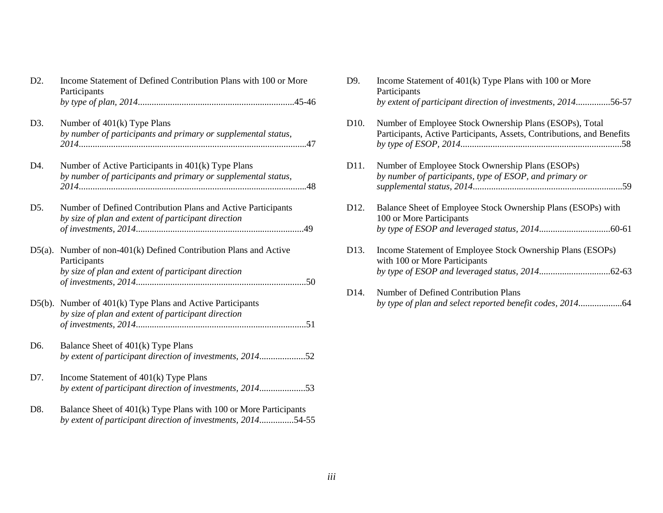| D <sub>2</sub> . | Income Statement of Defined Contribution Plans with 100 or More<br>Participants                                                  |
|------------------|----------------------------------------------------------------------------------------------------------------------------------|
|                  |                                                                                                                                  |
| D3.              | Number of $401(k)$ Type Plans<br>by number of participants and primary or supplemental status,                                   |
| D4.              | Number of Active Participants in 401(k) Type Plans                                                                               |
|                  | by number of participants and primary or supplemental status,                                                                    |
| D5.              | Number of Defined Contribution Plans and Active Participants<br>by size of plan and extent of participant direction              |
|                  | 49                                                                                                                               |
| $D5(a)$ .        | Number of non-401(k) Defined Contribution Plans and Active<br>Participants                                                       |
|                  | by size of plan and extent of participant direction                                                                              |
|                  | D5(b). Number of 401(k) Type Plans and Active Participants                                                                       |
|                  | by size of plan and extent of participant direction                                                                              |
| D6.              | Balance Sheet of 401(k) Type Plans                                                                                               |
|                  | by extent of participant direction of investments, 201452                                                                        |
| D7.              | Income Statement of 401(k) Type Plans                                                                                            |
|                  | by extent of participant direction of investments, 201453                                                                        |
| D8.              | Balance Sheet of 401(k) Type Plans with 100 or More Participants<br>by extent of participant direction of investments, 201454-55 |

| D9.               | Income Statement of $401(k)$ Type Plans with 100 or More<br>Participants                                                          |
|-------------------|-----------------------------------------------------------------------------------------------------------------------------------|
|                   | by extent of participant direction of investments, 201456-57                                                                      |
| D <sub>10</sub> . | Number of Employee Stock Ownership Plans (ESOPs), Total<br>Participants, Active Participants, Assets, Contributions, and Benefits |
| D11.              | Number of Employee Stock Ownership Plans (ESOPs)                                                                                  |
|                   | by number of participants, type of ESOP, and primary or                                                                           |
|                   |                                                                                                                                   |
| D <sub>12</sub> . | Balance Sheet of Employee Stock Ownership Plans (ESOPs) with<br>100 or More Participants                                          |
|                   |                                                                                                                                   |
| D <sub>13</sub> . | Income Statement of Employee Stock Ownership Plans (ESOPs)<br>with 100 or More Participants                                       |
|                   |                                                                                                                                   |
| D <sub>14</sub> . | Number of Defined Contribution Plans                                                                                              |
|                   |                                                                                                                                   |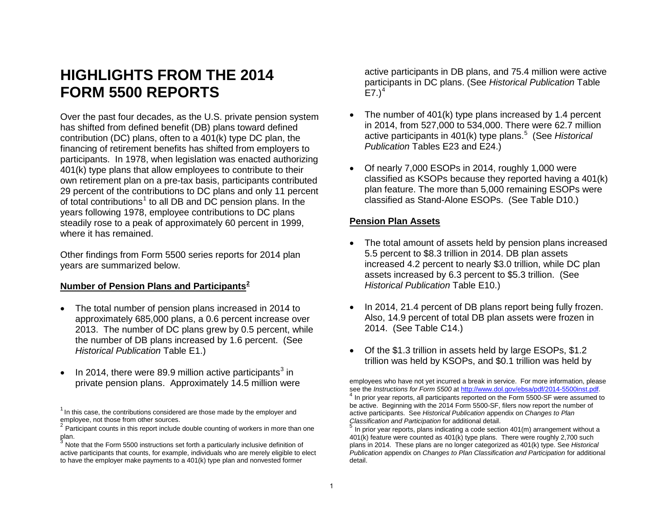# **HIGHLIGHTS FROM THE 2014 FORM 5500 REPORTS**

Over the past four decades, as the U.S. private pension system has shifted from defined benefit (DB) plans toward defined contribution (DC) plans, often to a 401(k) type DC plan, the financing of retirement benefits has shifted from employers to participants. In 1978, when legislation was enacted authorizing 401(k) type plans that allow employees to contribute to their own retirement plan on a pre-tax basis, participants contributed 29 percent of the contributions to DC plans and only 11 percent of total contributions<sup>1</sup> to all DB and DC pension plans. In the years following 1978, employee contributions to DC plans steadily rose to a peak of approximately 60 percent in 1999, where it has remained.

Other findings from Form 5500 series reports for 2014 plan years are summarized below.

#### **Number of Pension Plans and Participants<sup>2</sup>**

- The total number of pension plans increased in 2014 to approximately 685,000 plans, a 0.6 percent increase over 2013. The number of DC plans grew by 0.5 percent, while the number of DB plans increased by 1.6 percent. (See *Historical Publication* Table E1.)
- In 2014, there were 89.9 million active participants<sup>3</sup> in private pension plans. Approximately 14.5 million were

active participants in DB plans, and 75.4 million were active participants in DC plans. (See *Historical Publication* Table  $E7.$ )<sup>4</sup>

- The number of 401(k) type plans increased by 1.4 percent in 2014, from 527,000 to 534,000. There were 62.7 million active participants in 401(k) type plans. 5 (See *Historical Publication* Tables E23 and E24.)
- Of nearly 7,000 ESOPs in 2014, roughly 1,000 were classified as KSOPs because they reported having a 401(k) plan feature. The more than 5,000 remaining ESOPs were classified as Stand-Alone ESOPs. (See Table D10.)

#### **Pension Plan Assets**

- The total amount of assets held by pension plans increased 5.5 percent to \$8.3 trillion in 2014. DB plan assets increased 4.2 percent to nearly \$3.0 trillion, while DC plan assets increased by 6.3 percent to \$5.3 trillion. (See *Historical Publication* Table E10.)
- In 2014, 21.4 percent of DB plans report being fully frozen. Also, 14.9 percent of total DB plan assets were frozen in 2014. (See Table C14.)
- Of the \$1.3 trillion in assets held by large ESOPs, \$1.2 trillion was held by KSOPs, and \$0.1 trillion was held by

employees who have not yet incurred a break in service. For more information, please see the *Instructions for Form 5500* at http://www.dol.gov/ebsa/pdf/2014-5500inst.pdf. <sup>4</sup> In prior vear reports, all participants reported on the Form 5500-SF were assumed to be active. Beginning with the 2014 Form 5500-SF, filers now report the number of active participants. See *Historical Publication* appendix on *Changes to Plan* 

In prior year reports, plans indicating a code section 401(m) arrangement without a 401(k) feature were counted as 401(k) type plans. There were roughly 2,700 such plans in 2014. These plans are no longer categorized as 401(k) type. See *Historical Publication* appendix on *Changes to [Plan Classification and Participation](http://www.dol.gov/ebsa/pdf/2014-5500inst.pdf)* for additional detail.

 $1$  In this case, the contributions considered are those made by the employer and employee, not those from other sources.

 $2$  Participant counts in this report include double counting of workers in more than one

plan.<br><sup>3</sup> Note that the Form 5500 instructions set forth a particularly inclusive definition of active participants that counts, for example, individuals who are merely eligible to elect to have the employer make payments to a 401(k) type plan and nonvested former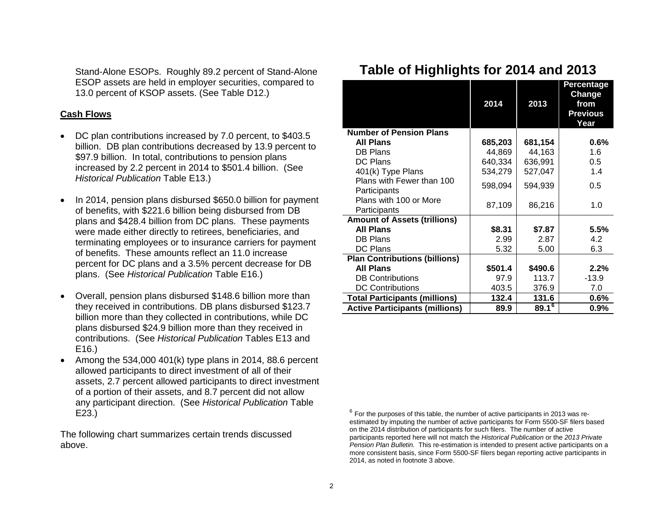Stand-Alone ESOPs. Roughly 89.2 percent of Stand-Alone ESOP assets are held in employer securities, compared to 13.0 percent of KSOP assets. (See Table D12.)

#### **Cash Flows**

- DC plan contributions increased by 7.0 percent, to \$403.5 billion. DB plan contributions decreased by 13.9 percent to \$97.9 billion. In total, contributions to pension plans increased by 2.2 percent in 2014 to \$501.4 billion. (See *Historical Publication* Table E13.)
- In 2014, pension plans disbursed \$650.0 billion for payment of benefits, with \$221.6 billion being disbursed from DB plans and \$428.4 billion from DC plans. These payments were made either directly to retirees, beneficiaries, and terminating employees or to insurance carriers for payment of benefits. These amounts reflect an 11.0 increase percent for DC plans and a 3.5% percent decrease for DB plans. (See *Historical Publication* Table E16.)
- Overall, pension plans disbursed \$148.6 billion more than they received in contributions. DB plans disbursed \$123.7 billion more than they collected in contributions, while DC plans disbursed \$24.9 billion more than they received in contributions. (See *Historical Publication* Tables E13 and E16.)
- Among the  $534,000$   $401(k)$  type plans in 2014, 88.6 percent allowed participants to direct investment of all of their assets, 2.7 percent allowed participants to direct investment of a portion of their assets, and 8.7 percent did not allow any participant direction. (See *Historical Publication* Table E23.)

The following chart summarizes certain trends discussed above.

|  |  | Table of Highlights for 2014 and 2013 |  |  |  |  |
|--|--|---------------------------------------|--|--|--|--|
|--|--|---------------------------------------|--|--|--|--|

|                                           | 2014    | 2013       | <b>Percentage</b><br>Change<br>from<br><b>Previous</b><br>Year |
|-------------------------------------------|---------|------------|----------------------------------------------------------------|
| <b>Number of Pension Plans</b>            |         |            |                                                                |
| <b>All Plans</b>                          | 685,203 | 681,154    | 0.6%                                                           |
| <b>DB Plans</b>                           | 44,869  | 44,163     | 1.6                                                            |
| DC Plans                                  | 640,334 | 636,991    | 0.5                                                            |
| 401(k) Type Plans                         | 534,279 | 527,047    | 1.4                                                            |
| Plans with Fewer than 100<br>Participants | 598,094 | 594,939    | 0.5                                                            |
| Plans with 100 or More<br>Participants    | 87,109  | 86,216     | 1.0                                                            |
| <b>Amount of Assets (trillions)</b>       |         |            |                                                                |
| <b>All Plans</b>                          | \$8.31  | \$7.87     | 5.5%                                                           |
| DB Plans                                  | 2.99    | 2.87       | 4.2                                                            |
| <b>DC Plans</b>                           | 5.32    | 5.00       | 6.3                                                            |
| <b>Plan Contributions (billions)</b>      |         |            |                                                                |
| <b>All Plans</b>                          | \$501.4 | \$490.6    | 2.2%                                                           |
| <b>DB Contributions</b>                   | 97.9    | 113.7      | $-13.9$                                                        |
| <b>DC Contributions</b>                   | 403.5   | 376.9      | 7.0                                                            |
| <b>Total Participants (millions)</b>      | 132.4   | 131.6      | $0.6\%$                                                        |
| <b>Active Participants (millions)</b>     | 89.9    | $89.1^{6}$ | 0.9%                                                           |

 $6$  For the purposes of this table, the number of active participants in 2013 was reestimated by imputing the number of active participants for Form 5500-SF filers based on the 2014 distribution of participants for such filers. The number of active participants reported here will not match the *Historical Publication* or the *2013 Private Pension Plan Bulletin.* This re-estimation is intended to present active participants on a more consistent basis, since Form 5500-SF filers began reporting active participants in 2014, as noted in footnote 3 above.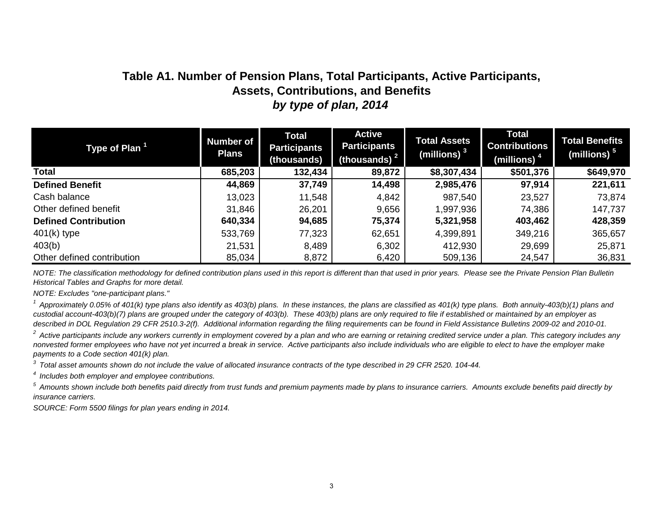# **Table A1. Number of Pension Plans, Total Participants, Active Participants, Assets, Contributions, and Benefits** *by type of plan, 2014*

| Type of Plan <sup>1</sup>   | <b>Number of</b><br><b>Plans</b> | <b>Total</b><br><b>Participants</b><br>(thousands) | <b>Active</b><br><b>Participants</b><br>(thousands) $2$ | <b>Total Assets</b><br>(millions) $3$ | <b>Total</b><br><b>Contributions</b><br>(millions) <sup>4</sup> | <b>Total Benefits</b><br>(millions) $5$ |
|-----------------------------|----------------------------------|----------------------------------------------------|---------------------------------------------------------|---------------------------------------|-----------------------------------------------------------------|-----------------------------------------|
| <b>Total</b>                | 685,203                          | 132,434                                            | 89,872                                                  | \$8,307,434                           | \$501,376                                                       | \$649,970                               |
| <b>Defined Benefit</b>      | 44,869                           | 37,749                                             | 14,498                                                  | 2,985,476                             | 97,914                                                          | 221,611                                 |
| Cash balance                | 13,023                           | 11,548                                             | 4,842                                                   | 987,540                               | 23,527                                                          | 73,874                                  |
| Other defined benefit       | 31,846                           | 26,201                                             | 9,656                                                   | 1,997,936                             | 74,386                                                          | 147,737                                 |
| <b>Defined Contribution</b> | 640,334                          | 94,685                                             | 75,374                                                  | 5,321,958                             | 403,462                                                         | 428,359                                 |
| $401(k)$ type               | 533,769                          | 77,323                                             | 62,651                                                  | 4,399,891                             | 349,216                                                         | 365,657                                 |
| 403(b)                      | 21,531                           | 8,489                                              | 6,302                                                   | 412,930                               | 29,699                                                          | 25,871                                  |
| Other defined contribution  | 85,034                           | 8,872                                              | 6,420                                                   | 509,136                               | 24,547                                                          | 36,831                                  |

*NOTE: The classification methodology for defined contribution plans used in this report is different than that used in prior years. Please see the Private Pension Plan Bulletin Historical Tables and Graphs for more detail.*

*NOTE: Excludes "one-participant plans."*

<sup>1</sup> Approximately 0.05% of 401(k) type plans also identify as 403(b) plans. In these instances, the plans are classified as 401(k) type plans. Both annuity-403(b)(1) plans and *custodial account-403(b)(7) plans are grouped under the category of 403(b). These 403(b) plans are only required to file if established or maintained by an employer as described in DOL Regulation 29 CFR 2510.3-2(f). Additional information regarding the filing requirements can be found in Field Assistance Bulletins 2009-02 and 2010-01.*

<sup>2</sup> Active participants include any workers currently in employment covered by a plan and who are earning or retaining credited service under a plan. This category includes any *nonvested former employees who have not yet incurred a break in service. Active participants also include individuals who are eligible to elect to have the employer make payments to a Code section 401(k) plan.* 

*3 Total asset amounts shown do not include the value of allocated insurance contracts of the type described in 29 CFR 2520. 104-44.*

*4 Includes both employer and employee contributions.*

*5 Amounts shown include both benefits paid directly from trust funds and premium payments made by plans to insurance carriers. Amounts exclude benefits paid directly by insurance carriers.*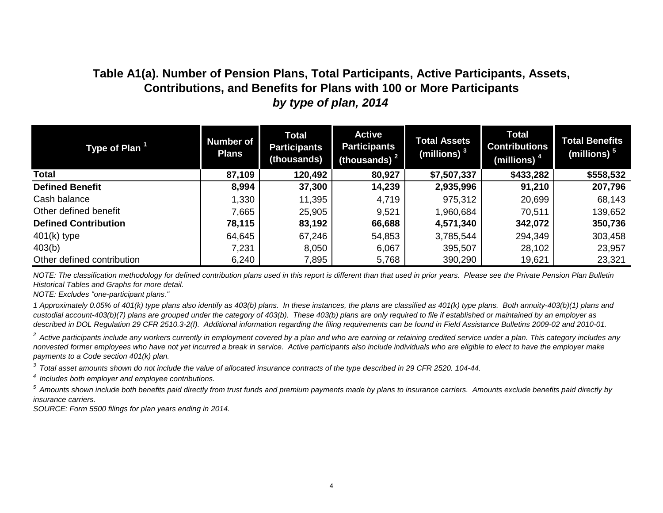# **Table A1(a). Number of Pension Plans, Total Participants, Active Participants, Assets, Contributions, and Benefits for Plans with 100 or More Participants** *by type of plan, 2014*

| Type of Plan <sup>1</sup>   | <b>Number of</b><br><b>Plans</b> | <b>Total</b><br><b>Participants</b><br>(thousands) | <b>Active</b><br><b>Participants</b><br>(thousands) $2$ | <b>Total Assets</b><br>(millions) <sup>3</sup> | <b>Total</b><br><b>Contributions</b><br>(millions) $^4$ | <b>Total Benefits</b><br>(millions) $5$ |
|-----------------------------|----------------------------------|----------------------------------------------------|---------------------------------------------------------|------------------------------------------------|---------------------------------------------------------|-----------------------------------------|
| Total                       | 87,109                           | 120,492                                            | 80,927                                                  | \$7,507,337                                    | \$433,282                                               | \$558,532                               |
| <b>Defined Benefit</b>      | 8,994                            | 37,300                                             | 14,239                                                  | 2,935,996                                      | 91,210                                                  | 207,796                                 |
| Cash balance                | 1,330                            | 11,395                                             | 4,719                                                   | 975,312                                        | 20,699                                                  | 68,143                                  |
| Other defined benefit       | 7,665                            | 25,905                                             | 9,521                                                   | 1,960,684                                      | 70,511                                                  | 139,652                                 |
| <b>Defined Contribution</b> | 78,115                           | 83,192                                             | 66,688                                                  | 4,571,340                                      | 342,072                                                 | 350,736                                 |
| $401(k)$ type               | 64,645                           | 67,246                                             | 54,853                                                  | 3,785,544                                      | 294,349                                                 | 303,458                                 |
| 403(b)                      | 7,231                            | 8,050                                              | 6,067                                                   | 395,507                                        | 28,102                                                  | 23,957                                  |
| Other defined contribution  | 6,240                            | 7,895                                              | 5,768                                                   | 390,290                                        | 19,621                                                  | 23,321                                  |

*NOTE: The classification methodology for defined contribution plans used in this report is different than that used in prior years. Please see the Private Pension Plan Bulletin Historical Tables and Graphs for more detail.*

*NOTE: Excludes "one-participant plans."*

*1 Approximately 0.05% of 401(k) type plans also identify as 403(b) plans. In these instances, the plans are classified as 401(k) type plans. Both annuity-403(b)(1) plans and custodial account-403(b)(7) plans are grouped under the category of 403(b). These 403(b) plans are only required to file if established or maintained by an employer as described in DOL Regulation 29 CFR 2510.3-2(f). Additional information regarding the filing requirements can be found in Field Assistance Bulletins 2009-02 and 2010-01.*

<sup>2</sup> Active participants include any workers currently in employment covered by a plan and who are earning or retaining credited service under a plan. This category includes any *nonvested former employees who have not yet incurred a break in service. Active participants also include individuals who are eligible to elect to have the employer make payments to a Code section 401(k) plan.* 

*3 Total asset amounts shown do not include the value of allocated insurance contracts of the type described in 29 CFR 2520. 104-44.*

*4 Includes both employer and employee contributions.*

*5 Amounts shown include both benefits paid directly from trust funds and premium payments made by plans to insurance carriers. Amounts exclude benefits paid directly by insurance carriers.*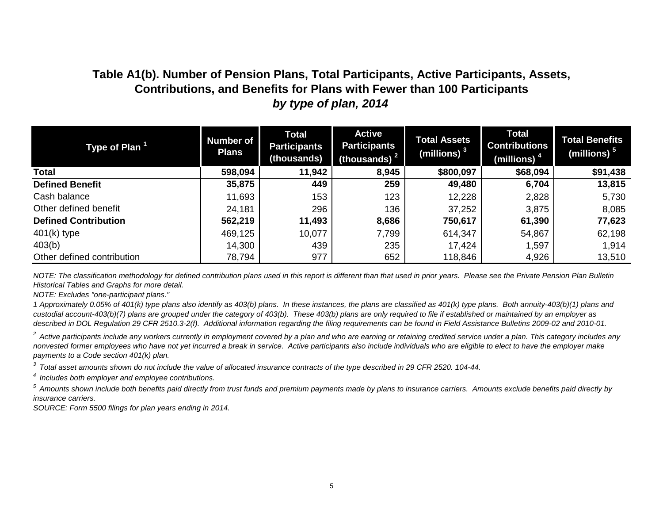# **Table A1(b). Number of Pension Plans, Total Participants, Active Participants, Assets, Contributions, and Benefits for Plans with Fewer than 100 Participants** *by type of plan, 2014*

| Type of Plan <sup>1</sup>   | <b>Number of</b><br><b>Plans</b> | <b>Total</b><br><b>Participants</b><br>(thousands) | <b>Active</b><br><b>Participants</b><br>(thousands) $2$ | <b>Total Assets</b><br>(millions) $^3$ | <b>Total</b><br><b>Contributions</b><br>(millions) <sup>4</sup> | <b>Total Benefits</b><br>(millions) $^5$ |
|-----------------------------|----------------------------------|----------------------------------------------------|---------------------------------------------------------|----------------------------------------|-----------------------------------------------------------------|------------------------------------------|
| <b>Total</b>                | 598,094                          | 11,942                                             | 8,945                                                   | \$800,097                              | \$68,094                                                        | \$91,438                                 |
| <b>Defined Benefit</b>      | 35,875                           | 449                                                | 259                                                     | 49,480                                 | 6,704                                                           | 13,815                                   |
| Cash balance                | 11,693                           | 153                                                | 123                                                     | 12,228                                 | 2,828                                                           | 5,730                                    |
| Other defined benefit       | 24,181                           | 296                                                | 136                                                     | 37,252                                 | 3,875                                                           | 8,085                                    |
| <b>Defined Contribution</b> | 562,219                          | 11,493                                             | 8,686                                                   | 750,617                                | 61,390                                                          | 77,623                                   |
| $401(k)$ type               | 469,125                          | 10,077                                             | 7,799                                                   | 614,347                                | 54,867                                                          | 62,198                                   |
| 403(b)                      | 14,300                           | 439                                                | 235                                                     | 17,424                                 | 1,597                                                           | 1,914                                    |
| Other defined contribution  | 78,794                           | 977                                                | 652                                                     | 118,846                                | 4,926                                                           | 13,510                                   |

*NOTE: The classification methodology for defined contribution plans used in this report is different than that used in prior years. Please see the Private Pension Plan Bulletin Historical Tables and Graphs for more detail.*

*NOTE: Excludes "one-participant plans."*

*1 Approximately 0.05% of 401(k) type plans also identify as 403(b) plans. In these instances, the plans are classified as 401(k) type plans. Both annuity-403(b)(1) plans and custodial account-403(b)(7) plans are grouped under the category of 403(b). These 403(b) plans are only required to file if established or maintained by an employer as described in DOL Regulation 29 CFR 2510.3-2(f). Additional information regarding the filing requirements can be found in Field Assistance Bulletins 2009-02 and 2010-01.*

<sup>2</sup> Active participants include any workers currently in employment covered by a plan and who are earning or retaining credited service under a plan. This category includes any *nonvested former employees who have not yet incurred a break in service. Active participants also include individuals who are eligible to elect to have the employer make payments to a Code section 401(k) plan.* 

*3 Total asset amounts shown do not include the value of allocated insurance contracts of the type described in 29 CFR 2520. 104-44.*

*4 Includes both employer and employee contributions.*

*5 Amounts shown include both benefits paid directly from trust funds and premium payments made by plans to insurance carriers. Amounts exclude benefits paid directly by insurance carriers.*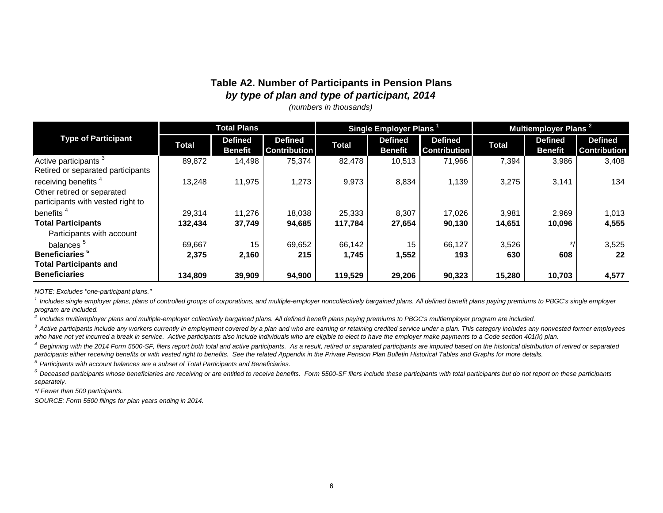#### **Table A2. Number of Participants in Pension Plans** *by type of plan and type of participant, 2014*

*(numbers in thousands)*

|                                                                                                    |              | <b>Total Plans</b>               |                                       | Multiemployer Plans <sup>2</sup><br>Single Employer Plans |                                  |                                       |              |                                  |                                       |  |
|----------------------------------------------------------------------------------------------------|--------------|----------------------------------|---------------------------------------|-----------------------------------------------------------|----------------------------------|---------------------------------------|--------------|----------------------------------|---------------------------------------|--|
| <b>Type of Participant</b>                                                                         | <b>Total</b> | <b>Defined</b><br><b>Benefit</b> | <b>Defined</b><br><b>Contribution</b> | <b>Total</b>                                              | <b>Defined</b><br><b>Benefit</b> | <b>Defined</b><br><b>Contribution</b> | <b>Total</b> | <b>Defined</b><br><b>Benefit</b> | <b>Defined</b><br><b>Contribution</b> |  |
| Active participants <sup>3</sup><br>Retired or separated participants                              | 89.872       | 14,498                           | 75,374                                | 82.478                                                    | 10,513                           | 71,966                                | 7,394        | 3,986                            | 3,408                                 |  |
| receiving benefits <sup>4</sup><br>Other retired or separated<br>participants with vested right to | 13,248       | 11,975                           | 1,273                                 | 9,973                                                     | 8,834                            | 1,139                                 | 3,275        | 3,141                            | 134                                   |  |
| benefits <sup>4</sup>                                                                              | 29,314       | 11,276                           | 18,038                                | 25,333                                                    | 8,307                            | 17,026                                | 3,981        | 2,969                            | 1,013                                 |  |
| <b>Total Participants</b>                                                                          | 132,434      | 37,749                           | 94,685                                | 117,784                                                   | 27,654                           | 90,130                                | 14,651       | 10,096                           | 4,555                                 |  |
| Participants with account                                                                          |              |                                  |                                       |                                                           |                                  |                                       |              |                                  |                                       |  |
| balances <sup>5</sup>                                                                              | 69,667       | 15                               | 69,652                                | 66,142                                                    | 15                               | 66,127                                | 3,526        | $*1$                             | 3,525                                 |  |
| Beneficiaries <sup>6</sup>                                                                         | 2,375        | 2,160                            | 215                                   | 1,745                                                     | 1,552                            | 193                                   | 630          | 608                              | 22                                    |  |
| <b>Total Participants and</b>                                                                      |              |                                  |                                       |                                                           |                                  |                                       |              |                                  |                                       |  |
| <b>Beneficiaries</b>                                                                               | 134,809      | 39,909                           | 94,900                                | 119,529                                                   | 29,206                           | 90,323                                | 15,280       | 10,703                           | 4,577                                 |  |

*NOTE: Excludes "one-participant plans."*

<sup>1</sup> Includes single employer plans, plans of controlled groups of corporations, and multiple-employer noncollectively bargained plans. All defined benefit plans paying premiums to PBGC's single employer *program are included.*

*2 Includes multiemployer plans and multiple-employer collectively bargained plans. All defined benefit plans paying premiums to PBGC's multiemployer program are included.*

<sup>3</sup> Active participants include any workers currently in employment covered by a plan and who are earning or retaining credited service under a plan. This category includes any nonvested former employees who have not yet incurred a break in service. Active participants also include individuals who are eligible to elect to have the employer make payments to a Code section 401(k) plan.

*4 Beginning with the 2014 Form 5500-SF, filers report both total and active participants. As a result, retired or separated participants are imputed based on the historical distribution of retired or separated participants either receiving benefits or with vested right to benefits. See the related Appendix in the Private Pension Plan Bulletin Historical Tables and Graphs for more details.*

*5 Participants with account balances are a subset of Total Participants and Beneficiaries.*

*6 Deceased participants whose beneficiaries are receiving or are entitled to receive benefits. Form 5500-SF filers include these participants with total participants but do not report on these participants separately.*

*\*/ Fewer than 500 participants.*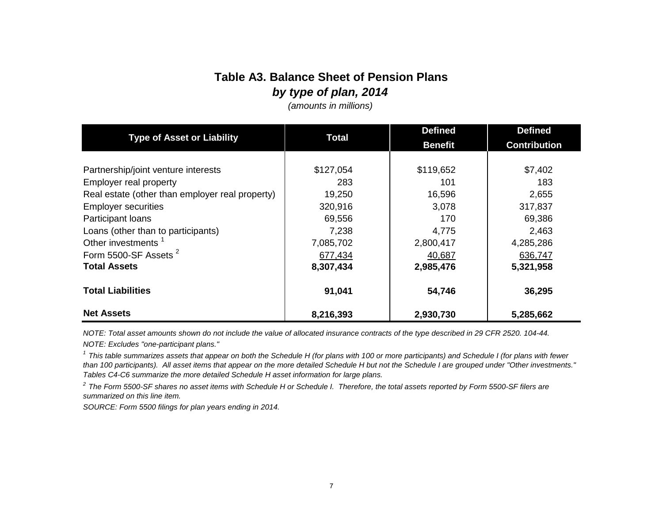# **Table A3. Balance Sheet of Pension Plans** *by type of plan, 2014*

*(amounts in millions)*

|                                                 | <b>Total</b> | <b>Defined</b> | <b>Defined</b>      |
|-------------------------------------------------|--------------|----------------|---------------------|
| <b>Type of Asset or Liability</b>               |              | <b>Benefit</b> | <b>Contribution</b> |
|                                                 |              |                |                     |
| Partnership/joint venture interests             | \$127,054    | \$119,652      | \$7,402             |
| <b>Employer real property</b>                   | 283          | 101            | 183                 |
| Real estate (other than employer real property) | 19,250       | 16,596         | 2,655               |
| <b>Employer securities</b>                      | 320,916      | 3,078          | 317,837             |
| Participant loans                               | 69,556       | 170            | 69,386              |
| Loans (other than to participants)              | 7,238        | 4,775          | 2,463               |
| Other investments <sup>1</sup>                  | 7,085,702    | 2,800,417      | 4,285,286           |
| Form 5500-SF Assets <sup>2</sup>                | 677,434      | 40,687         | 636,747             |
| <b>Total Assets</b>                             | 8,307,434    | 2,985,476      | 5,321,958           |
|                                                 |              |                |                     |
| <b>Total Liabilities</b>                        | 91,041       | 54,746         | 36,295              |
| <b>Net Assets</b>                               | 8,216,393    | 2,930,730      | 5,285,662           |

*NOTE: Excludes "one-participant plans." NOTE: Total asset amounts shown do not include the value of allocated insurance contracts of the type described in 29 CFR 2520. 104-44.*

*1 This table summarizes assets that appear on both the Schedule H (for plans with 100 or more participants) and Schedule I (for plans with fewer than 100 participants). All asset items that appear on the more detailed Schedule H but not the Schedule I are grouped under "Other investments." Tables C4-C6 summarize the more detailed Schedule H asset information for large plans.*

*2 The Form 5500-SF shares no asset items with Schedule H or Schedule I. Therefore, the total assets reported by Form 5500-SF filers are summarized on this line item.*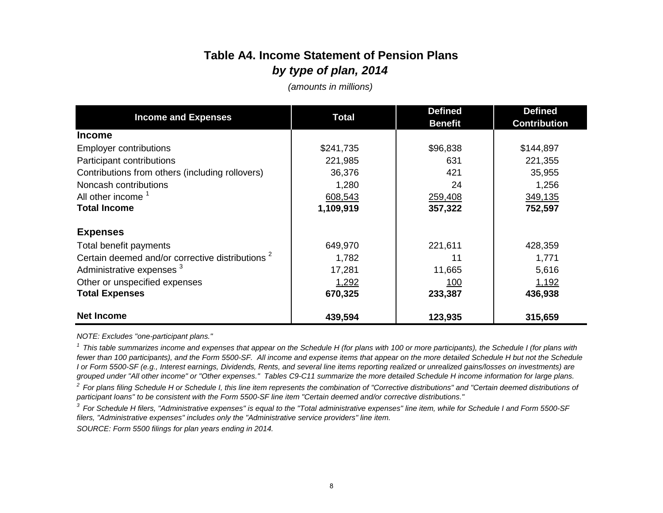# **Table A4. Income Statement of Pension Plans** *by type of plan, 2014*

*(amounts in millions)*

| <b>Income and Expenses</b>                                  | <b>Total</b> | <b>Defined</b><br><b>Benefit</b> | <b>Defined</b><br><b>Contribution</b> |  |
|-------------------------------------------------------------|--------------|----------------------------------|---------------------------------------|--|
| <b>Income</b>                                               |              |                                  |                                       |  |
| <b>Employer contributions</b>                               | \$241,735    | \$96,838                         | \$144,897                             |  |
| Participant contributions                                   | 221,985      | 631                              | 221,355                               |  |
| Contributions from others (including rollovers)             | 36,376       | 421                              | 35,955                                |  |
| Noncash contributions                                       | 1,280        | 24                               | 1,256                                 |  |
| All other income <sup>1</sup>                               | 608,543      | 259,408                          | 349,135                               |  |
| <b>Total Income</b>                                         | 1,109,919    | 357,322                          | 752,597                               |  |
| <b>Expenses</b>                                             |              |                                  |                                       |  |
| Total benefit payments                                      | 649,970      | 221,611                          | 428,359                               |  |
| Certain deemed and/or corrective distributions <sup>2</sup> | 1,782        | 11                               | 1,771                                 |  |
| Administrative expenses <sup>3</sup>                        | 17,281       | 11,665                           | 5,616                                 |  |
| Other or unspecified expenses                               | 1,292        | <u> 100</u>                      | 1,192                                 |  |
| <b>Total Expenses</b>                                       | 670,325      | 233,387                          | 436,938                               |  |
| <b>Net Income</b>                                           | 439,594      | 123,935                          | 315,659                               |  |

*NOTE: Excludes "one-participant plans."*

<sup>1</sup> This table summarizes income and expenses that appear on the Schedule H (for plans with 100 or more participants), the Schedule I (for plans with fewer than 100 participants), and the Form 5500-SF. All income and expense items that appear on the more detailed Schedule H but not the Schedule *I or Form 5500-SF (e.g., Interest earnings, Dividends, Rents, and several line items reporting realized or unrealized gains/losses on investments) are grouped under "All other income" or "Other expenses." Tables C9-C11 summarize the more detailed Schedule H income information for large plans.*

<sup>2</sup> For plans filing Schedule H or Schedule I, this line item represents the combination of "Corrective distributions" and "Certain deemed distributions of *participant loans" to be consistent with the Form 5500-SF line item "Certain deemed and/or corrective distributions."*

*3 For Schedule H filers, "Administrative expenses" is equal to the "Total administrative expenses" line item, while for Schedule I and Form 5500-SF filers, "Administrative expenses" includes only the "Administrative service providers" line item.*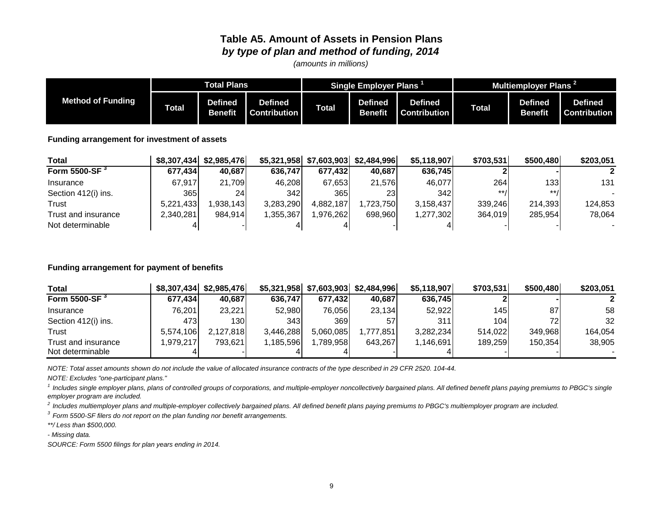### **Table A5. Amount of Assets in Pension Plans** *by type of plan and method of funding, 2014*

*(amounts in millions)*

|                          | <b>Total Plans</b> |                           |                                       |              | Single Employer Plans     |                                | <b>Multiemployer Plans</b> |                                  |                                |  |
|--------------------------|--------------------|---------------------------|---------------------------------------|--------------|---------------------------|--------------------------------|----------------------------|----------------------------------|--------------------------------|--|
| <b>Method of Funding</b> | <b>Total</b>       | Defined<br><b>Benefit</b> | <b>Defined</b><br><b>Contribution</b> | <b>Total</b> | <b>Defined</b><br>Benefit | <b>Defined</b><br>:cntribution | Total                      | <b>Defined</b><br><b>Benefit</b> | <b>Defined</b><br>∶ontribution |  |

**Funding arrangement for investment of assets**

| <b>Total</b>              |           | \$8,307,434 \$2,985,476 |           | \$5,321,958 \$7,603,903 \$2,484,996 |            | \$5,118,907 | \$703,531 | \$500,480 | \$203,051 |
|---------------------------|-----------|-------------------------|-----------|-------------------------------------|------------|-------------|-----------|-----------|-----------|
| Form 5500-SF <sup>3</sup> | 677.434   | 40.687                  | 636.747   | 677.432                             | 40,687     | 636.745     |           |           |           |
| Insurance                 | 67.917    | 21,709                  | 46,208    | 67.653                              | 21.576     | 46,077      | 264       | 1331      | 131       |
| Section 412(i) ins.       | 365       | 24 <sub>1</sub>         | 342       | 365                                 | <b>23I</b> | 342         | $***/$    | $***$     |           |
| Trust                     | 5,221,433 | .938.143                | 3,283,290 | 4.882.187                           | .723.750   | 3.158.437   | 339,246   | 214.393   | 124,853   |
| Trust and insurance       | 2,340,281 | 984.914                 | 1,355,367 | ,976,262                            | 698.960    | 1,277,302   | 364.019   | 285.954   | 78,064    |
| Not determinable          |           |                         |           |                                     |            |             |           |           |           |

#### **Funding arrangement for payment of benefits**

| <b>Total</b>              |           | \$8,307,434 \$2,985,476 |           | $$5,321,958$ $$7,603,903$ | \$2,484,996 | \$5,118,907 | \$703,531 | \$500,480       | \$203,051 |
|---------------------------|-----------|-------------------------|-----------|---------------------------|-------------|-------------|-----------|-----------------|-----------|
| Form 5500-SF <sup>3</sup> | 677.434   | 40.687                  | 636.747   | 677,432                   | 40.687      | 636.745     |           |                 |           |
| Insurance                 | 76.201l   | 23,221                  | 52,980    | 76,056                    | 23.134      | 52,922      | 145I      | 87              | 58        |
| Section 412(i) ins.       | 473I      | 1301                    | 343I      | 369 I                     | 57          | 311         | 104I      | 72 <sub>1</sub> | 32        |
| Trust                     | 5.574.106 | 2.127.818               | 3,446,288 | 5,060,085                 | 1.777.851   | 3,282,234   | 514.022   | 349.968         | 164,054   |
| Trust and insurance       | .979.217  | 793.621                 | 1,185,596 | 1,789,958                 | 643.267     | 1.146.691   | 189,259   | 150.354         | 38,905    |
| Not determinable          |           |                         |           |                           |             |             |           |                 |           |

*NOTE: Total asset amounts shown do not include the value of allocated insurance contracts of the type described in 29 CFR 2520. 104-44.*

*NOTE: Excludes "one-participant plans."*

<sup>1</sup> Includes single employer plans, plans of controlled groups of corporations, and multiple-employer noncollectively bargained plans. All defined benefit plans paying premiums to PBGC's single *employer program are included.*

*2 Includes multiemployer plans and multiple-employer collectively bargained plans. All defined benefit plans paying premiums to PBGC's multiemployer program are included.*

*3 Form 5500-SF filers do not report on the plan funding nor benefit arrangements.* 

*\*\*/ Less than \$500,000.*

*- Missing data.*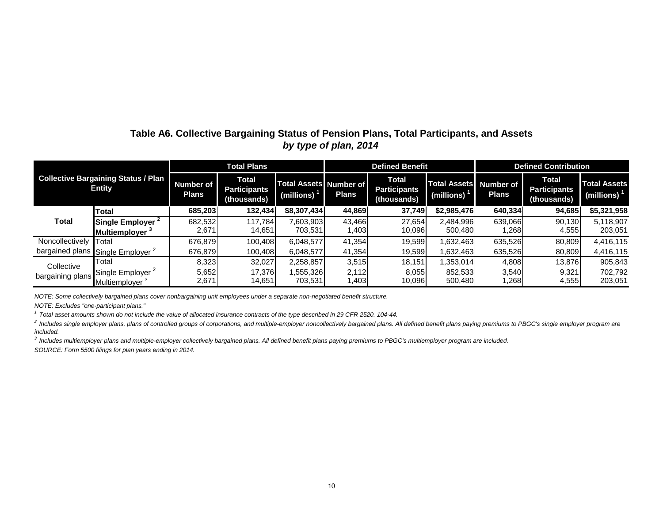### **Table A6. Collective Bargaining Status of Pension Plans, Total Participants, and Assets** *by type of plan, 2014*

|                                                             |                   |                                  | <b>Total Plans</b>                                 |                                             |              | <b>Defined Benefit</b>                             |                                                          | <b>Defined Contribution</b> |                                                    |                                       |  |
|-------------------------------------------------------------|-------------------|----------------------------------|----------------------------------------------------|---------------------------------------------|--------------|----------------------------------------------------|----------------------------------------------------------|-----------------------------|----------------------------------------------------|---------------------------------------|--|
| <b>Collective Bargaining Status / Plan</b><br><b>Entity</b> |                   | <b>Number of</b><br><b>Plans</b> | <b>Total</b><br><b>Participants</b><br>(thousands) | <b>Total Assets Number of</b><br>(millions) | <b>Plans</b> | <b>Total</b><br><b>Participants</b><br>(thousands) | <b>Total Assets Number of</b><br>(millions) <sup>1</sup> | <b>Plans</b>                | <b>Total</b><br><b>Participants</b><br>(thousands) | <b>Total Assets</b><br>(millions) $1$ |  |
|                                                             | <b>Total</b>      | 685,203                          | 132,434                                            | \$8,307,434                                 | 44,869       | 37.749                                             | \$2,985,476                                              | 640,334                     | 94.685                                             | \$5,321,958                           |  |
| Total                                                       | Single Employer   | 682,532                          | 117,784                                            | 7,603,903                                   | 43.466       | 27,654                                             | 2,484,996                                                | 639.066                     | 90.130                                             | 5,118,907                             |  |
|                                                             | Multiemployer     | 2,671                            | 14,651                                             | 703,531                                     | 1,403        | 10,096                                             | 500,480                                                  | .268                        | 4,555                                              | 203,051                               |  |
| Noncollectively                                             | Total             | 676.879                          | 100.408                                            | 6,048,577                                   | 41.354       | 19.599                                             | 1,632,463                                                | 635.526                     | 80.809                                             | 4,416,115                             |  |
| bargained plans                                             | Single Employer 2 | 676,879                          | 100,408                                            | 6,048,577                                   | 41,354       | 19,599                                             | 1,632,463                                                | 635,526                     | 80,809                                             | 4,416,115                             |  |
| Collective                                                  | Total             | 8,323                            | 32,027                                             | 2,258,857                                   | 3,515        | 18,151                                             | 353,014                                                  | 4,808                       | 13,876                                             | 905,843                               |  |
|                                                             | Single Employer 2 | 5,652                            | 17.376                                             | 555,326                                     | 2.112        | 8,055                                              | 852,533                                                  | 3,540                       | 9,321                                              | 702,792                               |  |
| bargaining plans                                            | Multiemplover     | 2,671                            | 14,651                                             | 703,531                                     | 1,403        | 10,096                                             | 500,480                                                  | .268                        | 4,555                                              | 203,051                               |  |

*NOTE: Some collectively bargained plans cover nonbargaining unit employees under a separate non-negotiated benefit structure.*

*NOTE: Excludes "one-participant plans."*

*1 Total asset amounts shown do not include the value of allocated insurance contracts of the type described in 29 CFR 2520. 104-44.*

<sup>2</sup> Includes single employer plans, plans of controlled groups of corporations, and multiple-employer noncollectively bargained plans. All defined benefit plans paying premiums to PBGC's single employer program are *included.*

*3 Includes multiemployer plans and multiple-employer collectively bargained plans. All defined benefit plans paying premiums to PBGC's multiemployer program are included.*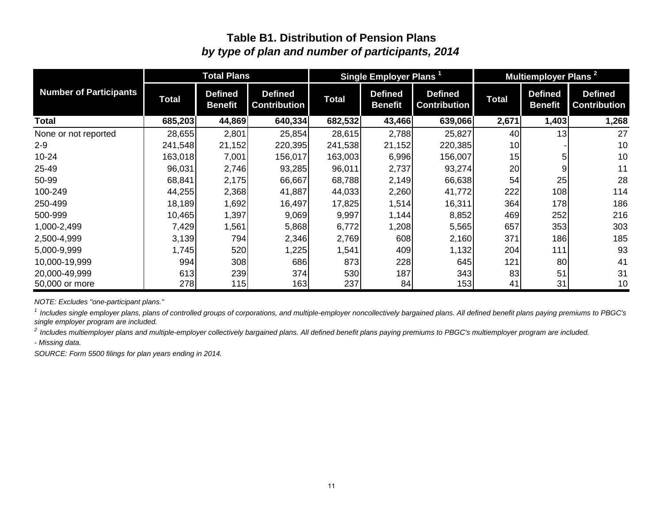## *by type of plan and number of participants, 2014* **Table B1. Distribution of Pension Plans**

|                               |              | <b>Total Plans</b>               |                                       |              | Single Employer Plans <sup>1</sup> |                                       |              | Multiemployer Plans <sup>2</sup> |                                       |
|-------------------------------|--------------|----------------------------------|---------------------------------------|--------------|------------------------------------|---------------------------------------|--------------|----------------------------------|---------------------------------------|
| <b>Number of Participants</b> | <b>Total</b> | <b>Defined</b><br><b>Benefit</b> | <b>Defined</b><br><b>Contribution</b> | <b>Total</b> | <b>Defined</b><br><b>Benefit</b>   | <b>Defined</b><br><b>Contribution</b> | <b>Total</b> | <b>Defined</b><br><b>Benefit</b> | <b>Defined</b><br><b>Contribution</b> |
| <b>Total</b>                  | 685,203      | 44,869                           | 640,334                               | 682,532      | 43,466                             | 639,066                               | 2,671        | 1,403                            | 1,268                                 |
| None or not reported          | 28,655       | 2,801                            | 25,854                                | 28,615       | 2,788                              | 25,827                                | 40           | 13                               | 27                                    |
| $2 - 9$                       | 241,548      | 21,152                           | 220,395                               | 241,538      | 21,152                             | 220,385                               | 10           |                                  | 10                                    |
| $10 - 24$                     | 163,018      | 7,001                            | 156,017                               | 163,003      | 6,996                              | 156,007                               | 15           |                                  | 10                                    |
| 25-49                         | 96,031       | 2,746                            | 93,285                                | 96,011       | 2,737                              | 93,274                                | 20           |                                  | 11                                    |
| 50-99                         | 68,841       | 2,175                            | 66,667                                | 68,788       | 2,149                              | 66,638                                | 54           | 25                               | 28                                    |
| 100-249                       | 44,255       | 2,368                            | 41,887                                | 44,033       | 2,260                              | 41,772                                | 222          | 108                              | 114                                   |
| 250-499                       | 18,189       | 1,692                            | 16,497                                | 17,825       | 1,514                              | 16,311                                | 364          | 178                              | 186                                   |
| 500-999                       | 10,465       | 1,397                            | 9,069                                 | 9,997        | 1,144                              | 8,852                                 | 469          | 252                              | 216                                   |
| 1,000-2,499                   | 7,429        | 1,561                            | 5,868                                 | 6,772        | 1,208                              | 5,565                                 | 657          | 353                              | 303                                   |
| 2,500-4,999                   | 3,139        | 794                              | 2,346                                 | 2,769        | 608                                | 2,160                                 | 371          | 186                              | 185                                   |
| 5,000-9,999                   | 1,745        | 520                              | 1,225                                 | 1,541        | 409                                | 1,132                                 | 204          | 111                              | 93                                    |
| 10,000-19,999                 | 994          | 308                              | 686                                   | 873          | 228                                | 645                                   | 121          | 80                               | 41                                    |
| 20,000-49,999                 | 613          | 239                              | 374                                   | 530          | 187                                | 343                                   | 83           | 51                               | 31                                    |
| 50,000 or more                | 278          | 115                              | 163                                   | 237          | 84                                 | 153                                   | 41           | 31                               | 10                                    |

*NOTE: Excludes "one-participant plans."*

<sup>1</sup> Includes single employer plans, plans of controlled groups of corporations, and multiple-employer noncollectively bargained plans. All defined benefit plans paying premiums to PBGC's *single employer program are included.*

*2 Includes multiemployer plans and multiple-employer collectively bargained plans. All defined benefit plans paying premiums to PBGC's multiemployer program are included.*

*- Missing data.*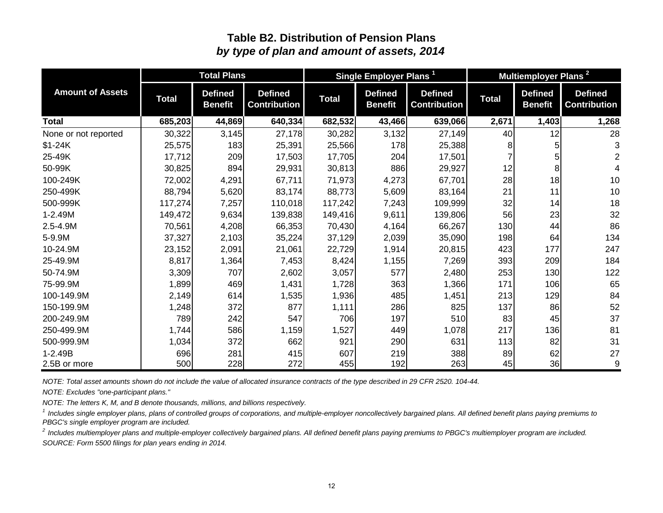### **Table B2. Distribution of Pension Plans** *by type of plan and amount of assets, 2014*

|                         |              | <b>Total Plans</b>               |                                       |              | Single Employer Plans <sup>1</sup> |                                       |              |                                  | Multiemployer Plans <sup>2</sup><br><b>Defined</b><br><b>Contribution</b><br>1,403<br>12<br>3<br>5<br>2<br>5<br>8 <sup>1</sup> |  |  |  |
|-------------------------|--------------|----------------------------------|---------------------------------------|--------------|------------------------------------|---------------------------------------|--------------|----------------------------------|--------------------------------------------------------------------------------------------------------------------------------|--|--|--|
| <b>Amount of Assets</b> | <b>Total</b> | <b>Defined</b><br><b>Benefit</b> | <b>Defined</b><br><b>Contribution</b> | <b>Total</b> | <b>Defined</b><br><b>Benefit</b>   | <b>Defined</b><br><b>Contribution</b> | <b>Total</b> | <b>Defined</b><br><b>Benefit</b> |                                                                                                                                |  |  |  |
| Total                   | 685,203      | 44,869                           | 640,334                               | 682,532      | 43,466                             | 639,066                               | 2,671        |                                  | 1,268                                                                                                                          |  |  |  |
| None or not reported    | 30,322       | 3,145                            | 27,178                                | 30,282       | 3,132                              | 27,149                                | 40           |                                  | 28                                                                                                                             |  |  |  |
| $$1-24K$                | 25,575       | 183                              | 25,391                                | 25,566       | 178                                | 25,388                                |              |                                  |                                                                                                                                |  |  |  |
| 25-49K                  | 17,712       | 209                              | 17,503                                | 17,705       | 204                                | 17,501                                |              |                                  |                                                                                                                                |  |  |  |
| 50-99K                  | 30,825       | 894                              | 29,931                                | 30,813       | 886                                | 29,927                                | 12           |                                  |                                                                                                                                |  |  |  |
| 100-249K                | 72,002       | 4,291                            | 67,711                                | 71,973       | 4,273                              | 67,701                                | 28           | 18                               | 10                                                                                                                             |  |  |  |
| 250-499K                | 88,794       | 5,620                            | 83,174                                | 88,773       | 5,609                              | 83,164                                | 21           | 11                               | 10                                                                                                                             |  |  |  |
| 500-999K                | 117,274      | 7,257                            | 110,018                               | 117,242      | 7,243                              | 109,999                               | 32           | 14                               | 18                                                                                                                             |  |  |  |
| 1-2.49M                 | 149,472      | 9,634                            | 139,838                               | 149,416      | 9,611                              | 139,806                               | 56           | 23                               | 32                                                                                                                             |  |  |  |
| 2.5-4.9M                | 70,561       | 4,208                            | 66,353                                | 70,430       | 4,164                              | 66,267                                | 130          | 44                               | 86                                                                                                                             |  |  |  |
| 5-9.9M                  | 37,327       | 2,103                            | 35,224                                | 37,129       | 2,039                              | 35,090                                | 198          | 64                               | 134                                                                                                                            |  |  |  |
| 10-24.9M                | 23,152       | 2,091                            | 21,061                                | 22,729       | 1,914                              | 20,815                                | 423          | 177                              | 247                                                                                                                            |  |  |  |
| 25-49.9M                | 8,817        | 1,364                            | 7,453                                 | 8,424        | 1,155                              | 7,269                                 | 393          | 209                              | 184                                                                                                                            |  |  |  |
| 50-74.9M                | 3,309        | 707                              | 2,602                                 | 3,057        | 577                                | 2,480                                 | 253          | 130                              | 122                                                                                                                            |  |  |  |
| 75-99.9M                | 1,899        | 469                              | 1,431                                 | 1,728        | 363                                | 1,366                                 | 171          | 106                              | 65                                                                                                                             |  |  |  |
| 100-149.9M              | 2,149        | 614                              | 1,535                                 | 1,936        | 485                                | 1,451                                 | 213          | 129                              | 84                                                                                                                             |  |  |  |
| 150-199.9M              | 1,248        | 372                              | 877                                   | 1,111        | 286                                | 825                                   | 137          | 86                               | 52                                                                                                                             |  |  |  |
| 200-249.9M              | 789          | 242                              | 547                                   | 706          | 197                                | 510                                   | 83           | 45                               | 37                                                                                                                             |  |  |  |
| 250-499.9M              | 1,744        | 586                              | 1,159                                 | 1,527        | 449                                | 1,078                                 | 217          | 136                              | 81                                                                                                                             |  |  |  |
| 500-999.9M              | 1,034        | 372                              | 662                                   | 921          | 290                                | 631                                   | 113          | 82                               | 31                                                                                                                             |  |  |  |
| $1 - 2.49B$             | 696          | 281                              | 415                                   | 607          | 219                                | 388                                   | 89           | 62                               | 27                                                                                                                             |  |  |  |
| 2.5B or more            | 500          | 228                              | 272                                   | 455          | 192                                | 263                                   | 45           | 36                               | $\boldsymbol{9}$                                                                                                               |  |  |  |

*NOTE: Total asset amounts shown do not include the value of allocated insurance contracts of the type described in 29 CFR 2520. 104-44.*

*NOTE: Excludes "one-participant plans."*

*NOTE: The letters K, M, and B denote thousands, millions, and billions respectively.*

<sup>1</sup> Includes single employer plans, plans of controlled groups of corporations, and multiple-employer noncollectively bargained plans. All defined benefit plans paying premiums to *PBGC's single employer program are included.*

*SOURCE: Form 5500 filings for plan years ending in 2014. 2 Includes multiemployer plans and multiple-employer collectively bargained plans. All defined benefit plans paying premiums to PBGC's multiemployer program are included.*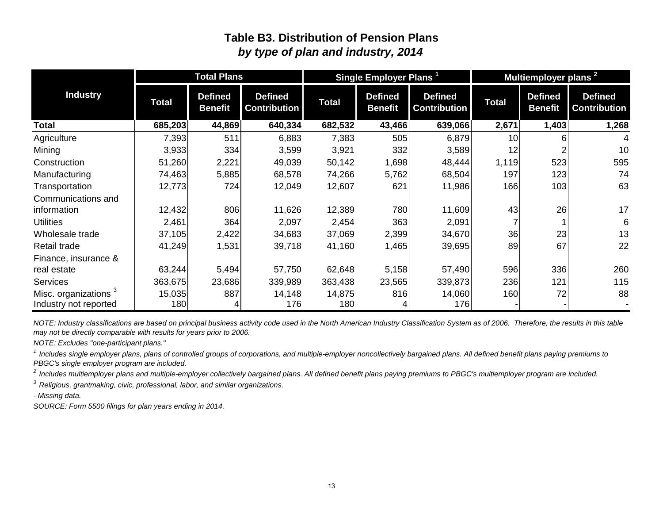### **Table B3. Distribution of Pension Plans** *by type of plan and industry, 2014*

|                                  |         | <b>Total Plans</b>               |                                       |              | Single Employer Plans <sup>1</sup> |                                       |                 |                                  | Multiemployer plans <sup>2</sup><br><b>Defined</b><br>1,403<br>6<br>523<br>123<br>103<br>26 |  |  |
|----------------------------------|---------|----------------------------------|---------------------------------------|--------------|------------------------------------|---------------------------------------|-----------------|----------------------------------|---------------------------------------------------------------------------------------------|--|--|
| <b>Industry</b>                  | Total   | <b>Defined</b><br><b>Benefit</b> | <b>Defined</b><br><b>Contribution</b> | <b>Total</b> | <b>Defined</b><br><b>Benefit</b>   | <b>Defined</b><br><b>Contribution</b> | Total           | <b>Defined</b><br><b>Benefit</b> | <b>Contribution</b>                                                                         |  |  |
| Total                            | 685,203 | 44,869                           | 640,334                               | 682,532      | 43,466                             | 639,066                               | 2,671           |                                  | 1,268                                                                                       |  |  |
| Agriculture                      | 7,393   | 511                              | 6,883                                 | 7,383        | 505                                | 6,879                                 | 10 <sup>1</sup> |                                  |                                                                                             |  |  |
| Mining                           | 3,933   | 334                              | 3,599                                 | 3,921        | 332                                | 3,589                                 | 12              |                                  | 10                                                                                          |  |  |
| Construction                     | 51,260  | 2,221                            | 49,039                                | 50,142       | 1,698                              | 48,444                                | 1,119           |                                  | 595                                                                                         |  |  |
| Manufacturing                    | 74,463  | 5,885                            | 68,578                                | 74,266       | 5,762                              | 68,504                                | 197             |                                  | 74                                                                                          |  |  |
| Transportation                   | 12,773  | 724                              | 12,049                                | 12,607       | 621                                | 11,986                                | 166             |                                  | 63                                                                                          |  |  |
| Communications and               |         |                                  |                                       |              |                                    |                                       |                 |                                  |                                                                                             |  |  |
| information                      | 12,432  | 806                              | 11,626                                | 12,389       | 780                                | 11,609                                | 43              |                                  | 17                                                                                          |  |  |
| <b>Utilities</b>                 | 2,461   | 364                              | 2,097                                 | 2,454        | 363                                | 2,091                                 |                 |                                  | 6                                                                                           |  |  |
| Wholesale trade                  | 37,105  | 2,422                            | 34,683                                | 37,069       | 2,399                              | 34,670                                | 36              | 23                               | 13                                                                                          |  |  |
| Retail trade                     | 41,249  | 1,531                            | 39,718                                | 41,160       | 1,465                              | 39,695                                | 89              | 67                               | 22                                                                                          |  |  |
| Finance, insurance &             |         |                                  |                                       |              |                                    |                                       |                 |                                  |                                                                                             |  |  |
| real estate                      | 63,244  | 5,494                            | 57,750                                | 62,648       | 5,158                              | 57,490                                | 596             | 336                              | 260                                                                                         |  |  |
| <b>Services</b>                  | 363,675 | 23,686                           | 339,989                               | 363,438      | 23,565                             | 339,873                               | 236             | 121                              | 115                                                                                         |  |  |
| Misc. organizations <sup>3</sup> | 15,035  | 887                              | 14,148                                | 14,875       | 816                                | 14,060                                | 160             | 72                               | 88                                                                                          |  |  |
| Industry not reported            | 180     |                                  | 176                                   | 180          |                                    | 176                                   |                 |                                  |                                                                                             |  |  |

*NOTE: Industry classifications are based on principal business activity code used in the North American Industry Classification System as of 2006. Therefore, the results in this table may not be directly comparable with results for years prior to 2006.*

*NOTE: Excludes "one-participant plans."*

<sup>1</sup> Includes single employer plans, plans of controlled groups of corporations, and multiple-employer noncollectively bargained plans. All defined benefit plans paying premiums to *PBGC's single employer program are included.*

*2 Includes multiemployer plans and multiple-employer collectively bargained plans. All defined benefit plans paying premiums to PBGC's multiemployer program are included.*

*3 Religious, grantmaking, civic, professional, labor, and similar organizations.*

*- Missing data.*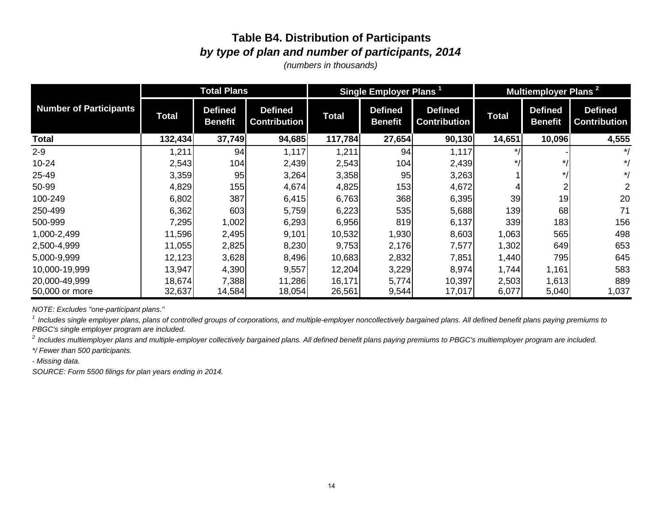## **Table B4. Distribution of Participants** *by type of plan and number of participants, 2014*

*(numbers in thousands)*

|                               |              | <b>Total Plans</b>               |                                       |              | Single Employer Plans <sup>1</sup> |                                       |              | Multiemployer Plans <sup>2</sup><br><b>Defined</b><br><b>Defined</b><br><b>Benefit</b><br>10,096<br>$\star$ /<br>$*1$ |                     |  |  |
|-------------------------------|--------------|----------------------------------|---------------------------------------|--------------|------------------------------------|---------------------------------------|--------------|-----------------------------------------------------------------------------------------------------------------------|---------------------|--|--|
| <b>Number of Participants</b> | <b>Total</b> | <b>Defined</b><br><b>Benefit</b> | <b>Defined</b><br><b>Contribution</b> | <b>Total</b> | <b>Defined</b><br><b>Benefit</b>   | <b>Defined</b><br><b>Contribution</b> | <b>Total</b> |                                                                                                                       | <b>Contribution</b> |  |  |
| Total                         | 132,434      | 37,749                           | 94,685                                | 117,784      | 27,654                             | 90,130                                | 14,651       |                                                                                                                       | 4,555               |  |  |
| $2 - 9$                       | 1,211        | 94                               | 1,117                                 | 1,211        | 94                                 | 1,117                                 |              |                                                                                                                       | $^*/$               |  |  |
| $10 - 24$                     | 2,543        | 104                              | 2,439                                 | 2,543        | 104                                | 2,439                                 |              |                                                                                                                       | $^*/$               |  |  |
| 25-49                         | 3,359        | 95                               | 3,264                                 | 3,358        | 95                                 | 3,263                                 |              |                                                                                                                       | $^*/$               |  |  |
| 50-99                         | 4,829        | 155                              | 4,674                                 | 4,825        | 153                                | 4,672                                 |              |                                                                                                                       | $\overline{2}$      |  |  |
| 100-249                       | 6,802        | 387                              | 6,415                                 | 6,763        | 368                                | 6,395                                 | 39           | 19                                                                                                                    | 20                  |  |  |
| 250-499                       | 6,362        | 603                              | 5,759                                 | 6,223        | 535                                | 5,688                                 | 139          | 68                                                                                                                    | 71                  |  |  |
| 500-999                       | 7,295        | 1,002                            | 6,293                                 | 6,956        | 819                                | 6,137                                 | 339          | 183                                                                                                                   | 156                 |  |  |
| 1,000-2,499                   | 11,596       | 2,495                            | 9,101                                 | 10,532       | 1,930                              | 8,603                                 | 1,063        | 565                                                                                                                   | 498                 |  |  |
| 2,500-4,999                   | 11,055       | 2,825                            | 8,230                                 | 9,753        | 2,176                              | 7,577                                 | 1,302        | 649                                                                                                                   | 653                 |  |  |
| 5,000-9,999                   | 12,123       | 3,628                            | 8,496                                 | 10,683       | 2,832                              | 7,851                                 | 1,440        | 795                                                                                                                   | 645                 |  |  |
| 10,000-19,999                 | 13,947       | 4,390                            | 9,557                                 | 12,204       | 3,229                              | 8,974                                 | 1,744        | 1,161                                                                                                                 | 583                 |  |  |
| 20,000-49,999                 | 18,674       | 7,388                            | 11,286                                | 16,171       | 5,774                              | 10,397                                | 2,503        | 1,613                                                                                                                 | 889                 |  |  |
| 50,000 or more                | 32,637       | 14,584                           | 18,054                                | 26,561       | 9,544                              | 17,017                                | 6,077        | 5,040                                                                                                                 | 1,037               |  |  |

*NOTE: Excludes "one-participant plans."*

<sup>1</sup> Includes single employer plans, plans of controlled groups of corporations, and multiple-employer noncollectively bargained plans. All defined benefit plans paying premiums to *PBGC's single employer program are included.*

*2 Includes multiemployer plans and multiple-employer collectively bargained plans. All defined benefit plans paying premiums to PBGC's multiemployer program are included.*

*\*/ Fewer than 500 participants.*

*- Missing data.*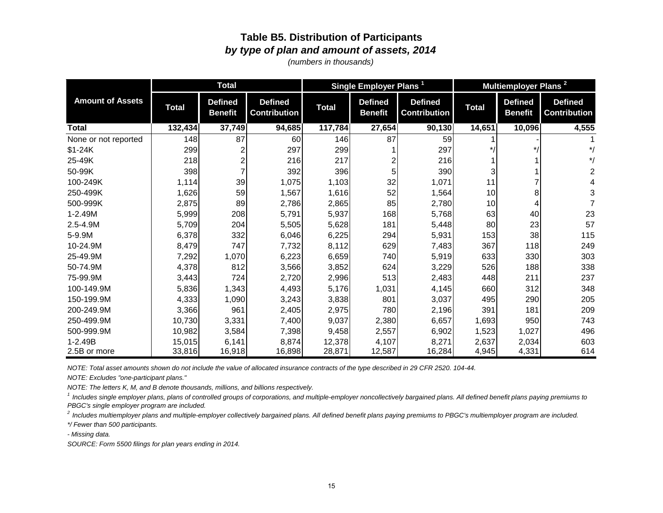### **Table B5. Distribution of Participants** *by type of plan and amount of assets, 2014*

*(numbers in thousands)*

|                         |              | <b>Total</b>                     |                                       |              | Single Employer Plans <sup>1</sup> |                                       |              | Multiemployer Plans <sup>2</sup> |                                       |
|-------------------------|--------------|----------------------------------|---------------------------------------|--------------|------------------------------------|---------------------------------------|--------------|----------------------------------|---------------------------------------|
| <b>Amount of Assets</b> | <b>Total</b> | <b>Defined</b><br><b>Benefit</b> | <b>Defined</b><br><b>Contribution</b> | <b>Total</b> | <b>Defined</b><br><b>Benefit</b>   | <b>Defined</b><br><b>Contribution</b> | <b>Total</b> | <b>Defined</b><br><b>Benefit</b> | <b>Defined</b><br><b>Contribution</b> |
| <b>Total</b>            | 132,434      | 37,749                           | 94,685                                | 117,784      | 27,654                             | 90,130                                | 14,651       | 10,096                           | 4,555                                 |
| None or not reported    | 148          | 87                               | 60                                    | 146          | 87                                 | 59                                    |              |                                  |                                       |
| $$1-24K$                | 299          |                                  | 297                                   | 299          |                                    | 297                                   |              |                                  | $^{\star}$ /                          |
| 25-49K                  | 218          |                                  | 216                                   | 217          |                                    | 216                                   |              |                                  | $^{\ast}$ /                           |
| 50-99K                  | 398          |                                  | 392                                   | 396          | 5                                  | 390                                   | 3            |                                  | 2                                     |
| 100-249K                | 1,114        | 39                               | 1,075                                 | 1,103        | 32                                 | 1,071                                 | 11           |                                  | 4                                     |
| 250-499K                | 1,626        | 59                               | 1,567                                 | 1,616        | 52                                 | 1,564                                 | 10           | 8                                | 3                                     |
| 500-999K                | 2,875        | 89                               | 2,786                                 | 2,865        | 85                                 | 2,780                                 | 10           | 4                                |                                       |
| 1-2.49M                 | 5,999        | 208                              | 5,791                                 | 5,937        | 168                                | 5,768                                 | 63           | 40                               | 23                                    |
| 2.5-4.9M                | 5,709        | 204                              | 5,505                                 | 5,628        | 181                                | 5,448                                 | 80           | 23                               | 57                                    |
| 5-9.9M                  | 6,378        | 332                              | 6,046                                 | 6,225        | 294                                | 5,931                                 | 153          | 38                               | 115                                   |
| 10-24.9M                | 8,479        | 747                              | 7,732                                 | 8,112        | 629                                | 7,483                                 | 367          | 118                              | 249                                   |
| 25-49.9M                | 7,292        | 1,070                            | 6,223                                 | 6,659        | 740                                | 5,919                                 | 633          | 330                              | 303                                   |
| 50-74.9M                | 4,378        | 812                              | 3,566                                 | 3,852        | 624                                | 3,229                                 | 526          | 188                              | 338                                   |
| 75-99.9M                | 3,443        | 724                              | 2,720                                 | 2,996        | 513                                | 2,483                                 | 448          | 211                              | 237                                   |
| 100-149.9M              | 5,836        | 1,343                            | 4,493                                 | 5,176        | 1,031                              | 4,145                                 | 660          | 312                              | 348                                   |
| 150-199.9M              | 4,333        | 1,090                            | 3,243                                 | 3,838        | 801                                | 3,037                                 | 495          | 290                              | 205                                   |
| 200-249.9M              | 3,366        | 961                              | 2,405                                 | 2,975        | 780                                | 2,196                                 | 391          | 181                              | 209                                   |
| 250-499.9M              | 10,730       | 3,331                            | 7,400                                 | 9,037        | 2,380                              | 6,657                                 | 1,693        | 950                              | 743                                   |
| 500-999.9M              | 10,982       | 3,584                            | 7,398                                 | 9,458        | 2,557                              | 6,902                                 | 1,523        | 1,027                            | 496                                   |
| 1-2.49B                 | 15,015       | 6,141                            | 8,874                                 | 12,378       | 4,107                              | 8,271                                 | 2,637        | 2,034                            | 603                                   |
| 2.5B or more            | 33,816       | 16,918                           | 16,898                                | 28,871       | 12,587                             | 16,284                                | 4,945        | 4,331                            | 614                                   |

*NOTE: Total asset amounts shown do not include the value of allocated insurance contracts of the type described in 29 CFR 2520. 104-44.*

*NOTE: Excludes "one-participant plans."*

*NOTE: The letters K, M, and B denote thousands, millions, and billions respectively.*

<sup>1</sup> Includes single employer plans, plans of controlled groups of corporations, and multiple-employer noncollectively bargained plans. All defined benefit plans paying premiums to *PBGC's single employer program are included.*

*2 Includes multiemployer plans and multiple-employer collectively bargained plans. All defined benefit plans paying premiums to PBGC's multiemployer program are included.*

*\*/ Fewer than 500 participants.*

*- Missing data.*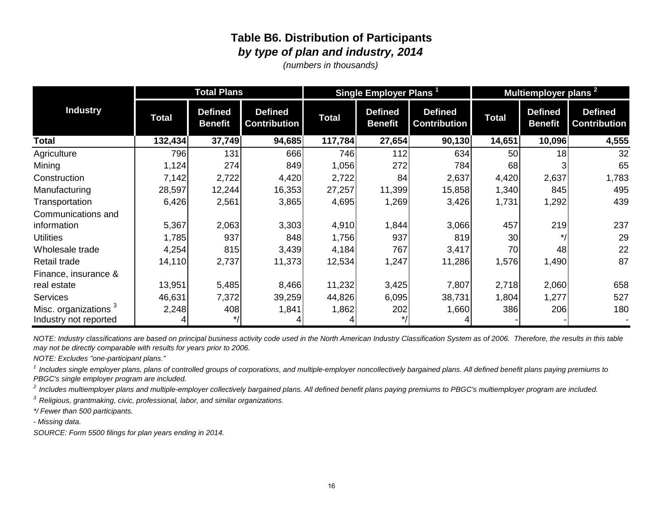### **Table B6. Distribution of Participants** *by type of plan and industry, 2014*

*(numbers in thousands)*

|                                  | <b>Total Plans</b> |                                  |                                       |              | Single Employer Plans <sup>1</sup> |                                       | Multiemployer plans <sup>2</sup> |                                  |                                       |
|----------------------------------|--------------------|----------------------------------|---------------------------------------|--------------|------------------------------------|---------------------------------------|----------------------------------|----------------------------------|---------------------------------------|
| <b>Industry</b>                  | <b>Total</b>       | <b>Defined</b><br><b>Benefit</b> | <b>Defined</b><br><b>Contribution</b> | <b>Total</b> | <b>Defined</b><br><b>Benefit</b>   | <b>Defined</b><br><b>Contribution</b> | <b>Total</b>                     | <b>Defined</b><br><b>Benefit</b> | <b>Defined</b><br><b>Contribution</b> |
| <b>Total</b>                     | 132,434            | 37,749                           | 94,685                                | 117,784      | 27,654                             | 90,130                                | 14,651                           | 10,096                           | 4,555                                 |
| Agriculture                      | 796                | 131                              | 666                                   | 746          | 112                                | 634                                   | 50                               | 18                               | 32                                    |
| Mining                           | 1,124              | 274                              | 849                                   | 1,056        | 272                                | 784                                   | 68                               |                                  | 65                                    |
| Construction                     | 7,142              | 2,722                            | 4,420                                 | 2,722        | 84                                 | 2,637                                 | 4,420                            | 2,637                            | 1,783                                 |
| Manufacturing                    | 28,597             | 12,244                           | 16,353                                | 27,257       | 11,399                             | 15,858                                | 1,340                            | 845                              | 495                                   |
| Transportation                   | 6,426              | 2,561                            | 3,865                                 | 4,695        | 1,269                              | 3,426                                 | 1,731                            | 1,292                            | 439                                   |
| Communications and               |                    |                                  |                                       |              |                                    |                                       |                                  |                                  |                                       |
| information                      | 5,367              | 2,063                            | 3,303                                 | 4,910        | 1,844                              | 3,066                                 | 457                              | 219                              | 237                                   |
| <b>Utilities</b>                 | 1,785              | 937                              | 848                                   | 1,756        | 937                                | 819                                   | 30                               | $*1$                             | 29                                    |
| Wholesale trade                  | 4,254              | 815                              | 3,439                                 | 4,184        | 767                                | 3,417                                 | 70                               | 48                               | 22                                    |
| Retail trade                     | 14,110             | 2,737                            | 11,373                                | 12,534       | 1,247                              | 11,286                                | 1,576                            | 1,490                            | 87                                    |
| Finance, insurance &             |                    |                                  |                                       |              |                                    |                                       |                                  |                                  |                                       |
| real estate                      | 13,951             | 5,485                            | 8,466                                 | 11,232       | 3,425                              | 7,807                                 | 2,718                            | 2,060                            | 658                                   |
| <b>Services</b>                  | 46,631             | 7,372                            | 39,259                                | 44,826       | 6,095                              | 38,731                                | 1,804                            | 1,277                            | 527                                   |
| Misc. organizations <sup>3</sup> | 2,248              | 408                              | 1,841                                 | 1,862        | 202                                | 1,660                                 | 386                              | 206                              | 180                                   |
| Industry not reported            |                    |                                  |                                       |              | $\star$ /                          |                                       |                                  |                                  |                                       |

*NOTE: Industry classifications are based on principal business activity code used in the North American Industry Classification System as of 2006. Therefore, the results in this table may not be directly comparable with results for years prior to 2006.*

*NOTE: Excludes "one-participant plans."*

<sup>1</sup> Includes single employer plans, plans of controlled groups of corporations, and multiple-employer noncollectively bargained plans. All defined benefit plans paying premiums to *PBGC's single employer program are included.*

*2 Includes multiemployer plans and multiple-employer collectively bargained plans. All defined benefit plans paying premiums to PBGC's multiemployer program are included.*

*3 Religious, grantmaking, civic, professional, labor, and similar organizations.*

*\*/ Fewer than 500 participants.*

*- Missing data.*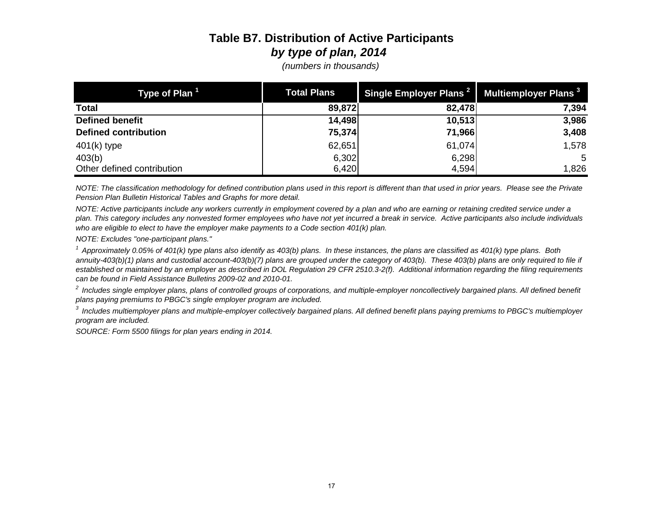# **Table B7. Distribution of Active Participants** *by type of plan, 2014*

| Type of Plan <sup>1</sup>   | <b>Total Plans</b> | Single Employer Plans <sup>2</sup> | Multiemployer Plans <sup>3</sup> |
|-----------------------------|--------------------|------------------------------------|----------------------------------|
| <b>Total</b>                | 89,872             | 82,478                             | 7,394                            |
| <b>Defined benefit</b>      | 14,498             | 10,513                             | 3,986                            |
| <b>Defined contribution</b> | 75,374             | 71,966                             | 3,408                            |
| $401(k)$ type               | 62,651             | 61,074                             | 1,578                            |
| 403(b)                      | 6,302              | 6,298                              | 5                                |
| Other defined contribution  | 6,420              | 4,594                              | 1,826                            |

*(numbers in thousands)*

*NOTE: The classification methodology for defined contribution plans used in this report is different than that used in prior years. Please see the Private Pension Plan Bulletin Historical Tables and Graphs for more detail.*

*NOTE: Active participants include any workers currently in employment covered by a plan and who are earning or retaining credited service under a plan. This category includes any nonvested former employees who have not yet incurred a break in service. Active participants also include individuals who are eligible to elect to have the employer make payments to a Code section 401(k) plan.* 

*NOTE: Excludes "one-participant plans."*

*1 Approximately 0.05% of 401(k) type plans also identify as 403(b) plans. In these instances, the plans are classified as 401(k) type plans. Both*  annuity-403(b)(1) plans and custodial account-403(b)(7) plans are grouped under the category of 403(b). These 403(b) plans are only required to file if *established or maintained by an employer as described in DOL Regulation 29 CFR 2510.3-2(f). Additional information regarding the filing requirements can be found in Field Assistance Bulletins 2009-02 and 2010-01.*

<sup>2</sup> Includes single employer plans, plans of controlled groups of corporations, and multiple-employer noncollectively bargained plans. All defined benefit *plans paying premiums to PBGC's single employer program are included.*

*3 Includes multiemployer plans and multiple-employer collectively bargained plans. All defined benefit plans paying premiums to PBGC's multiemployer program are included.*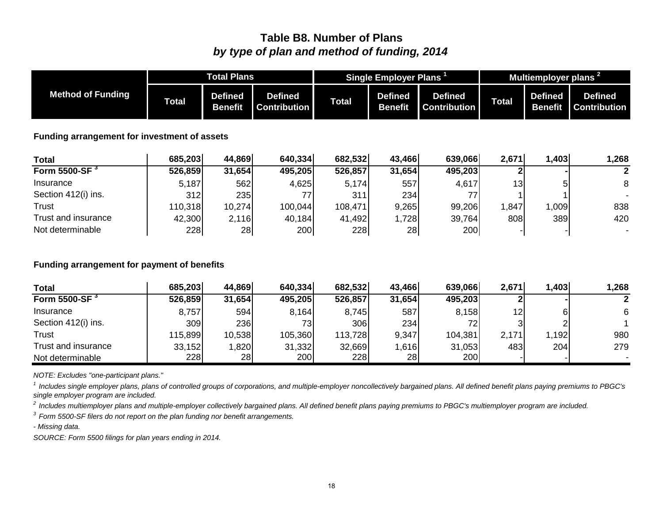### **Table B8. Number of Plans** *by type of plan and method of funding, 2014*

|                                              | <b>Total Plans</b> |                                  |                                       | <b>Single Employer Plans</b> |                                  |                                       | Multiemployer plans <sup>2</sup> |                                  |                                       |
|----------------------------------------------|--------------------|----------------------------------|---------------------------------------|------------------------------|----------------------------------|---------------------------------------|----------------------------------|----------------------------------|---------------------------------------|
| <b>Method of Funding</b>                     | Total              | <b>Defined</b><br><b>Benefit</b> | <b>Defined</b><br><b>Contribution</b> | <b>Total</b>                 | <b>Defined</b><br><b>Benefit</b> | <b>Defined</b><br><b>Contribution</b> | <b>Total</b>                     | <b>Defined</b><br><b>Benefit</b> | <b>Defined</b><br><b>Contribution</b> |
| Funding arrangement for investment of assets |                    |                                  |                                       |                              |                                  |                                       |                                  |                                  |                                       |
| <b>Total</b>                                 | 685,203            | 44,869                           | 640,334                               | 682,532                      | 43,466                           | 639,066                               | 2,671                            | 1,403                            | 1,268                                 |
| Form 5500-SF $3$                             | 526,859            | 31,654                           | 495,205                               | 526,857                      | 31,654                           | 495,203                               |                                  |                                  | 2                                     |
| Insurance                                    | 5,187              | 562                              | 4,625                                 | 5,174                        | 557                              | 4,617                                 | 13 <sub>l</sub>                  | 5                                | 8                                     |
| Section 412(i) ins.                          | 312                | 235                              | 77                                    | 311                          | 234                              | 77                                    |                                  |                                  |                                       |
| Trust                                        | 110,318            | 10,274                           | 100,044                               | 108,471                      | 9,265                            | 99,206                                | 1,847                            | 1,009                            | 838                                   |
| Trust and insurance                          | 42,300             | 2,116                            | 40,184                                | 41,492                       | 1,728                            | 39,764                                | 808                              | 389                              | 420                                   |
| Not determinable                             | 228                | 28                               | 200                                   | 228                          | 28                               | 200                                   |                                  |                                  | $\sim$                                |

#### **Funding arrangement for payment of benefits**

| <b>Total</b>              | 685,203 | 44,869 | 640,334 | 682,532 | 43,466 | 639,066    | 2,671           | 1,403 | 1,268 |
|---------------------------|---------|--------|---------|---------|--------|------------|-----------------|-------|-------|
| Form 5500-SF <sup>3</sup> | 526,859 | 31,654 | 495,205 | 526,857 | 31,654 | 495,203    |                 |       |       |
| Insurance                 | 8,757   | 594    | 8,164   | 8,745   | 587    | 8,158      | 12 <sub>l</sub> |       | 6     |
| Section 412(i) ins.       | 309     | 236    | 73      | 306     | 234    | 72         |                 |       |       |
| <b>Trust</b>              | 115,899 | 10,538 | 105,360 | 113,728 | 9,347  | 104,381    | 2,171           | .192  | 980   |
| Trust and insurance       | 33,152  | 1,820  | 31,332  | 32,669  | 1,616  | 31,053     | 483             | 204   | 279   |
| Not determinable          | 228     | 28     | 200     | 228     | 28     | <b>200</b> |                 |       |       |

*NOTE: Excludes "one-participant plans."*

<sup>1</sup> Includes single employer plans, plans of controlled groups of corporations, and multiple-employer noncollectively bargained plans. All defined benefit plans paying premiums to PBGC's *single employer program are included.*

*2 Includes multiemployer plans and multiple-employer collectively bargained plans. All defined benefit plans paying premiums to PBGC's multiemployer program are included.*

*3 Form 5500-SF filers do not report on the plan funding nor benefit arrangements.* 

*- Missing data.*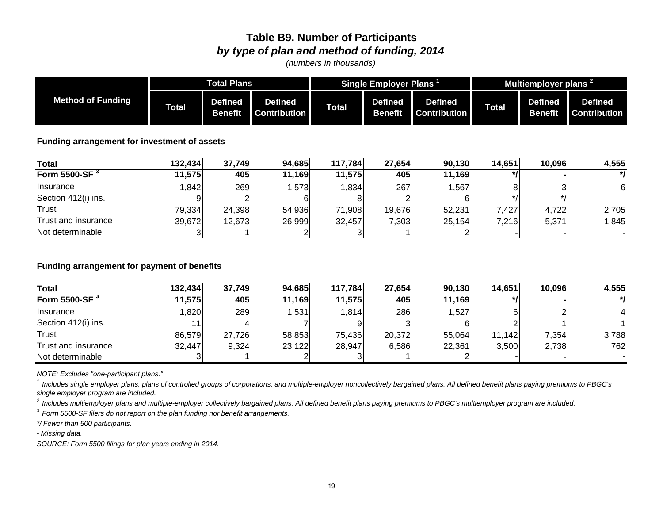### **Table B9. Number of Participants** *by type of plan and method of funding, 2014*

*(numbers in thousands)*

|                                              |               | <b>Total Plans</b>               |                                       |              | Single Employer Plans            |                                       |              | Multiemployer plans <sup>2</sup> |                                       |
|----------------------------------------------|---------------|----------------------------------|---------------------------------------|--------------|----------------------------------|---------------------------------------|--------------|----------------------------------|---------------------------------------|
| <b>Method of Funding</b>                     | <b>Total</b>  | <b>Defined</b><br><b>Benefit</b> | <b>Defined</b><br><b>Contribution</b> | <b>Total</b> | <b>Defined</b><br><b>Benefit</b> | <b>Defined</b><br><b>Contribution</b> | <b>Total</b> | <b>Defined</b><br><b>Benefit</b> | <b>Defined</b><br><b>Contribution</b> |
| Funding arrangement for investment of assets |               |                                  |                                       |              |                                  |                                       |              |                                  |                                       |
| <b>Total</b>                                 | 132,434       | 37,749                           | 94,685                                | 117,784      | 27,654                           | 90,130                                | 14,651       | 10,096                           | 4,555                                 |
| Form 5500-SF <sup>3</sup>                    | 11,575        | 405                              | 11,169                                | 11,575       | 405                              | 11,169                                | $\star$ /    |                                  | $^{\ast}$                             |
| Insurance                                    | 1,842         | 269                              | 1,573                                 | 1,834        | 267                              | 1,567                                 | 8            |                                  | 6                                     |
| Section 412(i) ins.                          |               |                                  | 61                                    | 8            | 2                                | 61                                    |              |                                  |                                       |
| Trust                                        | 79,334        | 24,398                           | 54,936                                | 71,908       | 19,676                           | 52,231                                | 7,427        | 4,722                            | 2,705                                 |
| Trust and insurance                          | 39,672        | 12,673                           | 26,999                                | 32,457       | 7,303                            | 25,154                                | 7,216        | 5,371                            | 1,845                                 |
| Not determinable                             | $\frac{3}{2}$ |                                  | $\overline{\mathbf{c}}$               | 3            |                                  | $\mathbf{2}$                          |              |                                  |                                       |

#### **Funding arrangement for payment of benefits**

| <b>Total</b>              | 132,434         | 37,749 | 94,685 | 117,784 | 27,654 | 90,130 | 14,651 | 10,096 | 4,555    |
|---------------------------|-----------------|--------|--------|---------|--------|--------|--------|--------|----------|
| Form 5500-SF <sup>3</sup> | 11,575          | 405    | 11,169 | 11,575  | 405    | 11,169 |        |        | $\ast$ l |
| Insurance                 | ,820            | 289    | ,531   | 1,814   | 286    | ,527   |        |        |          |
| Section 412(i) ins.       | 11 <sub>1</sub> |        |        |         |        |        |        |        |          |
| Trust                     | 86,579          | 27,726 | 58,853 | 75,436  | 20,372 | 55,064 | 11,142 | 7,354  | 3,788    |
| Trust and insurance       | 32,447          | 9,324  | 23,122 | 28,947  | 6,586  | 22,361 | 3,500  | 2,738  | 762      |
| Not determinable          |                 |        |        |         |        |        |        |        |          |

*NOTE: Excludes "one-participant plans."*

<sup>1</sup> Includes single employer plans, plans of controlled groups of corporations, and multiple-employer noncollectively bargained plans. All defined benefit plans paying premiums to PBGC's *single employer program are included.*

*2 Includes multiemployer plans and multiple-employer collectively bargained plans. All defined benefit plans paying premiums to PBGC's multiemployer program are included.*

*3 Form 5500-SF filers do not report on the plan funding nor benefit arrangements.* 

*\*/ Fewer than 500 participants.*

*- Missing data.*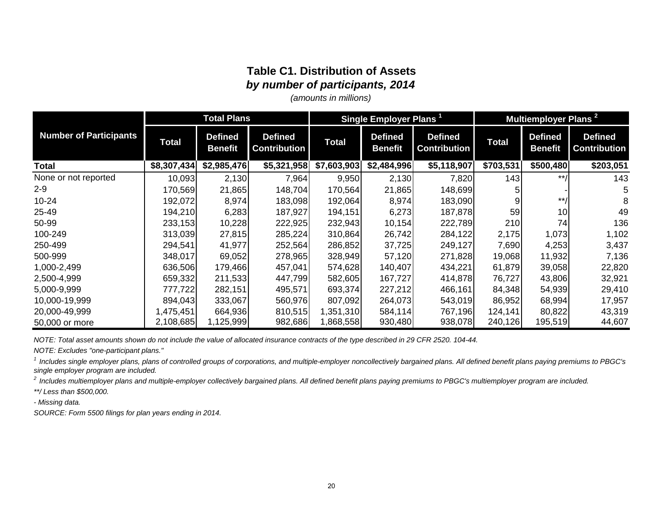### **Table C1. Distribution of Assets** *by number of participants, 2014*

*(amounts in millions)*

|                               | <b>Total Plans</b> |                                  |                                       | Single Employer Plans <sup>1</sup> |                                  |                                       | Multiemployer Plans <sup>2</sup> |                                  |                                       |
|-------------------------------|--------------------|----------------------------------|---------------------------------------|------------------------------------|----------------------------------|---------------------------------------|----------------------------------|----------------------------------|---------------------------------------|
| <b>Number of Participants</b> | <b>Total</b>       | <b>Defined</b><br><b>Benefit</b> | <b>Defined</b><br><b>Contribution</b> | <b>Total</b>                       | <b>Defined</b><br><b>Benefit</b> | <b>Defined</b><br><b>Contribution</b> | Total                            | <b>Defined</b><br><b>Benefit</b> | <b>Defined</b><br><b>Contribution</b> |
| <b>Total</b>                  | \$8,307,434        | \$2,985,476                      | \$5,321,958                           | \$7,603,903                        | \$2,484,996                      | \$5,118,907                           | \$703,531                        | \$500,480                        | \$203,051                             |
| None or not reported          | 10,093             | 2,130                            | 7,964                                 | 9,950                              | 2,130                            | 7,820                                 | 143                              | $***$                            | 143                                   |
| $2 - 9$                       | 170,569            | 21,865                           | 148,704                               | 170,564                            | 21,865                           | 148,699                               |                                  |                                  |                                       |
| $10 - 24$                     | 192,072            | 8,974                            | 183,098                               | 192,064                            | 8,974                            | 183,090                               |                                  | $***$                            |                                       |
| 25-49                         | 194,210            | 6,283                            | 187,927                               | 194,151                            | 6,273                            | 187,878                               | 59                               | 10                               | 49                                    |
| 50-99                         | 233,153            | 10,228                           | 222,925                               | 232,943                            | 10,154                           | 222,789                               | 210                              | 74                               | 136                                   |
| 100-249                       | 313,039            | 27,815                           | 285,224                               | 310,864                            | 26,742                           | 284,122                               | 2,175                            | 1,073                            | 1,102                                 |
| 250-499                       | 294,541            | 41,977                           | 252,564                               | 286,852                            | 37,725                           | 249,127                               | 7,690                            | 4,253                            | 3,437                                 |
| 500-999                       | 348,017            | 69,052                           | 278,965                               | 328,949                            | 57,120                           | 271,828                               | 19,068                           | 11,932                           | 7,136                                 |
| 1,000-2,499                   | 636,506            | 179,466                          | 457,041                               | 574,628                            | 140,407                          | 434,221                               | 61,879                           | 39,058                           | 22,820                                |
| 2,500-4,999                   | 659,332            | 211,533                          | 447,799                               | 582,605                            | 167,727                          | 414,878                               | 76,727                           | 43,806                           | 32,921                                |
| 5,000-9,999                   | 777,722            | 282,151                          | 495,571                               | 693,374                            | 227,212                          | 466,161                               | 84,348                           | 54,939                           | 29,410                                |
| 10,000-19,999                 | 894,043            | 333,067                          | 560,976                               | 807,092                            | 264,073                          | 543,019                               | 86,952                           | 68,994                           | 17,957                                |
| 20,000-49,999                 | 1,475,451          | 664,936                          | 810,515                               | 1,351,310                          | 584,114                          | 767,196                               | 124,141                          | 80,822                           | 43,319                                |
| 50,000 or more                | 2,108,685          | 1,125,999                        | 982,686                               | 868,558                            | 930,480                          | 938,078                               | 240,126                          | 195,519                          | 44,607                                |

*NOTE: Total asset amounts shown do not include the value of allocated insurance contracts of the type described in 29 CFR 2520. 104-44.*

*NOTE: Excludes "one-participant plans."*

<sup>1</sup> Includes single employer plans, plans of controlled groups of corporations, and multiple-employer noncollectively bargained plans. All defined benefit plans paying premiums to PBGC's *single employer program are included.*

*2 Includes multiemployer plans and multiple-employer collectively bargained plans. All defined benefit plans paying premiums to PBGC's multiemployer program are included.*

*\*\*/ Less than \$500,000.*

*- Missing data.*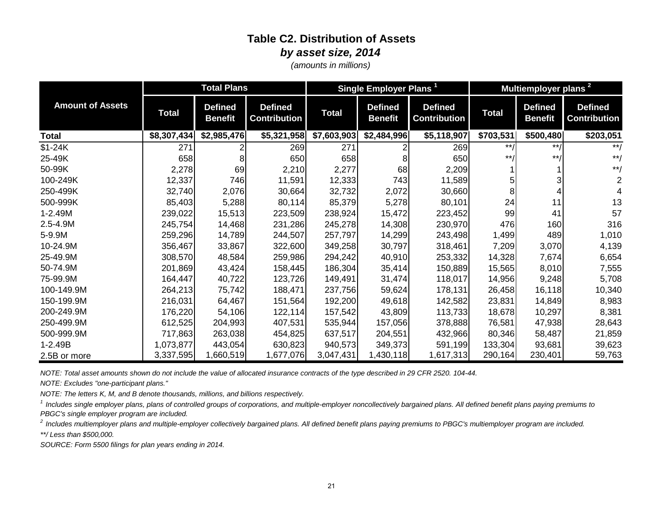### **Table C2. Distribution of Assets** *by asset size, 2014*

*(amounts in millions)*

|                         | <b>Total Plans</b> |                                  |                                       | Single Employer Plans <sup>1</sup> |                                  |                                       | Multiemployer plans <sup>2</sup> |                                  |                                       |
|-------------------------|--------------------|----------------------------------|---------------------------------------|------------------------------------|----------------------------------|---------------------------------------|----------------------------------|----------------------------------|---------------------------------------|
| <b>Amount of Assets</b> | <b>Total</b>       | <b>Defined</b><br><b>Benefit</b> | <b>Defined</b><br><b>Contribution</b> | <b>Total</b>                       | <b>Defined</b><br><b>Benefit</b> | <b>Defined</b><br><b>Contribution</b> | <b>Total</b>                     | <b>Defined</b><br><b>Benefit</b> | <b>Defined</b><br><b>Contribution</b> |
| Total                   | \$8,307,434        | \$2,985,476                      | \$5,321,958                           | \$7,603,903                        | \$2,484,996                      | \$5,118,907                           | \$703,531                        | \$500,480                        | \$203,051                             |
| $$1-24K$                | 271                |                                  | 269                                   | 271                                |                                  | 269                                   | $***/$                           | $***/$                           | $**/$                                 |
| 25-49K                  | 658                | 8                                | 650                                   | 658                                |                                  | 650                                   | $***$                            | $***/$                           | $***/$                                |
| 50-99K                  | 2,278              | 69                               | 2,210                                 | 2,277                              | 68                               | 2,209                                 |                                  |                                  | $***/$                                |
| 100-249K                | 12,337             | 746                              | 11,591                                | 12,333                             | 743                              | 11,589                                |                                  |                                  |                                       |
| 250-499K                | 32,740             | 2,076                            | 30,664                                | 32,732                             | 2,072                            | 30,660                                |                                  |                                  |                                       |
| 500-999K                | 85,403             | 5,288                            | 80,114                                | 85,379                             | 5,278                            | 80,101                                | 24                               | 11                               | 13                                    |
| 1-2.49M                 | 239,022            | 15,513                           | 223,509                               | 238,924                            | 15,472                           | 223,452                               | 99                               | 41                               | 57                                    |
| 2.5-4.9M                | 245,754            | 14,468                           | 231,286                               | 245,278                            | 14,308                           | 230,970                               | 476                              | 160                              | 316                                   |
| 5-9.9M                  | 259,296            | 14,789                           | 244,507                               | 257,797                            | 14,299                           | 243,498                               | 1,499                            | 489                              | 1,010                                 |
| 10-24.9M                | 356,467            | 33,867                           | 322,600                               | 349,258                            | 30,797                           | 318,461                               | 7,209                            | 3,070                            | 4,139                                 |
| 25-49.9M                | 308,570            | 48,584                           | 259,986                               | 294,242                            | 40,910                           | 253,332                               | 14,328                           | 7,674                            | 6,654                                 |
| 50-74.9M                | 201,869            | 43,424                           | 158,445                               | 186,304                            | 35,414                           | 150,889                               | 15,565                           | 8,010                            | 7,555                                 |
| 75-99.9M                | 164,447            | 40,722                           | 123,726                               | 149,491                            | 31,474                           | 118,017                               | 14,956                           | 9,248                            | 5,708                                 |
| 100-149.9M              | 264,213            | 75,742                           | 188,471                               | 237,756                            | 59,624                           | 178,131                               | 26,458                           | 16,118                           | 10,340                                |
| 150-199.9M              | 216,031            | 64,467                           | 151,564                               | 192,200                            | 49,618                           | 142,582                               | 23,831                           | 14,849                           | 8,983                                 |
| 200-249.9M              | 176,220            | 54,106                           | 122, 114                              | 157,542                            | 43,809                           | 113,733                               | 18,678                           | 10,297                           | 8,381                                 |
| 250-499.9M              | 612,525            | 204,993                          | 407,531                               | 535,944                            | 157,056                          | 378,888                               | 76,581                           | 47,938                           | 28,643                                |
| 500-999.9M              | 717,863            | 263,038                          | 454,825                               | 637,517                            | 204,551                          | 432,966                               | 80,346                           | 58,487                           | 21,859                                |
| $1 - 2.49B$             | 1,073,877          | 443,054                          | 630,823                               | 940,573                            | 349,373                          | 591,199                               | 133,304                          | 93,681                           | 39,623                                |
| 2.5B or more            | 3,337,595          | 1,660,519                        | 1,677,076                             | 3,047,431                          | 1,430,118                        | 1,617,313                             | 290,164                          | 230,401                          | 59,763                                |

*NOTE: Total asset amounts shown do not include the value of allocated insurance contracts of the type described in 29 CFR 2520. 104-44.*

*NOTE: Excludes "one-participant plans."* 

*NOTE: The letters K, M, and B denote thousands, millions, and billions respectively.*

<sup>1</sup> Includes single employer plans, plans of controlled groups of corporations, and multiple-employer noncollectively bargained plans. All defined benefit plans paying premiums to *PBGC's single employer program are included.*

*2 Includes multiemployer plans and multiple-employer collectively bargained plans. All defined benefit plans paying premiums to PBGC's multiemployer program are included.*

*\*\*/ Less than \$500,000.*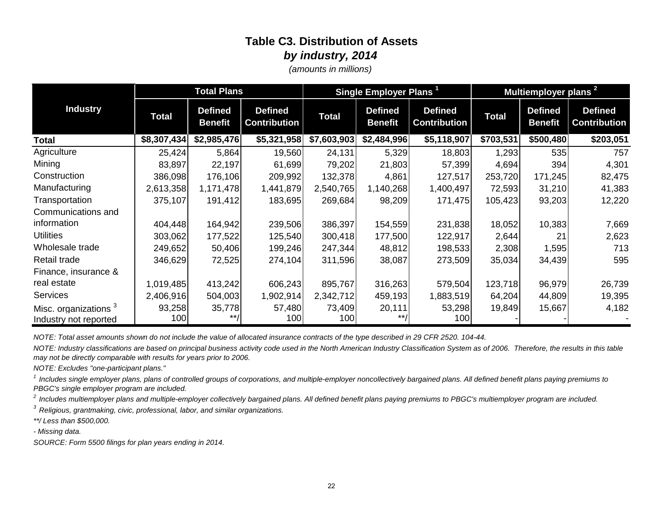# **Table C3. Distribution of Assets** *by industry, 2014*

*(amounts in millions)*

| <b>Total Plans</b>               |              |                                  |                                       | Single Employer Plans <sup>1</sup> |                                  | Multiemployer plans <sup>2</sup>      |              |                                  |                                       |
|----------------------------------|--------------|----------------------------------|---------------------------------------|------------------------------------|----------------------------------|---------------------------------------|--------------|----------------------------------|---------------------------------------|
| <b>Industry</b>                  | <b>Total</b> | <b>Defined</b><br><b>Benefit</b> | <b>Defined</b><br><b>Contribution</b> | <b>Total</b>                       | <b>Defined</b><br><b>Benefit</b> | <b>Defined</b><br><b>Contribution</b> | <b>Total</b> | <b>Defined</b><br><b>Benefit</b> | <b>Defined</b><br><b>Contribution</b> |
| Total                            | \$8,307,434  | \$2,985,476                      | \$5,321,958                           | \$7,603,903                        | \$2,484,996                      | \$5,118,907                           | \$703,531    | \$500,480                        | \$203,051                             |
| Agriculture                      | 25,424       | 5,864                            | 19,560                                | 24,131                             | 5,329                            | 18,803                                | 1,293        | 535                              | 757                                   |
| Mining                           | 83,897       | 22,197                           | 61,699                                | 79,202                             | 21,803                           | 57,399                                | 4,694        | 394                              | 4,301                                 |
| Construction                     | 386,098      | 176,106                          | 209,992                               | 132,378                            | 4,861                            | 127,517                               | 253,720      | 171,245                          | 82,475                                |
| Manufacturing                    | 2,613,358    | 1,171,478                        | 1,441,879                             | 2,540,765                          | 1,140,268                        | 1,400,497                             | 72,593       | 31,210                           | 41,383                                |
| Transportation                   | 375,107      | 191,412                          | 183,695                               | 269,684                            | 98,209                           | 171,475                               | 105,423      | 93,203                           | 12,220                                |
| Communications and               |              |                                  |                                       |                                    |                                  |                                       |              |                                  |                                       |
| information                      | 404,448      | 164,942                          | 239,506                               | 386,397                            | 154,559                          | 231,838                               | 18,052       | 10,383                           | 7,669                                 |
| <b>Utilities</b>                 | 303,062      | 177,522                          | 125,540                               | 300,418                            | 177,500                          | 122,917                               | 2,644        | 21                               | 2,623                                 |
| Wholesale trade                  | 249,652      | 50,406                           | 199,246                               | 247,344                            | 48,812                           | 198,533                               | 2,308        | 1,595                            | 713                                   |
| Retail trade                     | 346,629      | 72,525                           | 274,104                               | 311,596                            | 38,087                           | 273,509                               | 35,034       | 34,439                           | 595                                   |
| Finance, insurance &             |              |                                  |                                       |                                    |                                  |                                       |              |                                  |                                       |
| real estate                      | 1,019,485    | 413,242                          | 606,243                               | 895,767                            | 316,263                          | 579,504                               | 123,718      | 96,979                           | 26,739                                |
| <b>Services</b>                  | 2,406,916    | 504,003                          | 1,902,914                             | 2,342,712                          | 459,193                          | 1,883,519                             | 64,204       | 44,809                           | 19,395                                |
| Misc. organizations <sup>3</sup> | 93,258       | 35,778                           | 57,480                                | 73,409                             | 20,111                           | 53,298                                | 19,849       | 15,667                           | 4,182                                 |
| Industry not reported            | 100          | **                               | 100                                   | 100                                | $***$                            | 100                                   |              |                                  |                                       |

*NOTE: Total asset amounts shown do not include the value of allocated insurance contracts of the type described in 29 CFR 2520. 104-44.*

*NOTE: Industry classifications are based on principal business activity code used in the North American Industry Classification System as of 2006. Therefore, the results in this table may not be directly comparable with results for years prior to 2006.*

*NOTE: Excludes "one-participant plans."*

<sup>1</sup> Includes single employer plans, plans of controlled groups of corporations, and multiple-employer noncollectively bargained plans. All defined benefit plans paying premiums to *PBGC's single employer program are included.*

*2 Includes multiemployer plans and multiple-employer collectively bargained plans. All defined benefit plans paying premiums to PBGC's multiemployer program are included.*

*3 Religious, grantmaking, civic, professional, labor, and similar organizations.*

*\*\*/ Less than \$500,000.*

*- Missing data.*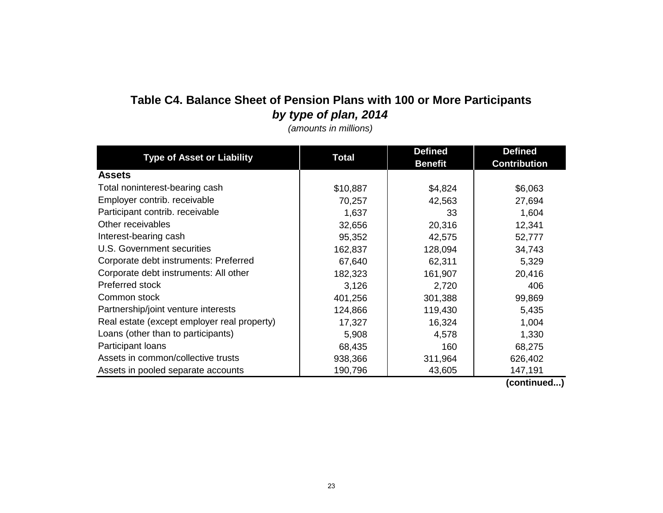# **Table C4. Balance Sheet of Pension Plans with 100 or More Participants** *by type of plan, 2014*

*(amounts in millions)*

|                                             |              | <b>Defined</b> | <b>Defined</b>      |  |
|---------------------------------------------|--------------|----------------|---------------------|--|
| <b>Type of Asset or Liability</b>           | <b>Total</b> | <b>Benefit</b> | <b>Contribution</b> |  |
| <b>Assets</b>                               |              |                |                     |  |
| Total noninterest-bearing cash              | \$10,887     | \$4,824        | \$6,063             |  |
| Employer contrib. receivable                | 70,257       | 42,563         | 27,694              |  |
| Participant contrib. receivable             | 1,637        | 33             | 1,604               |  |
| Other receivables                           | 32,656       | 20,316         | 12,341              |  |
| Interest-bearing cash                       | 95,352       | 42,575         | 52,777              |  |
| U.S. Government securities                  | 162,837      | 128,094        | 34,743              |  |
| Corporate debt instruments: Preferred       | 67,640       | 62,311         | 5,329               |  |
| Corporate debt instruments: All other       | 182,323      | 161,907        | 20,416              |  |
| Preferred stock                             | 3,126        | 2,720          | 406                 |  |
| Common stock                                | 401,256      | 301,388        | 99,869              |  |
| Partnership/joint venture interests         | 124,866      | 119,430        | 5,435               |  |
| Real estate (except employer real property) | 17,327       | 16,324         | 1,004               |  |
| Loans (other than to participants)          | 5,908        | 4,578          | 1,330               |  |
| Participant loans                           | 68,435       | 160            | 68,275              |  |
| Assets in common/collective trusts          | 938,366      | 311,964        | 626,402             |  |
| Assets in pooled separate accounts          | 190,796      | 43,605         | 147,191             |  |

 **(continued...)**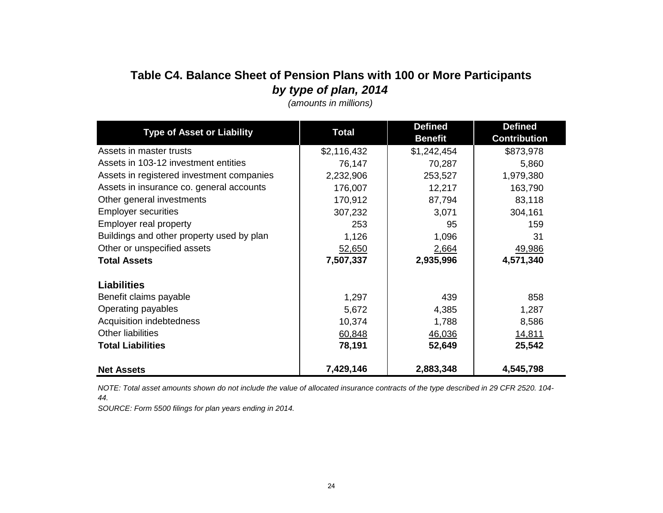# **Table C4. Balance Sheet of Pension Plans with 100 or More Participants** *by type of plan, 2014*

| <b>Type of Asset or Liability</b>         | <b>Total</b> | <b>Defined</b> | <b>Defined</b>      |
|-------------------------------------------|--------------|----------------|---------------------|
|                                           |              | <b>Benefit</b> | <b>Contribution</b> |
| Assets in master trusts                   | \$2,116,432  | \$1,242,454    | \$873,978           |
| Assets in 103-12 investment entities      | 76,147       | 70,287         | 5,860               |
| Assets in registered investment companies | 2,232,906    | 253,527        | 1,979,380           |
| Assets in insurance co. general accounts  | 176,007      | 12,217         | 163,790             |
| Other general investments                 | 170,912      | 87,794         | 83,118              |
| <b>Employer securities</b>                | 307,232      | 3,071          | 304,161             |
| Employer real property                    | 253          | 95             | 159                 |
| Buildings and other property used by plan | 1,126        | 1,096          | 31                  |
| Other or unspecified assets               | 52,650       | 2,664          | 49,986              |
| <b>Total Assets</b>                       | 7,507,337    | 2,935,996      | 4,571,340           |
| <b>Liabilities</b>                        |              |                |                     |
| Benefit claims payable                    | 1,297        | 439            | 858                 |
| Operating payables                        | 5,672        | 4,385          | 1,287               |
| Acquisition indebtedness                  | 10,374       | 1,788          | 8,586               |
| Other liabilities                         | 60,848       | 46,036         | 14,811              |
| <b>Total Liabilities</b>                  | 78,191       | 52,649         | 25,542              |
| <b>Net Assets</b>                         | 7,429,146    | 2,883,348      | 4,545,798           |

*(amounts in millions)*

*NOTE: Total asset amounts shown do not include the value of allocated insurance contracts of the type described in 29 CFR 2520. 104- 44.*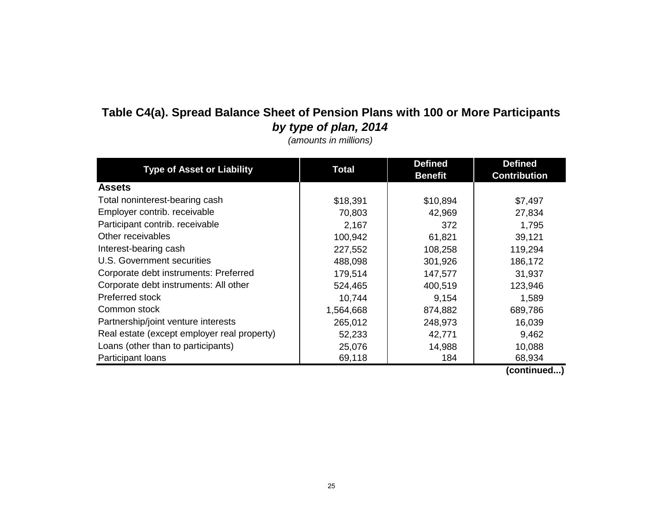# **Table C4(a). Spread Balance Sheet of Pension Plans with 100 or More Participants** *by type of plan, 2014*

*(amounts in millions)*

| <b>Type of Asset or Liability</b>           | <b>Total</b> | <b>Defined</b> | <b>Defined</b>      |
|---------------------------------------------|--------------|----------------|---------------------|
|                                             |              | <b>Benefit</b> | <b>Contribution</b> |
| <b>Assets</b>                               |              |                |                     |
| Total noninterest-bearing cash              | \$18,391     | \$10,894       | \$7,497             |
| Employer contrib. receivable                | 70,803       | 42,969         | 27,834              |
| Participant contrib. receivable             | 2,167        | 372            | 1,795               |
| Other receivables                           | 100,942      | 61,821         | 39,121              |
| Interest-bearing cash                       | 227,552      | 108,258        | 119,294             |
| U.S. Government securities                  | 488,098      | 301,926        | 186,172             |
| Corporate debt instruments: Preferred       | 179,514      | 147,577        | 31,937              |
| Corporate debt instruments: All other       | 524,465      | 400,519        | 123,946             |
| Preferred stock                             | 10,744       | 9,154          | 1,589               |
| Common stock                                | 1,564,668    | 874,882        | 689,786             |
| Partnership/joint venture interests         | 265,012      | 248,973        | 16,039              |
| Real estate (except employer real property) | 52,233       | 42,771         | 9,462               |
| Loans (other than to participants)          | 25,076       | 14,988         | 10,088              |
| Participant loans                           | 69,118       | 184            | 68,934              |

 **(continued...)**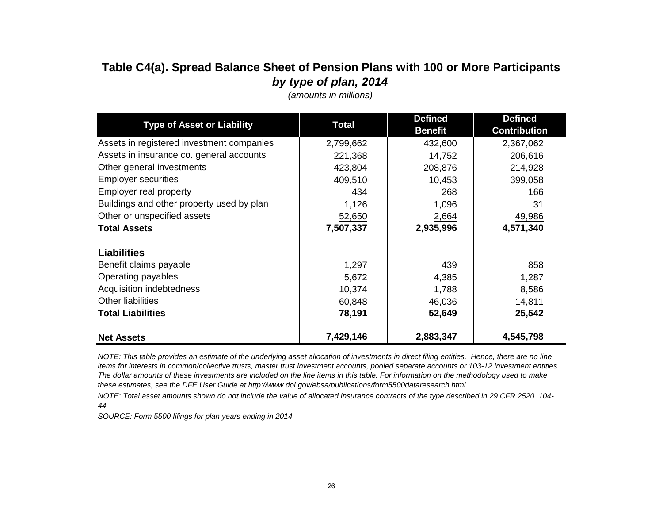## **Table C4(a). Spread Balance Sheet of Pension Plans with 100 or More Participants** *by type of plan, 2014*

| <b>Type of Asset or Liability</b>         | <b>Total</b> | <b>Defined</b><br><b>Benefit</b> | <b>Defined</b><br><b>Contribution</b> |
|-------------------------------------------|--------------|----------------------------------|---------------------------------------|
| Assets in registered investment companies | 2,799,662    | 432,600                          | 2,367,062                             |
| Assets in insurance co. general accounts  | 221,368      | 14,752                           | 206,616                               |
| Other general investments                 | 423,804      | 208,876                          | 214,928                               |
| <b>Employer securities</b>                | 409,510      | 10,453                           | 399,058                               |
| Employer real property                    | 434          | 268                              | 166                                   |
| Buildings and other property used by plan | 1,126        | 1,096                            | 31                                    |
| Other or unspecified assets               | 52,650       | 2,664                            | 49,986                                |
| <b>Total Assets</b>                       | 7,507,337    | 2,935,996                        | 4,571,340                             |
| <b>Liabilities</b>                        |              |                                  |                                       |
| Benefit claims payable                    | 1,297        | 439                              | 858                                   |
| Operating payables                        | 5,672        | 4,385                            | 1,287                                 |
| Acquisition indebtedness                  | 10,374       | 1,788                            | 8,586                                 |
| Other liabilities                         | 60,848       | 46,036                           | 14,811                                |
| <b>Total Liabilities</b>                  | 78,191       | 52,649                           | 25,542                                |
| <b>Net Assets</b>                         | 7,429,146    | 2,883,347                        | 4,545,798                             |

*(amounts in millions)*

*NOTE: This table provides an estimate of the underlying asset allocation of investments in direct filing entities. Hence, there are no line items for interests in common/collective trusts, master trust investment accounts, pooled separate accounts or 103-12 investment entities. The dollar amounts of these investments are included on the line items in this table. For information on the methodology used to make these estimates, see the DFE User Guide at http://www.dol.gov/ebsa/publications/form5500dataresearch.html.*

*NOTE: Total asset amounts shown do not include the value of allocated insurance contracts of the type described in 29 CFR 2520. 104- 44.*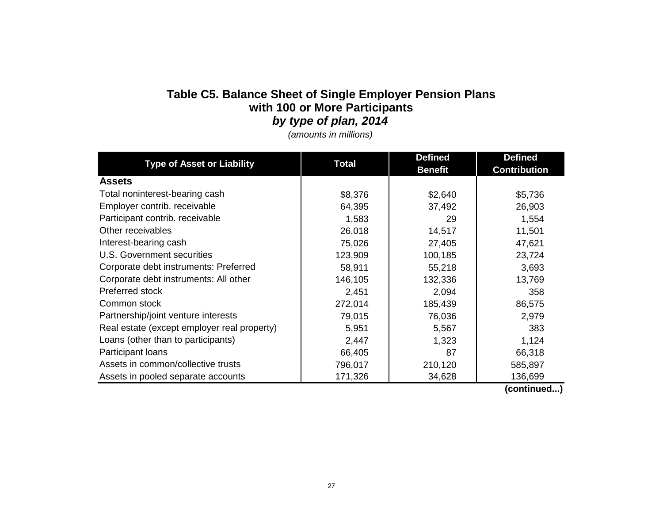## **Table C5. Balance Sheet of Single Employer Pension Plans**  *by type of plan, 2014* **with 100 or More Participants**

*(amounts in millions)*

| <b>Type of Asset or Liability</b>           | <b>Total</b> | <b>Defined</b> | <b>Defined</b>      |
|---------------------------------------------|--------------|----------------|---------------------|
|                                             |              | <b>Benefit</b> | <b>Contribution</b> |
| <b>Assets</b>                               |              |                |                     |
| Total noninterest-bearing cash              | \$8,376      | \$2,640        | \$5,736             |
| Employer contrib. receivable                | 64,395       | 37,492         | 26,903              |
| Participant contrib. receivable             | 1,583        | 29             | 1,554               |
| Other receivables                           | 26,018       | 14,517         | 11,501              |
| Interest-bearing cash                       | 75,026       | 27,405         | 47,621              |
| U.S. Government securities                  | 123,909      | 100,185        | 23,724              |
| Corporate debt instruments: Preferred       | 58,911       | 55,218         | 3,693               |
| Corporate debt instruments: All other       | 146,105      | 132,336        | 13,769              |
| Preferred stock                             | 2,451        | 2,094          | 358                 |
| Common stock                                | 272,014      | 185,439        | 86,575              |
| Partnership/joint venture interests         | 79,015       | 76,036         | 2,979               |
| Real estate (except employer real property) | 5,951        | 5,567          | 383                 |
| Loans (other than to participants)          | 2,447        | 1,323          | 1,124               |
| Participant loans                           | 66,405       | 87             | 66,318              |
| Assets in common/collective trusts          | 796,017      | 210,120        | 585,897             |
| Assets in pooled separate accounts          | 171,326      | 34,628         | 136,699             |

 **(continued...)**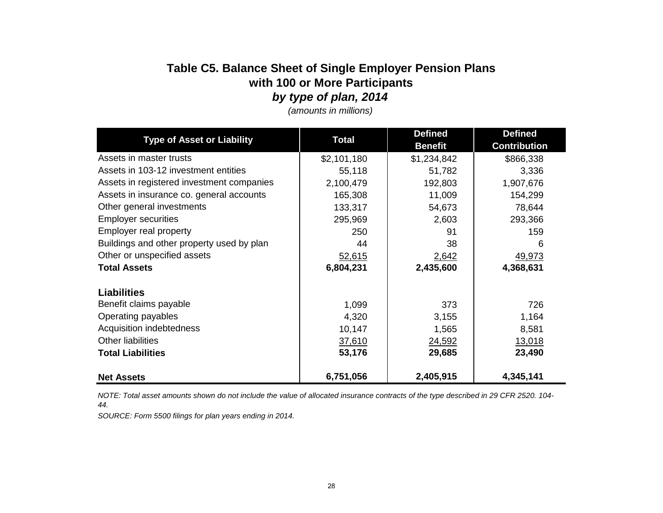### **Table C5. Balance Sheet of Single Employer Pension Plans**  *by type of plan, 2014* **with 100 or More Participants**

| <b>Type of Asset or Liability</b>         | <b>Total</b> | <b>Defined</b><br><b>Benefit</b> | <b>Defined</b><br><b>Contribution</b> |
|-------------------------------------------|--------------|----------------------------------|---------------------------------------|
| Assets in master trusts                   | \$2,101,180  | \$1,234,842                      | \$866,338                             |
| Assets in 103-12 investment entities      | 55,118       | 51,782                           | 3,336                                 |
| Assets in registered investment companies | 2,100,479    | 192,803                          | 1,907,676                             |
| Assets in insurance co. general accounts  | 165,308      | 11,009                           | 154,299                               |
| Other general investments                 | 133,317      | 54,673                           | 78,644                                |
| <b>Employer securities</b>                | 295,969      | 2,603                            | 293,366                               |
| Employer real property                    | 250          | 91                               | 159                                   |
| Buildings and other property used by plan | 44           | 38                               | 6                                     |
| Other or unspecified assets               | 52,615       | 2,642                            | 49,973                                |
| <b>Total Assets</b>                       | 6,804,231    | 2,435,600                        | 4,368,631                             |
| <b>Liabilities</b>                        |              |                                  |                                       |
| Benefit claims payable                    | 1,099        | 373                              | 726                                   |
| Operating payables                        | 4,320        | 3,155                            | 1,164                                 |
| Acquisition indebtedness                  | 10,147       | 1,565                            | 8,581                                 |
| Other liabilities                         | 37,610       | 24,592                           | 13,018                                |
| <b>Total Liabilities</b>                  | 53,176       | 29,685                           | 23,490                                |
| <b>Net Assets</b>                         | 6,751,056    | 2,405,915                        | 4,345,141                             |

*(amounts in millions)*

*NOTE: Total asset amounts shown do not include the value of allocated insurance contracts of the type described in 29 CFR 2520. 104- 44.*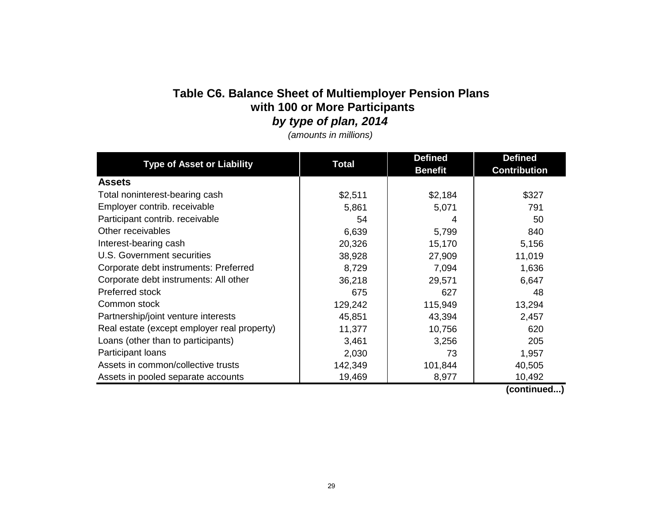# **Table C6. Balance Sheet of Multiemployer Pension Plans with 100 or More Participants**

*by type of plan, 2014*

*(amounts in millions)*

| <b>Type of Asset or Liability</b>           | <b>Total</b> | <b>Defined</b> | <b>Defined</b>      |
|---------------------------------------------|--------------|----------------|---------------------|
|                                             |              | <b>Benefit</b> | <b>Contribution</b> |
| <b>Assets</b>                               |              |                |                     |
| Total noninterest-bearing cash              | \$2,511      | \$2,184        | \$327               |
| Employer contrib. receivable                | 5,861        | 5,071          | 791                 |
| Participant contrib. receivable             | 54           | 4              | 50                  |
| Other receivables                           | 6,639        | 5,799          | 840                 |
| Interest-bearing cash                       | 20,326       | 15,170         | 5,156               |
| U.S. Government securities                  | 38,928       | 27,909         | 11,019              |
| Corporate debt instruments: Preferred       | 8,729        | 7,094          | 1,636               |
| Corporate debt instruments: All other       | 36,218       | 29,571         | 6,647               |
| Preferred stock                             | 675          | 627            | 48                  |
| Common stock                                | 129,242      | 115,949        | 13,294              |
| Partnership/joint venture interests         | 45,851       | 43,394         | 2,457               |
| Real estate (except employer real property) | 11,377       | 10,756         | 620                 |
| Loans (other than to participants)          | 3,461        | 3,256          | 205                 |
| Participant loans                           | 2,030        | 73             | 1,957               |
| Assets in common/collective trusts          | 142,349      | 101,844        | 40,505              |
| Assets in pooled separate accounts          | 19,469       | 8,977          | 10,492              |

 **(continued...)**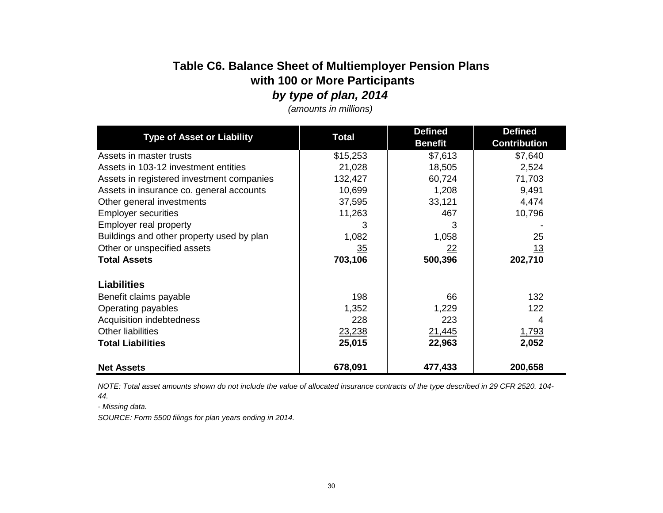# **Table C6. Balance Sheet of Multiemployer Pension Plans with 100 or More Participants**

*by type of plan, 2014*

|                                           |              | <b>Defined</b> | <b>Defined</b>      |
|-------------------------------------------|--------------|----------------|---------------------|
| <b>Type of Asset or Liability</b>         | <b>Total</b> | <b>Benefit</b> | <b>Contribution</b> |
| Assets in master trusts                   | \$15,253     | \$7,613        | \$7,640             |
| Assets in 103-12 investment entities      | 21,028       | 18,505         | 2,524               |
| Assets in registered investment companies | 132,427      | 60,724         | 71,703              |
| Assets in insurance co. general accounts  | 10,699       | 1,208          | 9,491               |
| Other general investments                 | 37,595       | 33,121         | 4,474               |
| <b>Employer securities</b>                | 11,263       | 467            | 10,796              |
| Employer real property                    | 3            | 3              |                     |
| Buildings and other property used by plan | 1,082        | 1,058          | 25                  |
| Other or unspecified assets               | 35           | <u>22</u>      | <u> 13</u>          |
| <b>Total Assets</b>                       | 703,106      | 500,396        | 202,710             |
| <b>Liabilities</b>                        |              |                |                     |
| Benefit claims payable                    | 198          | 66             | 132                 |
| Operating payables                        | 1,352        | 1,229          | 122                 |
| Acquisition indebtedness                  | 228          | 223            | 4                   |
| <b>Other liabilities</b>                  | 23,238       | 21,445         | 1,793               |
| <b>Total Liabilities</b>                  | 25,015       | 22,963         | 2,052               |
| <b>Net Assets</b>                         | 678,091      | 477,433        | 200,658             |

*(amounts in millions)*

*NOTE: Total asset amounts shown do not include the value of allocated insurance contracts of the type described in 29 CFR 2520. 104- 44.*

*- Missing data.*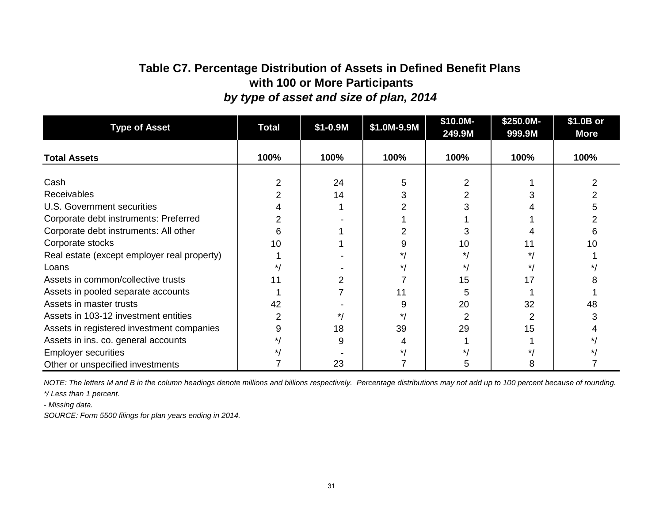### **Table C7. Percentage Distribution of Assets in Defined Benefit Plans with 100 or More Participants** *by type of asset and size of plan, 2014*

| <b>Type of Asset</b>                        | <b>Total</b> | $$1 - 0.9M$ | \$1.0M-9.9M | \$10.0M-<br>249.9M | \$250.0M-<br>999.9M | \$1.0B or<br><b>More</b> |
|---------------------------------------------|--------------|-------------|-------------|--------------------|---------------------|--------------------------|
| <b>Total Assets</b>                         | 100%         | 100%        | 100%        | 100%               | 100%                | 100%                     |
| Cash                                        | 2            | 24          | 5           |                    |                     |                          |
|                                             |              |             |             |                    |                     |                          |
| <b>Receivables</b>                          | 2            | 14          |             |                    |                     |                          |
| U.S. Government securities                  |              |             |             |                    |                     |                          |
| Corporate debt instruments: Preferred       |              |             |             |                    |                     |                          |
| Corporate debt instruments: All other       | 6            |             |             |                    |                     |                          |
| Corporate stocks                            | 10           |             | 9           | 10                 |                     | 10                       |
| Real estate (except employer real property) |              |             | $\star$     | $\star$            |                     |                          |
| Loans                                       | $\star$      |             | $\star$     |                    |                     |                          |
| Assets in common/collective trusts          | 11           |             |             | 15                 |                     |                          |
| Assets in pooled separate accounts          |              |             | 11          | 5                  |                     |                          |
| Assets in master trusts                     | 42           |             | 9           | 20                 | 32                  | 48                       |
| Assets in 103-12 investment entities        | 2            | */          | $\star$     | 2                  | 2                   |                          |
| Assets in registered investment companies   | 9            | 18          | 39          | 29                 | 15                  |                          |
| Assets in ins. co. general accounts         |              | 9           | 4           |                    |                     |                          |
| <b>Employer securities</b>                  |              |             |             |                    |                     |                          |
| Other or unspecified investments            |              | 23          |             | b.                 | 8                   |                          |

*NOTE: The letters M and B in the column headings denote millions and billions respectively. Percentage distributions may not add up to 100 percent because of rounding.* 

*\*/ Less than 1 percent.*

*- Missing data.*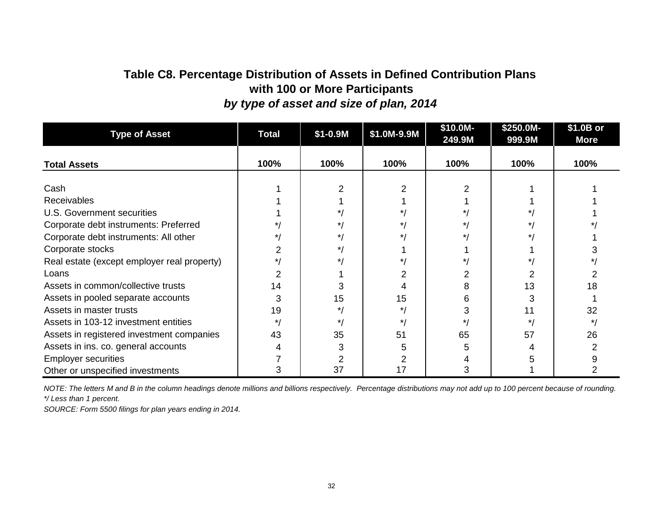# **with 100 or More Participants** *by type of asset and size of plan, 2014* **Table C8. Percentage Distribution of Assets in Defined Contribution Plans**

| <b>Type of Asset</b>                        | <b>Total</b> | $$1 - 0.9M$ | \$1.0M-9.9M | \$10.0M-<br>249.9M | \$250.0M-<br>999.9M | \$1.0B or<br><b>More</b> |
|---------------------------------------------|--------------|-------------|-------------|--------------------|---------------------|--------------------------|
| <b>Total Assets</b>                         | 100%         | 100%        | 100%        | 100%               | 100%                | 100%                     |
|                                             |              |             |             |                    |                     |                          |
| Cash                                        |              |             |             |                    |                     |                          |
| <b>Receivables</b>                          |              |             |             |                    |                     |                          |
| U.S. Government securities                  |              |             |             |                    |                     |                          |
| Corporate debt instruments: Preferred       |              |             |             |                    |                     |                          |
| Corporate debt instruments: All other       |              |             |             |                    |                     |                          |
| Corporate stocks                            |              |             |             |                    |                     |                          |
| Real estate (except employer real property) | * /          | $\star$ ,   |             |                    |                     |                          |
| Loans                                       |              |             |             |                    |                     |                          |
| Assets in common/collective trusts          | 14           |             |             | 8                  | 13                  | 18                       |
| Assets in pooled separate accounts          |              | 15          | 15          | 6                  | 3                   |                          |
| Assets in master trusts                     | 19           | *.          |             | 3                  | 11                  | 32                       |
| Assets in 103-12 investment entities        | $\star$ /    | $\star$     | * 1         | $\star$ /          | $\star$ /           | */                       |
| Assets in registered investment companies   | 43           | 35          | 51          | 65                 | 57                  | 26                       |
| Assets in ins. co. general accounts         |              |             | 5           |                    |                     |                          |
| <b>Employer securities</b>                  |              |             |             |                    |                     |                          |
| Other or unspecified investments            |              | 37          | 17          | 3                  |                     |                          |

*NOTE: The letters M and B in the column headings denote millions and billions respectively. Percentage distributions may not add up to 100 percent because of rounding. \*/ Less than 1 percent.*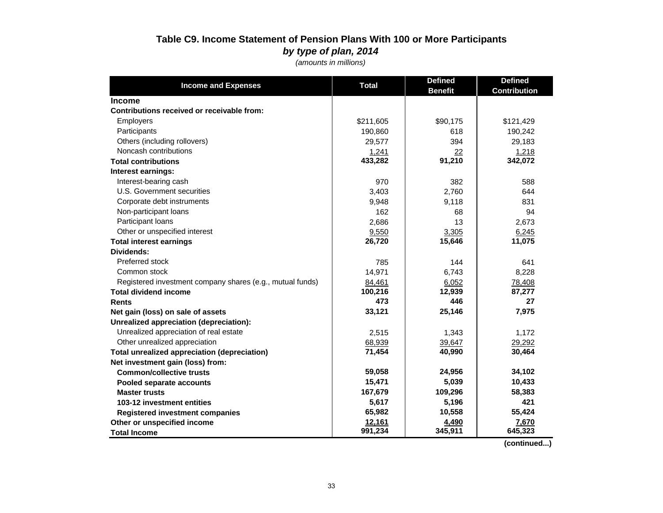### **Table C9. Income Statement of Pension Plans With 100 or More Participants** *by type of plan, 2014*

*(amounts in millions)*

| <b>Income and Expenses</b>                                | <b>Total</b> | <b>Defined</b> | <b>Defined</b>      |
|-----------------------------------------------------------|--------------|----------------|---------------------|
|                                                           |              | <b>Benefit</b> | <b>Contribution</b> |
| <b>Income</b>                                             |              |                |                     |
| Contributions received or receivable from:                |              |                |                     |
| Employers                                                 | \$211,605    | \$90,175       | \$121,429           |
| Participants                                              | 190,860      | 618            | 190,242             |
| Others (including rollovers)                              | 29,577       | 394            | 29,183              |
| Noncash contributions                                     | 1,241        | 22             | 1,218               |
| <b>Total contributions</b>                                | 433,282      | 91,210         | 342,072             |
| Interest earnings:                                        |              |                |                     |
| Interest-bearing cash                                     | 970          | 382            | 588                 |
| U.S. Government securities                                | 3,403        | 2,760          | 644                 |
| Corporate debt instruments                                | 9,948        | 9,118          | 831                 |
| Non-participant loans                                     | 162          | 68             | 94                  |
| Participant loans                                         | 2,686        | 13             | 2,673               |
| Other or unspecified interest                             | 9,550        | 3,305          | 6,245               |
| <b>Total interest earnings</b>                            | 26,720       | 15,646         | 11,075              |
| Dividends:                                                |              |                |                     |
| Preferred stock                                           | 785          | 144            | 641                 |
| Common stock                                              | 14,971       | 6.743          | 8,228               |
| Registered investment company shares (e.g., mutual funds) | 84,461       | 6,052          | 78,408              |
| <b>Total dividend income</b>                              | 100,216      | 12,939         | 87,277              |
| <b>Rents</b>                                              | 473          | 446            | 27                  |
| Net gain (loss) on sale of assets                         | 33,121       | 25,146         | 7,975               |
| Unrealized appreciation (depreciation):                   |              |                |                     |
| Unrealized appreciation of real estate                    | 2,515        | 1,343          | 1,172               |
| Other unrealized appreciation                             | 68,939       | 39,647         | 29,292              |
| Total unrealized appreciation (depreciation)              | 71,454       | 40,990         | 30,464              |
| Net investment gain (loss) from:                          |              |                |                     |
| <b>Common/collective trusts</b>                           | 59,058       | 24,956         | 34,102              |
| Pooled separate accounts                                  | 15,471       | 5,039          | 10,433              |
| <b>Master trusts</b>                                      | 167,679      | 109,296        | 58,383              |
| 103-12 investment entities                                | 5,617        | 5,196          | 421                 |
| <b>Registered investment companies</b>                    | 65,982       | 10,558         | 55,424              |
| Other or unspecified income                               | 12,161       | 4,490          | 7,670               |
| <b>Total Income</b>                                       | 991,234      | 345,911        | 645,323             |

 **(continued...)**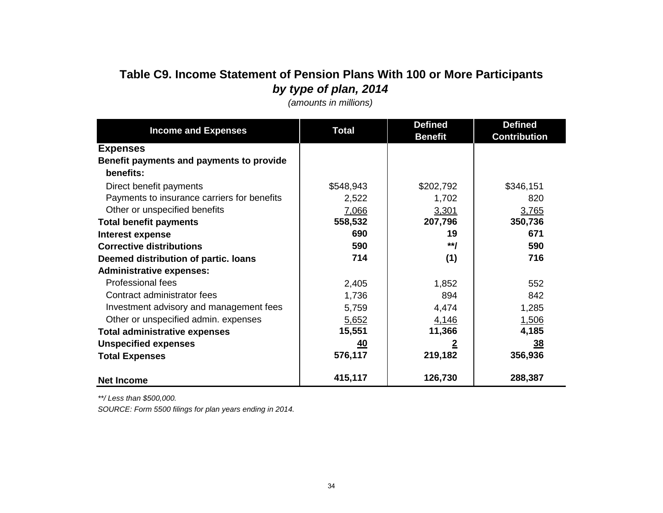# **Table C9. Income Statement of Pension Plans With 100 or More Participants** *by type of plan, 2014*

| <b>Income and Expenses</b>                  | <b>Total</b> | <b>Defined</b> | <b>Defined</b>      |
|---------------------------------------------|--------------|----------------|---------------------|
|                                             |              | <b>Benefit</b> | <b>Contribution</b> |
| <b>Expenses</b>                             |              |                |                     |
| Benefit payments and payments to provide    |              |                |                     |
| benefits:                                   |              |                |                     |
| Direct benefit payments                     | \$548,943    | \$202,792      | \$346,151           |
| Payments to insurance carriers for benefits | 2,522        | 1,702          | 820                 |
| Other or unspecified benefits               | 7,066        | 3,301          | 3,765               |
| <b>Total benefit payments</b>               | 558,532      | 207,796        | 350,736             |
| Interest expense                            | 690          | 19             | 671                 |
| <b>Corrective distributions</b>             | 590          | $**$           | 590                 |
| Deemed distribution of partic. Ioans        | 714          | (1)            | 716                 |
| <b>Administrative expenses:</b>             |              |                |                     |
| Professional fees                           | 2,405        | 1,852          | 552                 |
| Contract administrator fees                 | 1,736        | 894            | 842                 |
| Investment advisory and management fees     | 5,759        | 4,474          | 1,285               |
| Other or unspecified admin. expenses        | 5,652        | 4,146          | 1,506               |
| <b>Total administrative expenses</b>        | 15,551       | 11,366         | 4,185               |
| <b>Unspecified expenses</b>                 | <u>40</u>    |                | 38                  |
| <b>Total Expenses</b>                       | 576,117      | 219,182        | 356,936             |
|                                             |              |                |                     |
| <b>Net Income</b>                           | 415,117      | 126,730        | 288,387             |

*(amounts in millions)*

*\*\*/ Less than \$500,000.*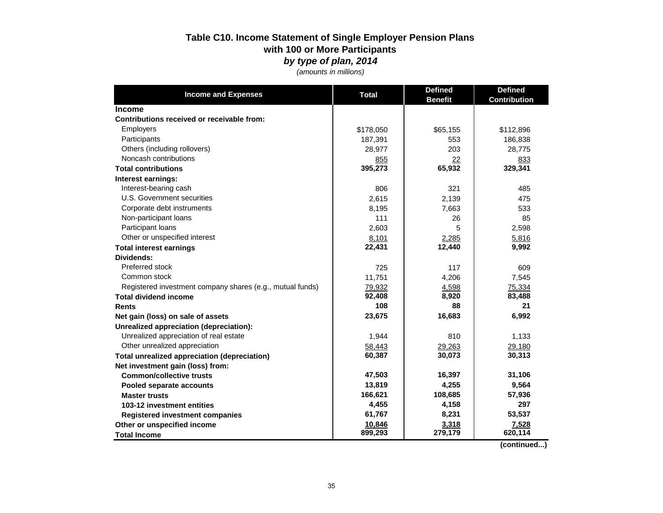### **Table C10. Income Statement of Single Employer Pension Plans with 100 or More Participants**  *by type of plan, 2014*

*(amounts in millions)*

| <b>Income and Expenses</b>                                  | <b>Total</b> | <b>Defined</b> | <b>Defined</b>      |
|-------------------------------------------------------------|--------------|----------------|---------------------|
|                                                             |              | <b>Benefit</b> | <b>Contribution</b> |
| <b>Income</b><br>Contributions received or receivable from: |              |                |                     |
|                                                             |              |                |                     |
| <b>Employers</b>                                            | \$178,050    | \$65,155       | \$112,896           |
| Participants                                                | 187,391      | 553            | 186,838             |
| Others (including rollovers)                                | 28,977       | 203            | 28,775              |
| Noncash contributions                                       | 855          | 22             | 833                 |
| <b>Total contributions</b>                                  | 395,273      | 65,932         | 329,341             |
| Interest earnings:                                          |              |                |                     |
| Interest-bearing cash                                       | 806          | 321            | 485                 |
| U.S. Government securities                                  | 2,615        | 2,139          | 475                 |
| Corporate debt instruments                                  | 8,195        | 7,663          | 533                 |
| Non-participant loans                                       | 111          | 26             | 85                  |
| Participant loans                                           | 2,603        | 5              | 2,598               |
| Other or unspecified interest                               | 8,101        | 2,285          | 5,816               |
| <b>Total interest earnings</b>                              | 22,431       | 12,440         | 9,992               |
| Dividends:                                                  |              |                |                     |
| Preferred stock                                             | 725          | 117            | 609                 |
| Common stock                                                | 11,751       | 4,206          | 7,545               |
| Registered investment company shares (e.g., mutual funds)   | 79,932       | 4,598          | 75,334              |
| <b>Total dividend income</b>                                | 92,408       | 8,920          | 83,488              |
| <b>Rents</b>                                                | 108          | 88             | 21                  |
| Net gain (loss) on sale of assets                           | 23,675       | 16,683         | 6,992               |
| Unrealized appreciation (depreciation):                     |              |                |                     |
| Unrealized appreciation of real estate                      | 1,944        | 810            | 1,133               |
| Other unrealized appreciation                               | 58,443       | 29,263         | 29,180              |
| Total unrealized appreciation (depreciation)                | 60,387       | 30,073         | 30,313              |
| Net investment gain (loss) from:                            |              |                |                     |
| <b>Common/collective trusts</b>                             | 47,503       | 16,397         | 31,106              |
| Pooled separate accounts                                    | 13,819       | 4,255          | 9,564               |
| <b>Master trusts</b>                                        | 166,621      | 108,685        | 57,936              |
| 103-12 investment entities                                  | 4,455        | 4,158          | 297                 |
| <b>Registered investment companies</b>                      | 61,767       | 8,231          | 53,537              |
| Other or unspecified income                                 | 10,846       | 3,318          | 7,528               |
| <b>Total Income</b>                                         | 899,293      | 279,179        | 620,114             |

 **(continued...)**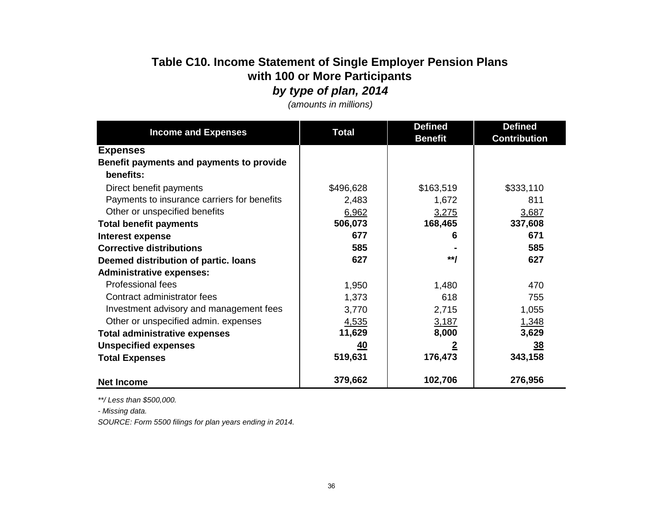# **Table C10. Income Statement of Single Employer Pension Plans with 100 or More Participants**

*by type of plan, 2014*

| <b>Income and Expenses</b>                            | <b>Total</b> | <b>Defined</b> | <b>Defined</b>      |
|-------------------------------------------------------|--------------|----------------|---------------------|
|                                                       |              | <b>Benefit</b> | <b>Contribution</b> |
| <b>Expenses</b>                                       |              |                |                     |
| Benefit payments and payments to provide<br>benefits: |              |                |                     |
| Direct benefit payments                               | \$496,628    | \$163,519      | \$333,110           |
| Payments to insurance carriers for benefits           | 2,483        | 1,672          | 811                 |
| Other or unspecified benefits                         | 6,962        | 3,275          | 3,687               |
| <b>Total benefit payments</b>                         | 506,073      | 168,465        | 337,608             |
| Interest expense                                      | 677          | 6              | 671                 |
| <b>Corrective distributions</b>                       | 585          |                | 585                 |
| Deemed distribution of partic. Ioans                  | 627          | $**$           | 627                 |
| <b>Administrative expenses:</b>                       |              |                |                     |
| Professional fees                                     | 1,950        | 1,480          | 470                 |
| Contract administrator fees                           | 1,373        | 618            | 755                 |
| Investment advisory and management fees               | 3,770        | 2,715          | 1,055               |
| Other or unspecified admin. expenses                  | 4,535        | 3,187          | 1,348               |
| <b>Total administrative expenses</b>                  | 11,629       | 8,000          | 3,629               |
| <b>Unspecified expenses</b>                           | <u>40</u>    | 2              | $\overline{38}$     |
| <b>Total Expenses</b>                                 | 519,631      | 176,473        | 343,158             |
| <b>Net Income</b>                                     | 379,662      | 102,706        | 276,956             |

*(amounts in millions)*

*\*\*/ Less than \$500,000.*

*- Missing data.*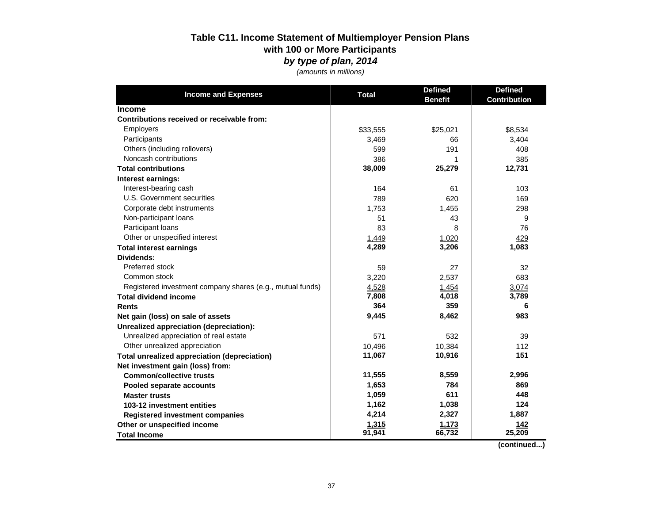### **Table C11. Income Statement of Multiemployer Pension Plans with 100 or More Participants**  *by type of plan, 2014*

*(amounts in millions)*

| <b>Income and Expenses</b>                                | <b>Total</b> | <b>Defined</b> | <b>Defined</b>      |
|-----------------------------------------------------------|--------------|----------------|---------------------|
|                                                           |              | <b>Benefit</b> | <b>Contribution</b> |
| <b>Income</b>                                             |              |                |                     |
| Contributions received or receivable from:                |              |                |                     |
| Employers                                                 | \$33,555     | \$25,021       | \$8,534             |
| Participants                                              | 3,469        | 66             | 3,404               |
| Others (including rollovers)                              | 599          | 191            | 408                 |
| Noncash contributions                                     | 386          | 1              | 385                 |
| <b>Total contributions</b>                                | 38,009       | 25,279         | 12,731              |
| Interest earnings:                                        |              |                |                     |
| Interest-bearing cash                                     | 164          | 61             | 103                 |
| U.S. Government securities                                | 789          | 620            | 169                 |
| Corporate debt instruments                                | 1,753        | 1,455          | 298                 |
| Non-participant loans                                     | 51           | 43             | 9                   |
| Participant Ioans                                         | 83           | 8              | 76                  |
| Other or unspecified interest                             | 1,449        | 1,020          | 429                 |
| <b>Total interest earnings</b>                            | 4,289        | 3,206          | 1,083               |
| Dividends:                                                |              |                |                     |
| Preferred stock                                           | 59           | 27             | 32                  |
| Common stock                                              | 3,220        | 2,537          | 683                 |
| Registered investment company shares (e.g., mutual funds) | 4,528        | 1,454          | 3,074               |
| <b>Total dividend income</b>                              | 7,808        | 4,018          | 3,789               |
| <b>Rents</b>                                              | 364          | 359            | 6                   |
| Net gain (loss) on sale of assets                         | 9,445        | 8,462          | 983                 |
| Unrealized appreciation (depreciation):                   |              |                |                     |
| Unrealized appreciation of real estate                    | 571          | 532            | 39                  |
| Other unrealized appreciation                             | 10,496       | 10,384         | $\frac{112}{151}$   |
| <b>Total unrealized appreciation (depreciation)</b>       | 11,067       | 10,916         |                     |
| Net investment gain (loss) from:                          |              |                |                     |
| <b>Common/collective trusts</b>                           | 11,555       | 8,559          | 2,996               |
| Pooled separate accounts                                  | 1,653        | 784            | 869                 |
| <b>Master trusts</b>                                      | 1,059        | 611            | 448                 |
| 103-12 investment entities                                | 1,162        | 1,038          | 124                 |
| <b>Registered investment companies</b>                    | 4,214        | 2,327          | 1,887               |
| Other or unspecified income                               | 1,315        | 1,173          | 142                 |
| <b>Total Income</b>                                       | 91,941       | 66,732         | 25,209              |

 **(continued...)**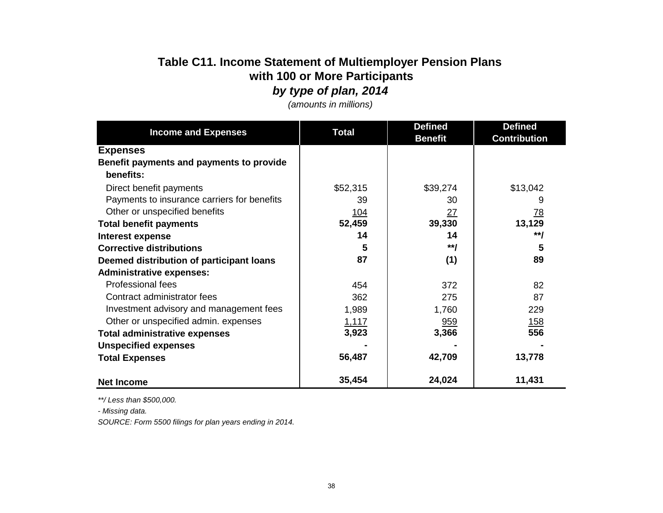# **Table C11. Income Statement of Multiemployer Pension Plans with 100 or More Participants**

*by type of plan, 2014*

|                                                       | <b>Total</b> | <b>Defined</b> | <b>Defined</b>      |
|-------------------------------------------------------|--------------|----------------|---------------------|
| <b>Income and Expenses</b>                            |              | <b>Benefit</b> | <b>Contribution</b> |
| <b>Expenses</b>                                       |              |                |                     |
| Benefit payments and payments to provide<br>benefits: |              |                |                     |
| Direct benefit payments                               | \$52,315     | \$39,274       | \$13,042            |
| Payments to insurance carriers for benefits           | 39           | 30             | 9                   |
| Other or unspecified benefits                         | 104          | 27             | <u>78</u>           |
| <b>Total benefit payments</b>                         | 52,459       | 39,330         | 13,129              |
| Interest expense                                      | 14           | 14             | **/                 |
| <b>Corrective distributions</b>                       | 5            | $**I$          | 5                   |
| Deemed distribution of participant loans              | 87           | (1)            | 89                  |
| <b>Administrative expenses:</b>                       |              |                |                     |
| <b>Professional fees</b>                              | 454          | 372            | 82                  |
| Contract administrator fees                           | 362          | 275            | 87                  |
| Investment advisory and management fees               | 1,989        | 1,760          | 229                 |
| Other or unspecified admin. expenses                  | <u>1,117</u> | 959            | <u> 158</u>         |
| <b>Total administrative expenses</b>                  | 3,923        | 3,366          | 556                 |
| <b>Unspecified expenses</b>                           |              |                |                     |
| <b>Total Expenses</b>                                 | 56,487       | 42,709         | 13,778              |
|                                                       |              |                |                     |
| <b>Net Income</b>                                     | 35,454       | 24,024         | 11,431              |

*(amounts in millions)*

*\*\*/ Less than \$500,000.*

*- Missing data.*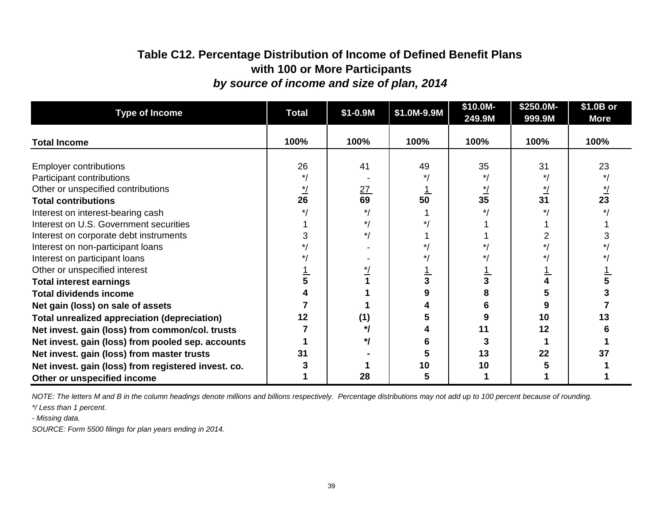## **Table C12. Percentage Distribution of Income of Defined Benefit Plans with 100 or More Participants** *by source of income and size of plan, 2014*

| <b>Type of Income</b>                               | <b>Total</b> | \$1-0.9M | \$1.0M-9.9M | \$10.0M-<br>249.9M | \$250.0M-<br>999.9M | \$1.0B or<br><b>More</b> |
|-----------------------------------------------------|--------------|----------|-------------|--------------------|---------------------|--------------------------|
|                                                     |              |          |             |                    |                     | 100%                     |
| <b>Total Income</b>                                 | 100%         | 100%     | 100%        | 100%               | 100%                |                          |
| <b>Employer contributions</b>                       | 26           | 41       | 49          | 35                 | 31                  | 23                       |
| Participant contributions                           |              |          |             |                    |                     |                          |
| Other or unspecified contributions                  |              | 27       |             |                    |                     |                          |
| <b>Total contributions</b>                          | 26           | 69       | 50          | 35                 | 31                  | 23                       |
| Interest on interest-bearing cash                   |              |          |             |                    |                     |                          |
| Interest on U.S. Government securities              |              |          |             |                    |                     |                          |
| Interest on corporate debt instruments              |              |          |             |                    |                     |                          |
| Interest on non-participant loans                   |              |          |             |                    |                     |                          |
| Interest on participant loans                       |              |          |             |                    |                     |                          |
| Other or unspecified interest                       |              |          |             |                    |                     |                          |
| <b>Total interest earnings</b>                      |              |          |             | 3                  |                     |                          |
| <b>Total dividends income</b>                       |              |          | 9           | 8                  |                     |                          |
| Net gain (loss) on sale of assets                   |              |          |             | 6                  |                     |                          |
| <b>Total unrealized appreciation (depreciation)</b> | 12           | (1)      |             | 9                  | 10                  | 13                       |
| Net invest. gain (loss) from common/col. trusts     |              | */       |             | 11                 | 12                  |                          |
| Net invest. gain (loss) from pooled sep. accounts   |              | */       |             | 3                  |                     |                          |
| Net invest. gain (loss) from master trusts          | 31           |          |             | 13                 | 22                  | 37                       |
| Net invest. gain (loss) from registered invest. co. |              |          | 10          | 10                 |                     |                          |
| Other or unspecified income                         |              | 28       | 5           |                    |                     |                          |

*NOTE: The letters M and B in the column headings denote millions and billions respectively. Percentage distributions may not add up to 100 percent because of rounding.*

*\*/ Less than 1 percent.*

*- Missing data.*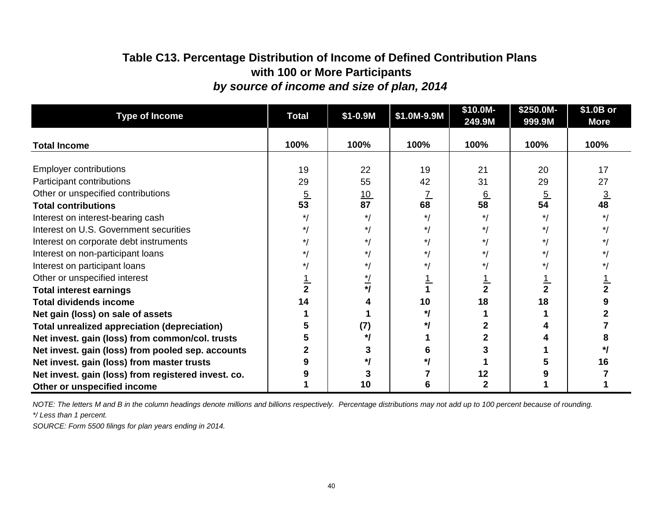# **Table C13. Percentage Distribution of Income of Defined Contribution Plans with 100 or More Participants** *by source of income and size of plan, 2014*

| <b>Type of Income</b>                               | <b>Total</b>   | $$1 - 0.9M$     | \$1.0M-9.9M | \$10.0M-<br>249.9M | \$250.0M-<br>999.9M | \$1.0B or<br><b>More</b> |
|-----------------------------------------------------|----------------|-----------------|-------------|--------------------|---------------------|--------------------------|
| <b>Total Income</b>                                 | 100%           | 100%            | 100%        | 100%               | 100%                | 100%                     |
| <b>Employer contributions</b>                       | 19             | 22              | 19          | 21                 | 20                  | 17                       |
| Participant contributions                           | 29             | 55              | 42          | 31                 | 29                  | 27                       |
| Other or unspecified contributions                  | $\frac{5}{53}$ | $\frac{10}{87}$ |             | $\frac{6}{58}$     | $\overline{5}$      | <u>3</u>                 |
| <b>Total contributions</b>                          |                |                 | 68          |                    | 54                  | 48                       |
| Interest on interest-bearing cash                   | $\star$ /      | $\star$ /       | $*1$        | $\star$            | $*1$                |                          |
| Interest on U.S. Government securities              | $\star$        | $\star$ /       | $\star$     | */                 | $*1$                |                          |
| Interest on corporate debt instruments              |                | $\star$ /       |             | */                 |                     |                          |
| Interest on non-participant loans                   |                | * 1             |             | */                 |                     |                          |
| Interest on participant loans                       |                | $\star$ /       |             | $\star$ /          |                     |                          |
| Other or unspecified interest                       |                | $\star$ /       |             |                    |                     |                          |
| <b>Total interest earnings</b>                      |                | $^{\star}$      |             | $\overline{2}$     | $\frac{1}{2}$       |                          |
| <b>Total dividends income</b>                       | 14             | 4               | 10          | 18                 | 18                  |                          |
| Net gain (loss) on sale of assets                   |                |                 | */          |                    |                     |                          |
| <b>Total unrealized appreciation (depreciation)</b> |                | (7)             | *1          |                    |                     |                          |
| Net invest. gain (loss) from common/col. trusts     |                | */              |             |                    |                     |                          |
| Net invest. gain (loss) from pooled sep. accounts   |                | 3               |             |                    |                     |                          |
| Net invest. gain (loss) from master trusts          |                | */              |             |                    |                     | 16                       |
| Net invest. gain (loss) from registered invest. co. |                |                 |             | 12                 |                     |                          |
| Other or unspecified income                         |                | 10              |             |                    |                     |                          |

*\*/ Less than 1 percent. NOTE: The letters M and B in the column headings denote millions and billions respectively. Percentage distributions may not add up to 100 percent because of rounding.*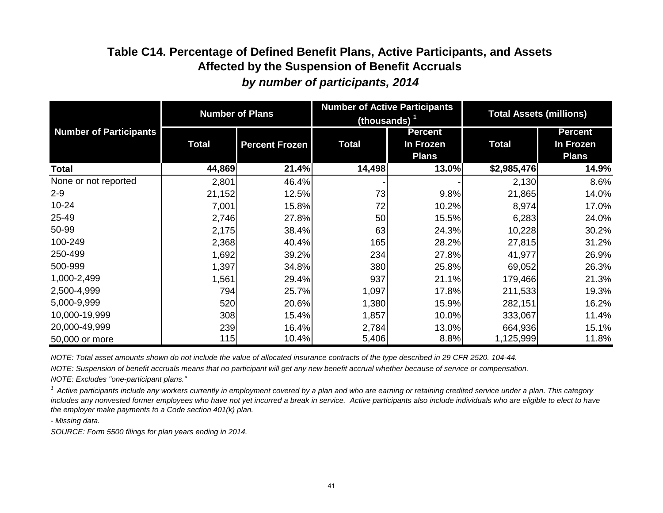# **Table C14. Percentage of Defined Benefit Plans, Active Participants, and Assets Affected by the Suspension of Benefit Accruals**  *by number of participants, 2014*

|                               | <b>Number of Plans</b> |                       | (thousands) $1$ | <b>Number of Active Participants</b>        | <b>Total Assets (millions)</b> |                                             |
|-------------------------------|------------------------|-----------------------|-----------------|---------------------------------------------|--------------------------------|---------------------------------------------|
| <b>Number of Participants</b> | <b>Total</b>           | <b>Percent Frozen</b> | <b>Total</b>    | <b>Percent</b><br>In Frozen<br><b>Plans</b> | <b>Total</b>                   | <b>Percent</b><br>In Frozen<br><b>Plans</b> |
| Total                         | 44,869                 | 21.4%                 | 14,498          | 13.0%                                       | \$2,985,476                    | 14.9%                                       |
| None or not reported          | 2,801                  | 46.4%                 |                 |                                             | 2,130                          | 8.6%                                        |
| $2 - 9$                       | 21,152                 | 12.5%                 | 73              | 9.8%                                        | 21,865                         | 14.0%                                       |
| $10 - 24$                     | 7,001                  | 15.8%                 | 72              | 10.2%                                       | 8,974                          | 17.0%                                       |
| 25-49                         | 2,746                  | 27.8%                 | 50              | 15.5%                                       | 6,283                          | 24.0%                                       |
| 50-99                         | 2,175                  | 38.4%                 | 63              | 24.3%                                       | 10,228                         | 30.2%                                       |
| 100-249                       | 2,368                  | 40.4%                 | 165             | 28.2%                                       | 27,815                         | 31.2%                                       |
| 250-499                       | 1,692                  | 39.2%                 | 234             | 27.8%                                       | 41,977                         | 26.9%                                       |
| 500-999                       | 1,397                  | 34.8%                 | 380             | 25.8%                                       | 69,052                         | 26.3%                                       |
| 1,000-2,499                   | 1,561                  | 29.4%                 | 937             | 21.1%                                       | 179,466                        | 21.3%                                       |
| 2,500-4,999                   | 794                    | 25.7%                 | 1,097           | 17.8%                                       | 211,533                        | 19.3%                                       |
| 5,000-9,999                   | 520                    | 20.6%                 | 1,380           | 15.9%                                       | 282,151                        | 16.2%                                       |
| 10,000-19,999                 | 308                    | 15.4%                 | 1,857           | 10.0%                                       | 333,067                        | 11.4%                                       |
| 20,000-49,999                 | 239                    | 16.4%                 | 2,784           | 13.0%                                       | 664,936                        | 15.1%                                       |
| 50,000 or more                | 115                    | 10.4%                 | 5,406           | 8.8%                                        | 1,125,999                      | 11.8%                                       |

*NOTE: Total asset amounts shown do not include the value of allocated insurance contracts of the type described in 29 CFR 2520. 104-44.*

*NOTE: Suspension of benefit accruals means that no participant will get any new benefit accrual whether because of service or compensation.*

*NOTE: Excludes "one-participant plans."*

*1 Active participants include any workers currently in employment covered by a plan and who are earning or retaining credited service under a plan. This category*  includes any nonvested former employees who have not yet incurred a break in service. Active participants also include individuals who are eligible to elect to have *the employer make payments to a Code section 401(k) plan.* 

*- Missing data.*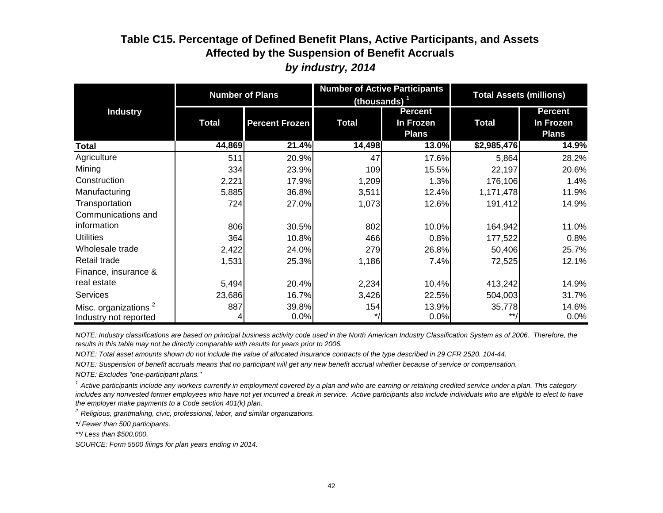### **Table C15. Percentage of Defined Benefit Plans, Active Participants, and Assets Affected by the Suspension of Benefit Accruals**  *by industry, 2014*

|                                  | <b>Number of Plans</b> |                       |              | <b>Number of Active Participants</b><br>(thousands) <sup>1</sup> | <b>Total Assets (millions)</b> |                             |
|----------------------------------|------------------------|-----------------------|--------------|------------------------------------------------------------------|--------------------------------|-----------------------------|
| <b>Industry</b>                  | <b>Total</b>           | <b>Percent Frozen</b> | <b>Total</b> | <b>Percent</b><br>In Frozen                                      | <b>Total</b>                   | <b>Percent</b><br>In Frozen |
|                                  |                        |                       |              | <b>Plans</b>                                                     |                                | <b>Plans</b>                |
| Total                            | 44,869                 | 21.4%                 | 14,498       | 13.0%                                                            | \$2,985,476                    | 14.9%                       |
| Agriculture                      | 511                    | 20.9%                 | 47           | 17.6%                                                            | 5,864                          | 28.2%                       |
| Mining                           | 334                    | 23.9%                 | 109          | 15.5%                                                            | 22,197                         | 20.6%                       |
| Construction                     | 2,221                  | 17.9%                 | 1,209        | 1.3%                                                             | 176,106                        | 1.4%                        |
| Manufacturing                    | 5,885                  | 36.8%                 | 3,511        | 12.4%                                                            | 1,171,478                      | 11.9%                       |
| Transportation                   | 724                    | 27.0%                 | 1,073        | 12.6%                                                            | 191,412                        | 14.9%                       |
| Communications and               |                        |                       |              |                                                                  |                                |                             |
| information                      | 806                    | 30.5%                 | 802          | 10.0%                                                            | 164,942                        | 11.0%                       |
| <b>Utilities</b>                 | 364                    | 10.8%                 | 466          | 0.8%                                                             | 177,522                        | 0.8%                        |
| Wholesale trade                  | 2,422                  | 24.0%                 | 279          | 26.8%                                                            | 50,406                         | 25.7%                       |
| Retail trade                     | 1,531                  | 25.3%                 | 1,186        | 7.4%                                                             | 72,525                         | 12.1%                       |
| Finance, insurance &             |                        |                       |              |                                                                  |                                |                             |
| real estate                      | 5,494                  | 20.4%                 | 2,234        | 10.4%                                                            | 413,242                        | 14.9%                       |
| <b>Services</b>                  | 23,686                 | 16.7%                 | 3,426        | 22.5%                                                            | 504,003                        | 31.7%                       |
| Misc. organizations <sup>2</sup> | 887                    | 39.8%                 | 154          | 13.9%                                                            | 35,778                         | 14.6%                       |
| Industry not reported            | 4                      | 0.0%                  |              | 0.0%                                                             | $***$                          | 0.0%                        |

*NOTE: Industry classifications are based on principal business activity code used in the North American Industry Classification System as of 2006. Therefore, the results in this table may not be directly comparable with results for years prior to 2006.*

*NOTE: Total asset amounts shown do not include the value of allocated insurance contracts of the type described in 29 CFR 2520. 104-44.*

*NOTE: Suspension of benefit accruals means that no participant will get any new benefit accrual whether because of service or compensation.*

*NOTE: Excludes "one-participant plans."*

<sup>1</sup> Active participants include any workers currently in employment covered by a plan and who are earning or retaining credited service under a plan. This category includes any nonvested former employees who have not yet incurred a break in service. Active participants also include individuals who are eligible to elect to have *the employer make payments to a Code section 401(k) plan.* 

*2 Religious, grantmaking, civic, professional, labor, and similar organizations.*

*\*/ Fewer than 500 participants.*

*\*\*/ Less than \$500,000.*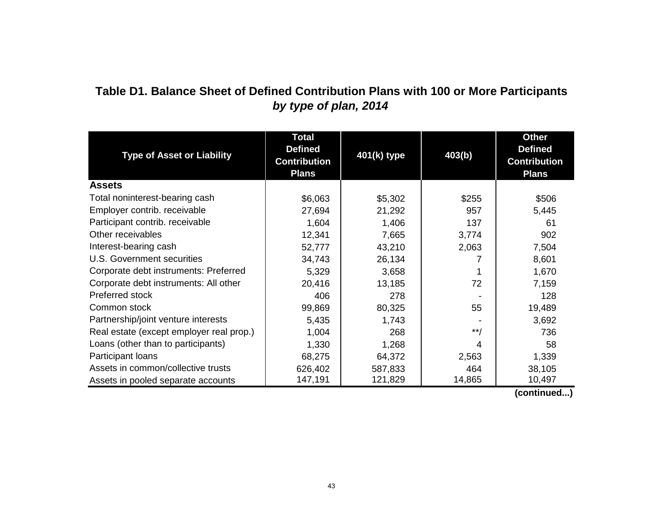# **Table D1. Balance Sheet of Defined Contribution Plans with 100 or More Participants** *by type of plan, 2014*

| <b>Type of Asset or Liability</b>        | <b>Total</b><br><b>Defined</b><br><b>Contribution</b><br><b>Plans</b> | 401(k) type | 403(b) | <b>Other</b><br><b>Defined</b><br><b>Contribution</b><br><b>Plans</b> |
|------------------------------------------|-----------------------------------------------------------------------|-------------|--------|-----------------------------------------------------------------------|
| <b>Assets</b>                            |                                                                       |             |        |                                                                       |
| Total noninterest-bearing cash           | \$6,063                                                               | \$5,302     | \$255  | \$506                                                                 |
| Employer contrib. receivable             | 27,694                                                                | 21,292      | 957    | 5,445                                                                 |
| Participant contrib. receivable          | 1,604                                                                 | 1,406       | 137    | 61                                                                    |
| Other receivables                        | 12,341                                                                | 7,665       | 3,774  | 902                                                                   |
| Interest-bearing cash                    | 52,777                                                                | 43,210      | 2,063  | 7,504                                                                 |
| U.S. Government securities               | 34,743                                                                | 26,134      | 7      | 8,601                                                                 |
| Corporate debt instruments: Preferred    | 5,329                                                                 | 3,658       |        | 1,670                                                                 |
| Corporate debt instruments: All other    | 20,416                                                                | 13,185      | 72     | 7,159                                                                 |
| Preferred stock                          | 406                                                                   | 278         |        | 128                                                                   |
| Common stock                             | 99,869                                                                | 80,325      | 55     | 19,489                                                                |
| Partnership/joint venture interests      | 5,435                                                                 | 1,743       |        | 3,692                                                                 |
| Real estate (except employer real prop.) | 1,004                                                                 | 268         | $**/$  | 736                                                                   |
| Loans (other than to participants)       | 1,330                                                                 | 1,268       | 4      | 58                                                                    |
| Participant loans                        | 68,275                                                                | 64,372      | 2,563  | 1,339                                                                 |
| Assets in common/collective trusts       | 626,402                                                               | 587,833     | 464    | 38,105                                                                |
| Assets in pooled separate accounts       | 147,191                                                               | 121,829     | 14,865 | 10,497                                                                |

 **(continued...)**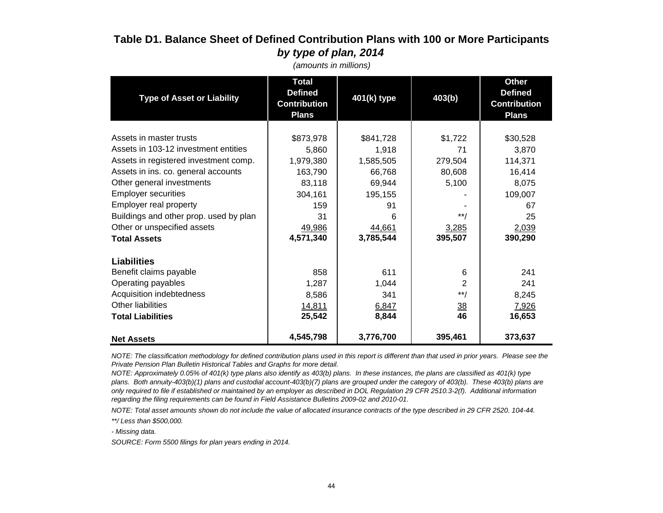### **Table D1. Balance Sheet of Defined Contribution Plans with 100 or More Participants** *by type of plan, 2014*

| <b>Type of Asset or Liability</b>                                                                                                                                                                                                                                                                                                    | <b>Total</b><br><b>Defined</b><br><b>Contribution</b><br><b>Plans</b>                               | 401(k) type                                                                                      | 403(b)                                                                   | <b>Other</b><br><b>Defined</b><br><b>Contribution</b><br><b>Plans</b>                      |
|--------------------------------------------------------------------------------------------------------------------------------------------------------------------------------------------------------------------------------------------------------------------------------------------------------------------------------------|-----------------------------------------------------------------------------------------------------|--------------------------------------------------------------------------------------------------|--------------------------------------------------------------------------|--------------------------------------------------------------------------------------------|
| Assets in master trusts<br>Assets in 103-12 investment entities<br>Assets in registered investment comp.<br>Assets in ins. co. general accounts<br>Other general investments<br><b>Employer securities</b><br>Employer real property<br>Buildings and other prop. used by plan<br>Other or unspecified assets<br><b>Total Assets</b> | \$873,978<br>5,860<br>1,979,380<br>163,790<br>83,118<br>304,161<br>159<br>31<br>49,986<br>4,571,340 | \$841,728<br>1,918<br>1,585,505<br>66,768<br>69,944<br>195,155<br>91<br>6<br>44,661<br>3,785,544 | \$1,722<br>71<br>279,504<br>80,608<br>5,100<br>$**/$<br>3,285<br>395,507 | \$30,528<br>3,870<br>114,371<br>16,414<br>8,075<br>109,007<br>67<br>25<br>2,039<br>390,290 |
| <b>Liabilities</b><br>Benefit claims payable<br>Operating payables<br>Acquisition indebtedness<br>Other liabilities<br><b>Total Liabilities</b><br><b>Net Assets</b>                                                                                                                                                                 | 858<br>1,287<br>8,586<br>14,811<br>25,542<br>4,545,798                                              | 611<br>1,044<br>341<br>6,847<br>8,844<br>3,776,700                                               | 6<br>$\overline{2}$<br>$**/$<br>$\frac{38}{1}$<br>46<br>395,461          | 241<br>241<br>8,245<br>7,926<br>16,653<br>373,637                                          |

 *(amounts in millions)*

*NOTE: The classification methodology for defined contribution plans used in this report is different than that used in prior years. Please see the Private Pension Plan Bulletin Historical Tables and Graphs for more detail.*

*NOTE: Approximately 0.05% of 401(k) type plans also identify as 403(b) plans. In these instances, the plans are classified as 401(k) type plans. Both annuity-403(b)(1) plans and custodial account-403(b)(7) plans are grouped under the category of 403(b). These 403(b) plans are only required to file if established or maintained by an employer as described in DOL Regulation 29 CFR 2510.3-2(f). Additional information regarding the filing requirements can be found in Field Assistance Bulletins 2009-02 and 2010-01.*

*NOTE: Total asset amounts shown do not include the value of allocated insurance contracts of the type described in 29 CFR 2520. 104-44.*

*\*\*/ Less than \$500,000.*

*- Missing data.*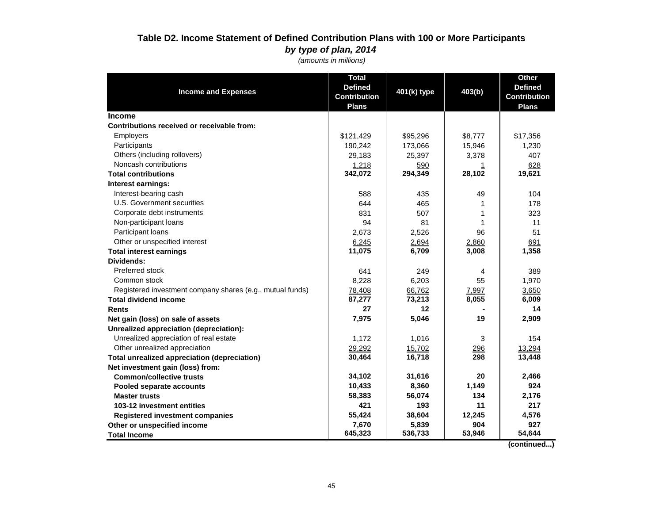#### **Table D2. Income Statement of Defined Contribution Plans with 100 or More Participants** *by type of plan, 2014*

 *(amounts in millions)*

| <b>Income and Expenses</b>                                | <b>Total</b><br><b>Defined</b><br><b>Contribution</b> | 401(k) type | 403(b)  | <b>Other</b><br><b>Defined</b><br><b>Contribution</b> |
|-----------------------------------------------------------|-------------------------------------------------------|-------------|---------|-------------------------------------------------------|
| <b>Income</b>                                             | <b>Plans</b>                                          |             |         | <b>Plans</b>                                          |
| Contributions received or receivable from:                |                                                       |             |         |                                                       |
| Employers                                                 | \$121,429                                             | \$95,296    | \$8,777 | \$17,356                                              |
| Participants                                              | 190,242                                               | 173,066     | 15,946  | 1,230                                                 |
| Others (including rollovers)                              | 29,183                                                | 25,397      | 3,378   | 407                                                   |
| Noncash contributions                                     | 1,218                                                 | 590         |         | 628                                                   |
| <b>Total contributions</b>                                | 342,072                                               | 294,349     | 28,102  | 19,621                                                |
| Interest earnings:                                        |                                                       |             |         |                                                       |
| Interest-bearing cash                                     | 588                                                   | 435         | 49      | 104                                                   |
| U.S. Government securities                                | 644                                                   | 465         |         | 178                                                   |
| Corporate debt instruments                                | 831                                                   | 507         | 1       | 323                                                   |
| Non-participant loans                                     | 94                                                    | 81          | 1       | 11                                                    |
| Participant loans                                         | 2,673                                                 | 2,526       | 96      | 51                                                    |
| Other or unspecified interest                             | 6,245                                                 | 2,694       | 2,860   | 691                                                   |
| <b>Total interest earnings</b>                            | 11,075                                                | 6,709       | 3,008   | 1,358                                                 |
| Dividends:                                                |                                                       |             |         |                                                       |
| Preferred stock                                           | 641                                                   | 249         | 4       | 389                                                   |
| Common stock                                              | 8,228                                                 | 6,203       | 55      | 1,970                                                 |
| Registered investment company shares (e.g., mutual funds) | 78,408                                                | 66,762      | 7,997   | 3,650                                                 |
| <b>Total dividend income</b>                              | 87,277                                                | 73,213      | 8,055   | 6,009                                                 |
| <b>Rents</b>                                              | 27                                                    | 12          |         | 14                                                    |
| Net gain (loss) on sale of assets                         | 7,975                                                 | 5,046       | 19      | 2,909                                                 |
| Unrealized appreciation (depreciation):                   |                                                       |             |         |                                                       |
| Unrealized appreciation of real estate                    | 1,172                                                 | 1,016       | 3       | 154                                                   |
| Other unrealized appreciation                             | 29,292                                                | 15,702      | 296     | 13,294                                                |
| <b>Total unrealized appreciation (depreciation)</b>       | 30,464                                                | 16,718      | 298     | 13,448                                                |
| Net investment gain (loss) from:                          |                                                       |             |         |                                                       |
| <b>Common/collective trusts</b>                           | 34,102                                                | 31,616      | 20      | 2,466                                                 |
| Pooled separate accounts                                  | 10,433                                                | 8,360       | 1,149   | 924                                                   |
| <b>Master trusts</b>                                      | 58,383                                                | 56,074      | 134     | 2,176                                                 |
| 103-12 investment entities                                | 421                                                   | 193         | 11      | 217                                                   |
| <b>Registered investment companies</b>                    | 55,424                                                | 38,604      | 12,245  | 4,576                                                 |
| Other or unspecified income                               | 7,670                                                 | 5,839       | 904     | 927                                                   |
| <b>Total Income</b>                                       | 645,323                                               | 536,733     | 53,946  | 54,644                                                |

 **(continued...)**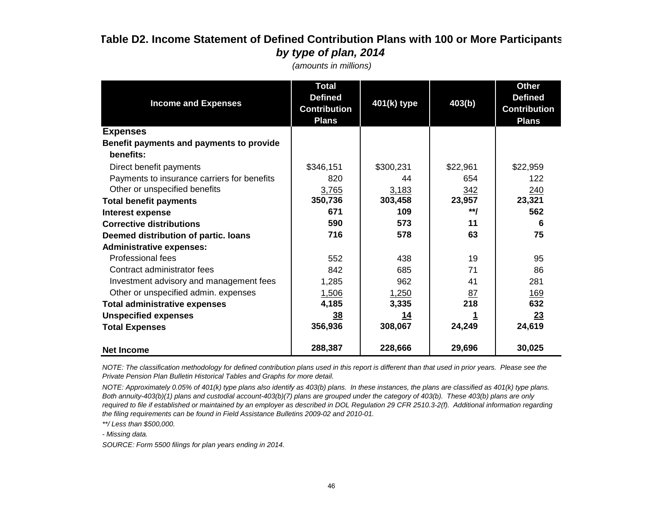## **Table D2. Income Statement of Defined Contribution Plans with 100 or More Participants** *by type of plan, 2014*

| <b>Income and Expenses</b>                  | <b>Total</b><br><b>Defined</b><br><b>Contribution</b><br><b>Plans</b> | 401(k) type | 403(b)    | <b>Other</b><br><b>Defined</b><br><b>Contribution</b><br><b>Plans</b> |
|---------------------------------------------|-----------------------------------------------------------------------|-------------|-----------|-----------------------------------------------------------------------|
| <b>Expenses</b>                             |                                                                       |             |           |                                                                       |
| Benefit payments and payments to provide    |                                                                       |             |           |                                                                       |
| benefits:                                   |                                                                       |             |           |                                                                       |
| Direct benefit payments                     | \$346,151                                                             | \$300,231   | \$22,961  | \$22,959                                                              |
| Payments to insurance carriers for benefits | 820                                                                   | 44          | 654       | 122                                                                   |
| Other or unspecified benefits               | 3,765                                                                 | 3,183       | 342       | 240                                                                   |
| <b>Total benefit payments</b>               | 350,736                                                               | 303,458     | 23,957    | 23,321                                                                |
| Interest expense                            | 671                                                                   | 109         | **/       | 562                                                                   |
| <b>Corrective distributions</b>             | 590                                                                   | 573         | 11        | 6                                                                     |
| Deemed distribution of partic. Ioans        | 716                                                                   | 578         | 63        | 75                                                                    |
| <b>Administrative expenses:</b>             |                                                                       |             |           |                                                                       |
| <b>Professional fees</b>                    | 552                                                                   | 438         | 19        | 95                                                                    |
| Contract administrator fees                 | 842                                                                   | 685         | 71        | 86                                                                    |
| Investment advisory and management fees     | 1,285                                                                 | 962         | 41        | 281                                                                   |
| Other or unspecified admin. expenses        | 1,506                                                                 | 1,250       | <u>87</u> | <u> 169</u>                                                           |
| <b>Total administrative expenses</b>        | 4,185                                                                 | 3,335       | 218       | 632                                                                   |
| <b>Unspecified expenses</b>                 | 38                                                                    | <u>14</u>   |           | 23                                                                    |
| <b>Total Expenses</b>                       | 356,936                                                               | 308,067     | 24,249    | 24,619                                                                |
| <b>Net Income</b>                           | 288,387                                                               | 228,666     | 29,696    | 30,025                                                                |

 *(amounts in millions)*

*NOTE: The classification methodology for defined contribution plans used in this report is different than that used in prior years. Please see the Private Pension Plan Bulletin Historical Tables and Graphs for more detail.*

*NOTE: Approximately 0.05% of 401(k) type plans also identify as 403(b) plans. In these instances, the plans are classified as 401(k) type plans. Both annuity-403(b)(1) plans and custodial account-403(b)(7) plans are grouped under the category of 403(b). These 403(b) plans are only required to file if established or maintained by an employer as described in DOL Regulation 29 CFR 2510.3-2(f). Additional information regarding the filing requirements can be found in Field Assistance Bulletins 2009-02 and 2010-01.*

*\*\*/ Less than \$500,000.*

*- Missing data.*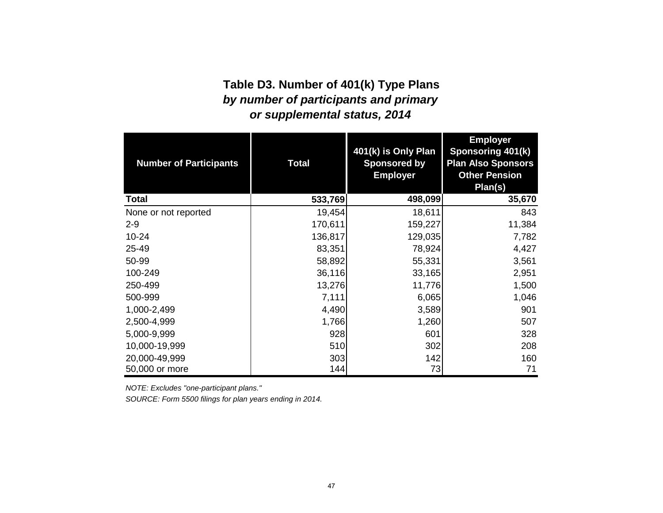# *by number of participants and primary* **Table D3. Number of 401(k) Type Plans** *or supplemental status, 2014*

| <b>Number of Participants</b> | <b>Total</b> | 401(k) is Only Plan<br><b>Sponsored by</b><br><b>Employer</b> | <b>Employer</b><br>Sponsoring 401(k)<br><b>Plan Also Sponsors</b><br><b>Other Pension</b><br>Plan(s) |
|-------------------------------|--------------|---------------------------------------------------------------|------------------------------------------------------------------------------------------------------|
| <b>Total</b>                  | 533,769      | 498,099                                                       | 35,670                                                                                               |
| None or not reported          | 19,454       | 18,611                                                        | 843                                                                                                  |
| $2 - 9$                       | 170,611      | 159,227                                                       | 11,384                                                                                               |
| $10 - 24$                     | 136,817      | 129,035                                                       | 7,782                                                                                                |
| 25-49                         | 83,351       | 78,924                                                        | 4,427                                                                                                |
| 50-99                         | 58,892       | 55,331                                                        | 3,561                                                                                                |
| 100-249                       | 36,116       | 33,165                                                        | 2,951                                                                                                |
| 250-499                       | 13,276       | 11,776                                                        | 1,500                                                                                                |
| 500-999                       | 7,111        | 6,065                                                         | 1,046                                                                                                |
| 1,000-2,499                   | 4,490        | 3,589                                                         | 901                                                                                                  |
| 2,500-4,999                   | 1,766        | 1,260                                                         | 507                                                                                                  |
| 5,000-9,999                   | 928          | 601                                                           | 328                                                                                                  |
| 10,000-19,999                 | 510          | 302                                                           | 208                                                                                                  |
| 20,000-49,999                 | 303          | 142                                                           | 160                                                                                                  |
| 50,000 or more                | 144          | 73                                                            | 71                                                                                                   |

*NOTE: Excludes "one-participant plans."*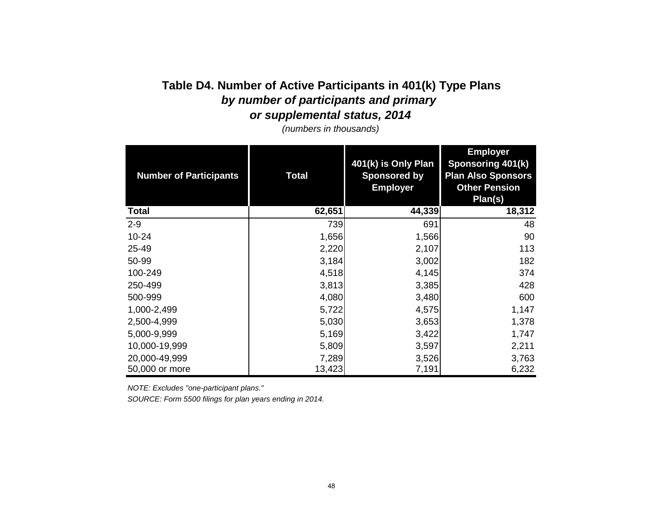# **Table D4. Number of Active Participants in 401(k) Type Plans** *by number of participants and primary*

*or supplemental status, 2014*

*(numbers in thousands)*

| <b>Number of Participants</b> | Total  | 401(k) is Only Plan<br><b>Sponsored by</b><br><b>Employer</b> | <b>Employer</b><br>Sponsoring 401(k)<br><b>Plan Also Sponsors</b><br><b>Other Pension</b><br>Plan(s) |
|-------------------------------|--------|---------------------------------------------------------------|------------------------------------------------------------------------------------------------------|
| <b>Total</b>                  | 62,651 | 44,339                                                        | 18,312                                                                                               |
| $2 - 9$                       | 739    | 691                                                           | 48                                                                                                   |
| $10 - 24$                     | 1,656  | 1,566                                                         | 90                                                                                                   |
| 25-49                         | 2,220  | 2,107                                                         | 113                                                                                                  |
| 50-99                         | 3,184  | 3,002                                                         | 182                                                                                                  |
| 100-249                       | 4,518  | 4,145                                                         | 374                                                                                                  |
| 250-499                       | 3,813  | 3,385                                                         | 428                                                                                                  |
| 500-999                       | 4,080  | 3,480                                                         | 600                                                                                                  |
| 1,000-2,499                   | 5,722  | 4,575                                                         | 1,147                                                                                                |
| 2,500-4,999                   | 5,030  | 3,653                                                         | 1,378                                                                                                |
| 5,000-9,999                   | 5,169  | 3,422                                                         | 1,747                                                                                                |
| 10,000-19,999                 | 5,809  | 3,597                                                         | 2,211                                                                                                |
| 20,000-49,999                 | 7,289  | 3,526                                                         | 3,763                                                                                                |
| 50,000 or more                | 13,423 | 7,191                                                         | 6,232                                                                                                |

*NOTE: Excludes "one-participant plans."*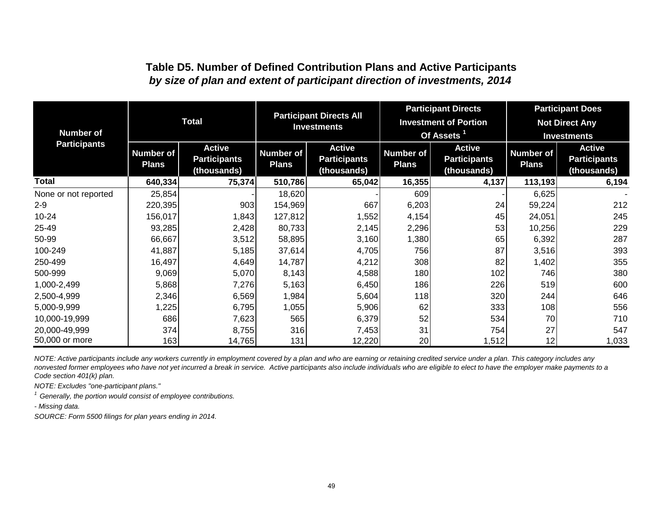### **Table D5. Number of Defined Contribution Plans and Active Participants**  *by size of plan and extent of participant direction of investments, 2014*

|                      |                                  |                                                     | <b>Participant Directs All</b>   |                                                     | <b>Participant Directs</b>       |                                                     | <b>Participant Does</b>          |                                                     |
|----------------------|----------------------------------|-----------------------------------------------------|----------------------------------|-----------------------------------------------------|----------------------------------|-----------------------------------------------------|----------------------------------|-----------------------------------------------------|
|                      |                                  | <b>Total</b>                                        |                                  | <b>Investments</b>                                  |                                  | <b>Investment of Portion</b>                        | <b>Not Direct Any</b>            |                                                     |
| <b>Number of</b>     |                                  |                                                     |                                  |                                                     |                                  | Of Assets $1$                                       | <b>Investments</b>               |                                                     |
| <b>Participants</b>  | <b>Number of</b><br><b>Plans</b> | <b>Active</b><br><b>Participants</b><br>(thousands) | <b>Number of</b><br><b>Plans</b> | <b>Active</b><br><b>Participants</b><br>(thousands) | <b>Number of</b><br><b>Plans</b> | <b>Active</b><br><b>Participants</b><br>(thousands) | <b>Number of</b><br><b>Plans</b> | <b>Active</b><br><b>Participants</b><br>(thousands) |
| Total                | 640,334                          | 75,374                                              | 510,786                          | 65,042                                              | 16,355                           | 4,137                                               | 113,193                          | 6,194                                               |
| None or not reported | 25,854                           |                                                     | 18,620                           |                                                     | 609                              |                                                     | 6,625                            |                                                     |
| $2 - 9$              | 220,395                          | 903                                                 | 154,969                          | 667                                                 | 6,203                            | 24                                                  | 59,224                           | 212                                                 |
| $10 - 24$            | 156,017                          | 1,843                                               | 127,812                          | 1,552                                               | 4,154                            | 45                                                  | 24,051                           | 245                                                 |
| 25-49                | 93,285                           | 2,428                                               | 80,733                           | 2,145                                               | 2,296                            | 53                                                  | 10,256                           | 229                                                 |
| 50-99                | 66,667                           | 3,512                                               | 58,895                           | 3,160                                               | 1,380                            | 65                                                  | 6,392                            | 287                                                 |
| 100-249              | 41,887                           | 5,185                                               | 37,614                           | 4,705                                               | 756                              | 87                                                  | 3,516                            | 393                                                 |
| 250-499              | 16,497                           | 4,649                                               | 14,787                           | 4,212                                               | 308                              | 82                                                  | 1,402                            | 355                                                 |
| 500-999              | 9,069                            | 5,070                                               | 8,143                            | 4,588                                               | 180                              | 102                                                 | 746                              | 380                                                 |
| 1,000-2,499          | 5,868                            | 7,276                                               | 5,163                            | 6,450                                               | 186                              | 226                                                 | 519                              | 600                                                 |
| 2,500-4,999          | 2,346                            | 6,569                                               | 1,984                            | 5,604                                               | 118                              | 320                                                 | 244                              | 646                                                 |
| 5,000-9,999          | 1,225                            | 6,795                                               | 1,055                            | 5,906                                               | 62                               | 333                                                 | 108                              | 556                                                 |
| 10,000-19,999        | 686                              | 7,623                                               | 565                              | 6,379                                               | 52                               | 534                                                 | 70                               | 710                                                 |
| 20,000-49,999        | 374                              | 8,755                                               | 316                              | 7,453                                               | 31                               | 754                                                 | 27                               | 547                                                 |
| 50,000 or more       | 163                              | 14,765                                              | 131                              | 12,220                                              | 20                               | 1,512                                               | 12                               | 1,033                                               |

*NOTE: Active participants include any workers currently in employment covered by a plan and who are earning or retaining credited service under a plan. This category includes any nonvested former employees who have not yet incurred a break in service. Active participants also include individuals who are eligible to elect to have the employer make payments to a Code section 401(k) plan.* 

*NOTE: Excludes "one-participant plans."*

*1 Generally, the portion would consist of employee contributions.*

*- Missing data.*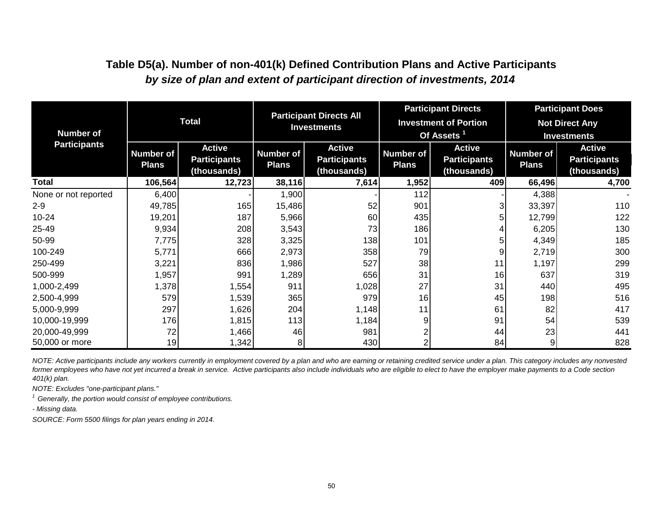| <b>Number of</b>     | <b>Total</b>                                                                            |        | <b>Participant Directs All</b><br><b>Investments</b>                                    |       |                                  | <b>Participant Directs</b><br><b>Investment of Portion</b><br>Of Assets <sup>1</sup> | <b>Participant Does</b><br><b>Not Direct Any</b><br><b>Investments</b> |                                                     |  |
|----------------------|-----------------------------------------------------------------------------------------|--------|-----------------------------------------------------------------------------------------|-------|----------------------------------|--------------------------------------------------------------------------------------|------------------------------------------------------------------------|-----------------------------------------------------|--|
| <b>Participants</b>  | <b>Active</b><br><b>Number of</b><br><b>Participants</b><br><b>Plans</b><br>(thousands) |        | <b>Active</b><br><b>Number of</b><br><b>Participants</b><br><b>Plans</b><br>(thousands) |       | <b>Number of</b><br><b>Plans</b> | <b>Active</b><br><b>Participants</b><br>(thousands)                                  |                                                                        | <b>Active</b><br><b>Participants</b><br>(thousands) |  |
| <b>Total</b>         | 106,564                                                                                 | 12,723 | 38,116                                                                                  | 7,614 | 1,952                            | 409                                                                                  | 66,496                                                                 | 4,700                                               |  |
| None or not reported | 6,400                                                                                   |        | 1,900                                                                                   |       | 112                              |                                                                                      | 4,388                                                                  |                                                     |  |
| $2 - 9$              | 49,785                                                                                  | 165    | 15,486                                                                                  | 52    | 901                              | 3                                                                                    | 33,397                                                                 | 110                                                 |  |
| 10-24                | 19,201                                                                                  | 187    | 5,966                                                                                   | 60    | 435                              | 5                                                                                    | 12,799                                                                 | 122                                                 |  |
| 25-49                | 9,934                                                                                   | 208    | 3,543                                                                                   | 73    | 186                              | 4                                                                                    | 6,205                                                                  | 130                                                 |  |
| 50-99                | 7,775                                                                                   | 328    | 3,325                                                                                   | 138   | 101                              | 5                                                                                    | 4,349                                                                  | 185                                                 |  |
| 100-249              | 5,771                                                                                   | 666    | 2,973                                                                                   | 358   | 79                               | 9                                                                                    | 2,719                                                                  | 300                                                 |  |
| 250-499              | 3,221                                                                                   | 836    | 1,986                                                                                   | 527   | 38                               | 11                                                                                   | 1,197                                                                  | 299                                                 |  |
| 500-999              | ,957                                                                                    | 991    | 1,289                                                                                   | 656   | 31                               | 16                                                                                   | 637                                                                    | 319                                                 |  |
| 1,000-2,499          | 1,378                                                                                   | 1,554  | 911                                                                                     | 1,028 | 27                               | 31                                                                                   | 440                                                                    | 495                                                 |  |
| 2,500-4,999          | 579                                                                                     | 1,539  | 365                                                                                     | 979   | 16                               | 45                                                                                   | 198                                                                    | 516                                                 |  |
| 5,000-9,999          | 297                                                                                     | 1,626  | 204                                                                                     | 1,148 | 11                               | 61                                                                                   | 82                                                                     | 417                                                 |  |
| 10,000-19,999        | 176                                                                                     | 1,815  | 113                                                                                     | 1,184 | 9                                | 91                                                                                   | 54                                                                     | 539                                                 |  |
| 20,000-49,999        | 72                                                                                      | 1,466  | 46                                                                                      | 981   | 2                                | 44                                                                                   | 23                                                                     | 441                                                 |  |
| 50,000 or more       | 19                                                                                      | 1,342  | 8                                                                                       | 430   | $\overline{2}$                   | 84                                                                                   | 9                                                                      | 828                                                 |  |

### **Table D5(a). Number of non-401(k) Defined Contribution Plans and Active Participants**  *by size of plan and extent of participant direction of investments, 2014*

*NOTE: Active participants include any workers currently in employment covered by a plan and who are earning or retaining credited service under a plan. This category includes any nonvested former employees who have not yet incurred a break in service. Active participants also include individuals who are eligible to elect to have the employer make payments to a Code section 401(k) plan.* 

*NOTE: Excludes "one-participant plans."*

*1 Generally, the portion would consist of employee contributions.*

*- Missing data.*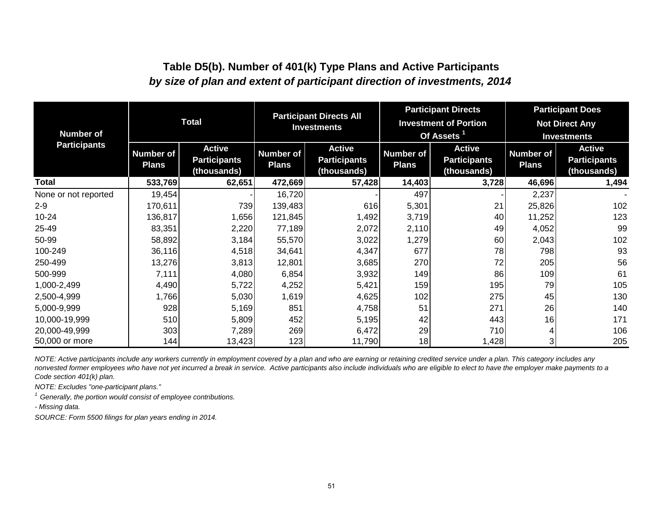### **Table D5(b). Number of 401(k) Type Plans and Active Participants**  *by size of plan and extent of participant direction of investments, 2014*

| <b>Number of</b>     | <b>Total</b>                     |                                                     | <b>Participant Directs All</b><br><b>Investments</b> |                                                     |                                  | <b>Participant Directs</b><br><b>Investment of Portion</b><br>Of Assets <sup>1</sup> | <b>Participant Does</b><br><b>Not Direct Any</b><br><b>Investments</b> |                                                     |  |
|----------------------|----------------------------------|-----------------------------------------------------|------------------------------------------------------|-----------------------------------------------------|----------------------------------|--------------------------------------------------------------------------------------|------------------------------------------------------------------------|-----------------------------------------------------|--|
| <b>Participants</b>  | <b>Number of</b><br><b>Plans</b> | <b>Active</b><br><b>Participants</b><br>(thousands) | <b>Number of</b><br><b>Plans</b>                     | <b>Active</b><br><b>Participants</b><br>(thousands) | <b>Number of</b><br><b>Plans</b> | <b>Active</b><br><b>Participants</b><br>(thousands)                                  | <b>Number of</b><br><b>Plans</b>                                       | <b>Active</b><br><b>Participants</b><br>(thousands) |  |
| Total                | 533,769                          | 62,651                                              | 472,669                                              | 57,428                                              | 14,403                           | 3,728                                                                                | 46,696                                                                 | 1,494                                               |  |
| None or not reported | 19,454                           |                                                     | 16,720                                               |                                                     | 497                              |                                                                                      | 2,237                                                                  |                                                     |  |
| $2 - 9$              | 170,611                          | 739                                                 | 139,483                                              | 616                                                 | 5,301                            | 21                                                                                   | 25,826                                                                 | 102                                                 |  |
| $10 - 24$            | 136,817                          | 1,656                                               | 121,845                                              | 1,492                                               | 3,719                            | 40                                                                                   | 11,252                                                                 | 123                                                 |  |
| 25-49                | 83,351                           | 2,220                                               | 77,189                                               | 2,072                                               | 2,110                            | 49                                                                                   | 4,052                                                                  | 99                                                  |  |
| 50-99                | 58,892                           | 3,184                                               | 55,570                                               | 3,022                                               | 1,279                            | 60                                                                                   | 2,043                                                                  | 102                                                 |  |
| 100-249              | 36,116                           | 4,518                                               | 34,641                                               | 4,347                                               | 677                              | 78                                                                                   | 798                                                                    | 93                                                  |  |
| 250-499              | 13,276                           | 3,813                                               | 12,801                                               | 3,685                                               | 270                              | 72                                                                                   | 205                                                                    | 56                                                  |  |
| 500-999              | 7,111                            | 4,080                                               | 6,854                                                | 3,932                                               | 149                              | 86                                                                                   | 109                                                                    | 61                                                  |  |
| 1,000-2,499          | 4,490                            | 5,722                                               | 4,252                                                | 5,421                                               | 159                              | 195                                                                                  | 79                                                                     | 105                                                 |  |
| 2,500-4,999          | 1,766                            | 5,030                                               | 1,619                                                | 4,625                                               | 102                              | 275                                                                                  | 45                                                                     | 130                                                 |  |
| 5,000-9,999          | 928                              | 5,169                                               | 851                                                  | 4,758                                               | 51                               | 271                                                                                  | 26                                                                     | 140                                                 |  |
| 10,000-19,999        | 510                              | 5,809                                               | 452                                                  | 5,195                                               | 42                               | 443                                                                                  | 16                                                                     | 171                                                 |  |
| 20,000-49,999        | 303                              | 7,289                                               | 269                                                  | 6,472                                               | 29                               | 710                                                                                  |                                                                        | 106                                                 |  |
| 50,000 or more       | 144                              | 13,423                                              | 123                                                  | 11,790                                              | 18                               | 1,428                                                                                | 31                                                                     | 205                                                 |  |

*NOTE: Active participants include any workers currently in employment covered by a plan and who are earning or retaining credited service under a plan. This category includes any nonvested former employees who have not yet incurred a break in service. Active participants also include individuals who are eligible to elect to have the employer make payments to a Code section 401(k) plan.* 

*NOTE: Excludes "one-participant plans."*

*1 Generally, the portion would consist of employee contributions.*

*- Missing data.*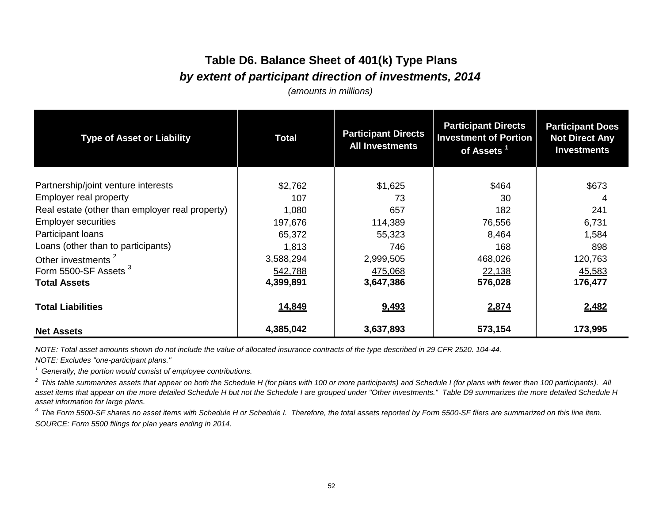# **Table D6. Balance Sheet of 401(k) Type Plans** *by extent of participant direction of investments, 2014*

*(amounts in millions)*

| <b>Type of Asset or Liability</b>               | <b>Total</b> | <b>Participant Directs</b><br><b>All Investments</b> | <b>Participant Directs</b><br><b>Investment of Portion</b><br>of Assets <sup>1</sup> | <b>Participant Does</b><br><b>Not Direct Any</b><br><b>Investments</b> |  |
|-------------------------------------------------|--------------|------------------------------------------------------|--------------------------------------------------------------------------------------|------------------------------------------------------------------------|--|
| Partnership/joint venture interests             | \$2,762      | \$1,625                                              | \$464                                                                                | \$673                                                                  |  |
| Employer real property                          | 107          | 73                                                   | 30                                                                                   |                                                                        |  |
| Real estate (other than employer real property) |              |                                                      |                                                                                      |                                                                        |  |
|                                                 | 1,080        | 657                                                  | 182                                                                                  | 241                                                                    |  |
| <b>Employer securities</b>                      | 197,676      | 114,389                                              | 76,556                                                                               | 6,731                                                                  |  |
| Participant loans                               | 65,372       | 55,323                                               | 8,464                                                                                | 1,584                                                                  |  |
| Loans (other than to participants)              | 1,813        | 746                                                  | 168                                                                                  | 898                                                                    |  |
| Other investments <sup>2</sup>                  | 3,588,294    | 2,999,505                                            | 468,026                                                                              | 120,763                                                                |  |
| Form 5500-SF Assets <sup>3</sup>                | 542,788      | 475,068                                              | 22,138                                                                               | 45,583                                                                 |  |
| <b>Total Assets</b>                             | 4,399,891    | 3,647,386                                            | 576,028                                                                              | 176,477                                                                |  |
| <b>Total Liabilities</b>                        | 14,849       | 9,493                                                | 2,874                                                                                | 2,482                                                                  |  |
| <b>Net Assets</b>                               | 4,385,042    | 3,637,893                                            | 573,154                                                                              | 173,995                                                                |  |

*NOTE: Total asset amounts shown do not include the value of allocated insurance contracts of the type described in 29 CFR 2520. 104-44.*

*NOTE: Excludes "one-participant plans."*

*1 Generally, the portion would consist of employee contributions.*

<sup>2</sup> This table summarizes assets that appear on both the Schedule H (for plans with 100 or more participants) and Schedule I (for plans with fewer than 100 participants). All *asset items that appear on the more detailed Schedule H but not the Schedule I are grouped under "Other investments." Table D9 summarizes the more detailed Schedule H asset information for large plans.*

*SOURCE: Form 5500 filings for plan years ending in 2014. 3 The Form 5500-SF shares no asset items with Schedule H or Schedule I. Therefore, the total assets reported by Form 5500-SF filers are summarized on this line item.*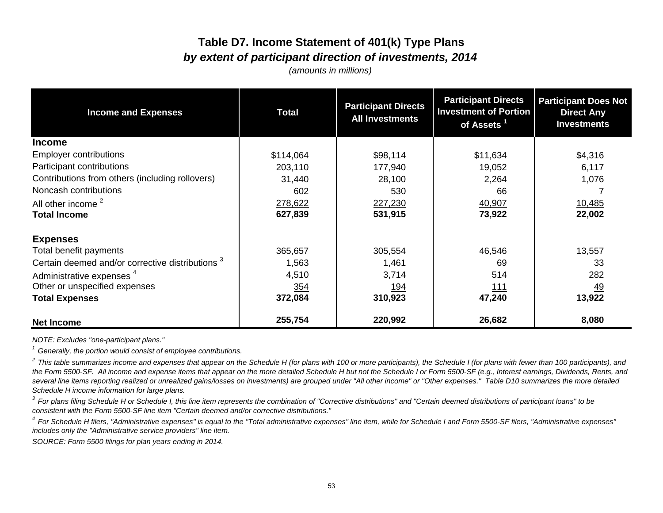# **Table D7. Income Statement of 401(k) Type Plans** *by extent of participant direction of investments, 2014*

*(amounts in millions)*

| <b>Income and Expenses</b>                                  | <b>Total</b> | <b>Participant Directs</b><br><b>All Investments</b> | <b>Participant Directs</b><br><b>Investment of Portion</b><br>of Assets <sup>1</sup> | <b>Participant Does Not</b><br><b>Direct Any</b><br><b>Investments</b> |  |
|-------------------------------------------------------------|--------------|------------------------------------------------------|--------------------------------------------------------------------------------------|------------------------------------------------------------------------|--|
| <b>Income</b>                                               |              |                                                      |                                                                                      |                                                                        |  |
| <b>Employer contributions</b>                               | \$114,064    | \$98,114                                             | \$11,634                                                                             | \$4,316                                                                |  |
| Participant contributions                                   | 203,110      | 177,940                                              | 19,052                                                                               | 6,117                                                                  |  |
| Contributions from others (including rollovers)             | 31,440       | 28,100                                               | 2,264                                                                                | 1,076                                                                  |  |
| Noncash contributions                                       | 602          | 530                                                  | 66                                                                                   |                                                                        |  |
| All other income <sup>2</sup>                               | 278,622      | 227,230                                              | 40,907                                                                               | 10,485                                                                 |  |
| <b>Total Income</b>                                         | 627,839      | 531,915                                              | 73,922                                                                               | 22,002                                                                 |  |
| <b>Expenses</b>                                             |              |                                                      |                                                                                      |                                                                        |  |
| Total benefit payments                                      | 365,657      | 305,554                                              | 46,546                                                                               | 13,557                                                                 |  |
| Certain deemed and/or corrective distributions <sup>3</sup> | 1,563        | 1,461                                                | 69                                                                                   | 33                                                                     |  |
| Administrative expenses <sup>4</sup>                        | 4,510        | 3,714                                                | 514                                                                                  | 282                                                                    |  |
| Other or unspecified expenses                               | <u>354</u>   | <u> 194</u>                                          | <u> 111</u>                                                                          | <u>49</u>                                                              |  |
| <b>Total Expenses</b>                                       | 372,084      | 310,923                                              | 47,240                                                                               | 13,922                                                                 |  |
| <b>Net Income</b>                                           | 255,754      | 220,992                                              | 26,682                                                                               | 8,080                                                                  |  |

*NOTE: Excludes "one-participant plans."*

*1 Generally, the portion would consist of employee contributions.*

*2 This table summarizes income and expenses that appear on the Schedule H (for plans with 100 or more participants), the Schedule I (for plans with fewer than 100 participants), and the Form 5500-SF. All income and expense items that appear on the more detailed Schedule H but not the Schedule I or Form 5500-SF (e.g., Interest earnings, Dividends, Rents, and several line items reporting realized or unrealized gains/losses on investments) are grouped under "All other income" or "Other expenses." Table D10 summarizes the more detailed Schedule H income information for large plans.*

<sup>3</sup> For plans filing Schedule H or Schedule I, this line item represents the combination of "Corrective distributions" and "Certain deemed distributions of participant loans" to be *consistent with the Form 5500-SF line item "Certain deemed and/or corrective distributions."*

<sup>4</sup> For Schedule H filers. "Administrative expenses" is equal to the "Total administrative expenses" line item, while for Schedule I and Form 5500-SF filers, "Administrative expenses" *includes only the "Administrative service providers" line item.*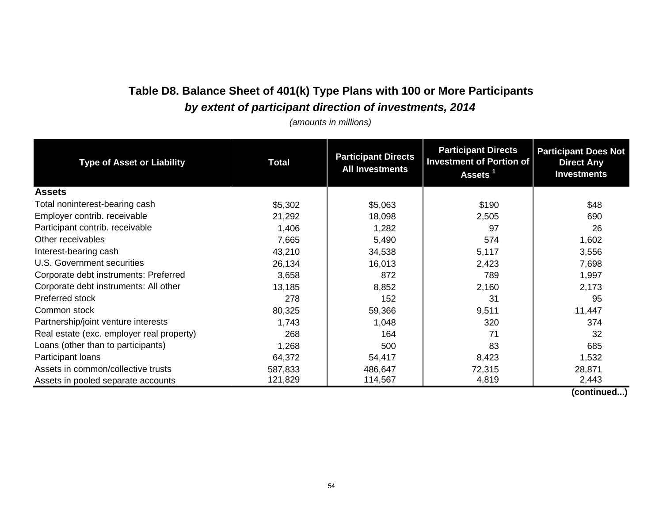# **Table D8. Balance Sheet of 401(k) Type Plans with 100 or More Participants** *by extent of participant direction of investments, 2014*

*(amounts in millions)*

| <b>Type of Asset or Liability</b>         | <b>Total</b> | <b>Participant Directs</b><br><b>All Investments</b> | <b>Participant Directs</b><br><b>Investment of Portion of</b><br>Assets <sup>1</sup> | <b>Participant Does Not</b><br><b>Direct Any</b><br><b>Investments</b> |  |
|-------------------------------------------|--------------|------------------------------------------------------|--------------------------------------------------------------------------------------|------------------------------------------------------------------------|--|
| <b>Assets</b>                             |              |                                                      |                                                                                      |                                                                        |  |
| Total noninterest-bearing cash            | \$5,302      | \$5,063                                              | \$190                                                                                | \$48                                                                   |  |
| Employer contrib. receivable              | 21,292       | 18,098                                               | 2,505                                                                                | 690                                                                    |  |
| Participant contrib. receivable           | 1,406        | 1,282                                                | 97                                                                                   | 26                                                                     |  |
| Other receivables                         | 7,665        | 5,490                                                | 574                                                                                  | 1,602                                                                  |  |
| Interest-bearing cash                     | 43,210       | 34,538                                               | 5,117                                                                                | 3,556                                                                  |  |
| U.S. Government securities                | 26,134       | 16,013                                               | 2,423                                                                                | 7,698                                                                  |  |
| Corporate debt instruments: Preferred     | 3,658        | 872                                                  | 789                                                                                  | 1,997                                                                  |  |
| Corporate debt instruments: All other     | 13,185       | 8,852                                                | 2,160                                                                                | 2,173                                                                  |  |
| Preferred stock                           | 278          | 152                                                  | 31                                                                                   | 95                                                                     |  |
| Common stock                              | 80,325       | 59,366                                               | 9,511                                                                                | 11,447                                                                 |  |
| Partnership/joint venture interests       | 1,743        | 1,048                                                | 320                                                                                  | 374                                                                    |  |
| Real estate (exc. employer real property) | 268          | 164                                                  | 71                                                                                   | 32                                                                     |  |
| Loans (other than to participants)        | 1,268        | 500                                                  | 83                                                                                   | 685                                                                    |  |
| Participant loans                         | 64,372       | 54,417                                               | 8,423                                                                                | 1,532                                                                  |  |
| Assets in common/collective trusts        | 587,833      | 486,647                                              | 72,315                                                                               | 28,871                                                                 |  |
| Assets in pooled separate accounts        | 121,829      | 114,567                                              | 4,819                                                                                | 2,443                                                                  |  |

 **(continued...)**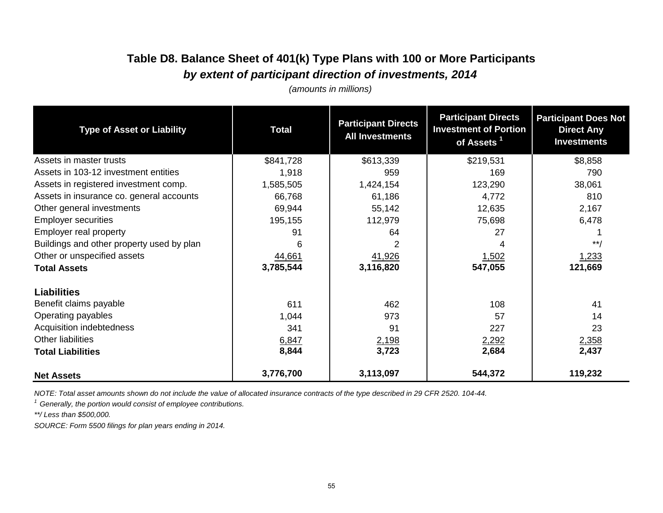# **Table D8. Balance Sheet of 401(k) Type Plans with 100 or More Participants** *by extent of participant direction of investments, 2014*

*(amounts in millions)*

| <b>Type of Asset or Liability</b>         | <b>Participant Directs</b><br><b>Total</b><br><b>All Investments</b> |           | <b>Participant Directs</b><br><b>Investment of Portion</b><br>of Assets <sup>1</sup> | <b>Participant Does Not</b><br><b>Direct Any</b><br><b>Investments</b> |  |
|-------------------------------------------|----------------------------------------------------------------------|-----------|--------------------------------------------------------------------------------------|------------------------------------------------------------------------|--|
| Assets in master trusts                   | \$841,728                                                            | \$613,339 | \$219,531                                                                            | \$8,858                                                                |  |
| Assets in 103-12 investment entities      | 1,918                                                                | 959       | 169                                                                                  | 790                                                                    |  |
| Assets in registered investment comp.     | 1,585,505                                                            | 1,424,154 | 123,290                                                                              | 38,061                                                                 |  |
| Assets in insurance co. general accounts  | 66,768                                                               | 61,186    | 4,772                                                                                | 810                                                                    |  |
| Other general investments                 | 69,944                                                               | 55,142    | 12,635                                                                               | 2,167                                                                  |  |
| <b>Employer securities</b>                | 195,155                                                              | 112,979   | 75,698                                                                               | 6,478                                                                  |  |
| Employer real property                    | 91                                                                   | 64        | 27                                                                                   |                                                                        |  |
| Buildings and other property used by plan | 6                                                                    |           |                                                                                      | $***$                                                                  |  |
| Other or unspecified assets               | 44,661                                                               | 41,926    | <u>1,502</u>                                                                         | 1,233                                                                  |  |
| <b>Total Assets</b>                       | 3,785,544                                                            | 3,116,820 | 547,055                                                                              | 121,669                                                                |  |
| <b>Liabilities</b>                        |                                                                      |           |                                                                                      |                                                                        |  |
| Benefit claims payable                    | 611                                                                  | 462       | 108                                                                                  | 41                                                                     |  |
| Operating payables                        | 1,044                                                                | 973       | 57                                                                                   | 14                                                                     |  |
| Acquisition indebtedness                  | 341                                                                  | 91        | 227                                                                                  | 23                                                                     |  |
| Other liabilities                         | 6,847                                                                | 2,198     | 2,292                                                                                | 2,358                                                                  |  |
| <b>Total Liabilities</b>                  | 8,844                                                                | 3,723     | 2,684                                                                                | 2,437                                                                  |  |
| <b>Net Assets</b>                         | 3,776,700                                                            | 3,113,097 | 544,372                                                                              | 119,232                                                                |  |

*NOTE: Total asset amounts shown do not include the value of allocated insurance contracts of the type described in 29 CFR 2520. 104-44.*

*1 Generally, the portion would consist of employee contributions.*

*\*\*/ Less than \$500,000.*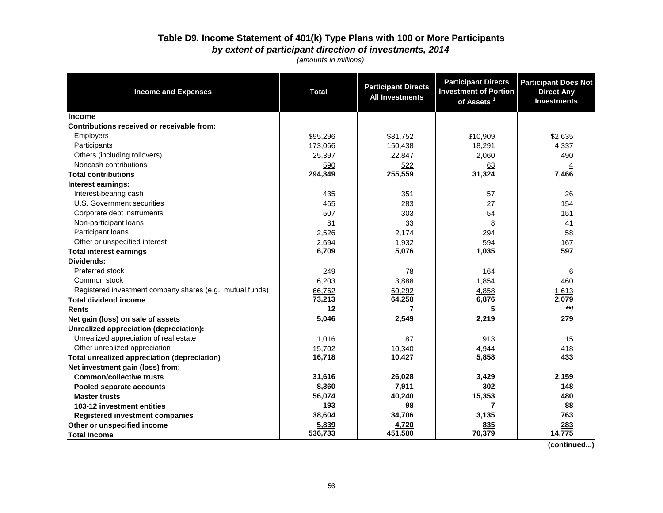#### **Table D9. Income Statement of 401(k) Type Plans with 100 or More Participants** *by extent of participant direction of investments, 2014*

*(amounts in millions)*

| <b>Income and Expenses</b>                                | <b>Total</b> | <b>Participant Directs</b><br><b>All Investments</b> | <b>Participant Directs</b><br><b>Investment of Portion</b><br>of Assets <sup>1</sup> | <b>Participant Does Not</b><br><b>Direct Any</b><br><b>Investments</b> |
|-----------------------------------------------------------|--------------|------------------------------------------------------|--------------------------------------------------------------------------------------|------------------------------------------------------------------------|
| <b>Income</b>                                             |              |                                                      |                                                                                      |                                                                        |
| Contributions received or receivable from:                |              |                                                      |                                                                                      |                                                                        |
| <b>Employers</b>                                          | \$95,296     | \$81,752                                             | \$10,909                                                                             | \$2,635                                                                |
| Participants                                              | 173,066      | 150,438                                              | 18,291                                                                               | 4,337                                                                  |
| Others (including rollovers)                              | 25,397       | 22,847                                               | 2,060                                                                                | 490                                                                    |
| Noncash contributions                                     | 590          | 522                                                  | 63                                                                                   | $\overline{4}$                                                         |
| <b>Total contributions</b>                                | 294,349      | 255,559                                              | 31,324                                                                               | 7,466                                                                  |
| Interest earnings:                                        |              |                                                      |                                                                                      |                                                                        |
| Interest-bearing cash                                     | 435          | 351                                                  | 57                                                                                   | 26                                                                     |
| U.S. Government securities                                | 465          | 283                                                  | 27                                                                                   | 154                                                                    |
| Corporate debt instruments                                | 507          | 303                                                  | 54                                                                                   | 151                                                                    |
| Non-participant loans                                     | 81           | 33                                                   | 8                                                                                    | 41                                                                     |
| Participant loans                                         | 2,526        | 2,174                                                | 294                                                                                  | 58                                                                     |
| Other or unspecified interest                             | 2,694        | 1,932                                                | 594                                                                                  | 167                                                                    |
| <b>Total interest earnings</b>                            | 6,709        | 5,076                                                | 1,035                                                                                | 597                                                                    |
| Dividends:                                                |              |                                                      |                                                                                      |                                                                        |
| Preferred stock                                           | 249          | 78                                                   | 164                                                                                  | 6                                                                      |
| Common stock                                              | 6,203        | 3,888                                                | 1,854                                                                                | 460                                                                    |
| Registered investment company shares (e.g., mutual funds) | 66,762       | 60.292                                               | 4,858                                                                                | 1,613                                                                  |
| <b>Total dividend income</b>                              | 73,213       | 64,258                                               | 6,876                                                                                | 2,079                                                                  |
| <b>Rents</b>                                              | 12           | $\overline{7}$                                       | 5                                                                                    | $**1$                                                                  |
| Net gain (loss) on sale of assets                         | 5,046        | 2,549                                                | 2,219                                                                                | 279                                                                    |
| Unrealized appreciation (depreciation):                   |              |                                                      |                                                                                      |                                                                        |
| Unrealized appreciation of real estate                    | 1,016        | 87                                                   | 913                                                                                  | 15                                                                     |
| Other unrealized appreciation                             | 15,702       | 10,340                                               | 4,944                                                                                | 418                                                                    |
| <b>Total unrealized appreciation (depreciation)</b>       | 16,718       | 10,427                                               | 5,858                                                                                | 433                                                                    |
| Net investment gain (loss) from:                          |              |                                                      |                                                                                      |                                                                        |
| <b>Common/collective trusts</b>                           | 31,616       | 26,028                                               | 3,429                                                                                | 2,159                                                                  |
| Pooled separate accounts                                  | 8,360        | 7,911                                                | 302                                                                                  | 148                                                                    |
| <b>Master trusts</b>                                      | 56,074       | 40,240                                               | 15,353                                                                               | 480                                                                    |
| 103-12 investment entities                                | 193          | 98                                                   | $\overline{7}$                                                                       | 88                                                                     |
| <b>Registered investment companies</b>                    | 38,604       | 34,706                                               | 3,135                                                                                | 763                                                                    |
| Other or unspecified income                               | 5,839        | 4,720                                                | 835                                                                                  | 283                                                                    |
| <b>Total Income</b>                                       | 536,733      | 451,580                                              | 70,379                                                                               | 14,775                                                                 |

 **(continued...)**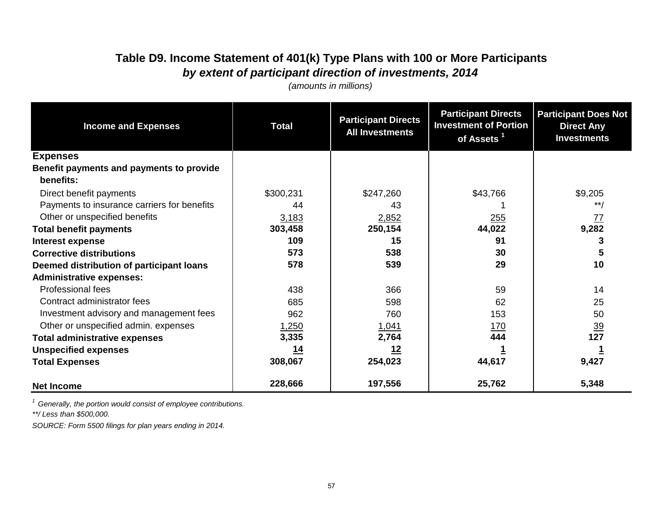# **Table D9. Income Statement of 401(k) Type Plans with 100 or More Participants** *by extent of participant direction of investments, 2014*

*(amounts in millions)*

| <b>Income and Expenses</b>                  | <b>Participant Directs</b><br><b>Total</b><br><b>All Investments</b> |            | <b>Participant Directs</b><br><b>Investment of Portion</b><br>of Assets <sup>1</sup> | <b>Participant Does Not</b><br><b>Direct Any</b><br><b>Investments</b> |  |
|---------------------------------------------|----------------------------------------------------------------------|------------|--------------------------------------------------------------------------------------|------------------------------------------------------------------------|--|
| <b>Expenses</b>                             |                                                                      |            |                                                                                      |                                                                        |  |
| Benefit payments and payments to provide    |                                                                      |            |                                                                                      |                                                                        |  |
| benefits:                                   |                                                                      |            |                                                                                      |                                                                        |  |
| Direct benefit payments                     | \$300,231                                                            | \$247,260  | \$43,766                                                                             | \$9,205                                                                |  |
| Payments to insurance carriers for benefits | 44                                                                   | 43         |                                                                                      | $***$                                                                  |  |
| Other or unspecified benefits               | 3,183                                                                | 2,852      | 255                                                                                  |                                                                        |  |
| <b>Total benefit payments</b>               | 303,458                                                              | 250,154    | 44,022                                                                               | $\frac{77}{9,282}$                                                     |  |
| <b>Interest expense</b>                     | 109                                                                  | 15         | 91                                                                                   | 3                                                                      |  |
| <b>Corrective distributions</b>             | 573                                                                  | 538        | 30                                                                                   | 5                                                                      |  |
| Deemed distribution of participant loans    | 578                                                                  | 539        | 29                                                                                   | 10                                                                     |  |
| <b>Administrative expenses:</b>             |                                                                      |            |                                                                                      |                                                                        |  |
| <b>Professional fees</b>                    | 438                                                                  | 366        | 59                                                                                   | 14                                                                     |  |
| Contract administrator fees                 | 685                                                                  | 598        | 62                                                                                   | 25                                                                     |  |
| Investment advisory and management fees     | 962                                                                  | 760        | 153                                                                                  | 50                                                                     |  |
| Other or unspecified admin. expenses        | 1,250                                                                | 1,041      | <u> 170</u>                                                                          | $\frac{39}{2}$                                                         |  |
| <b>Total administrative expenses</b>        | 3,335                                                                | 2,764      | 444                                                                                  | 127                                                                    |  |
| <b>Unspecified expenses</b>                 | <u> 14</u>                                                           | <u> 12</u> |                                                                                      |                                                                        |  |
| <b>Total Expenses</b>                       | 308,067                                                              | 254,023    | 44,617                                                                               | 9,427                                                                  |  |
| <b>Net Income</b>                           | 228,666                                                              | 197,556    | 25,762                                                                               | 5,348                                                                  |  |

*1 Generally, the portion would consist of employee contributions.*

*\*\*/ Less than \$500,000.*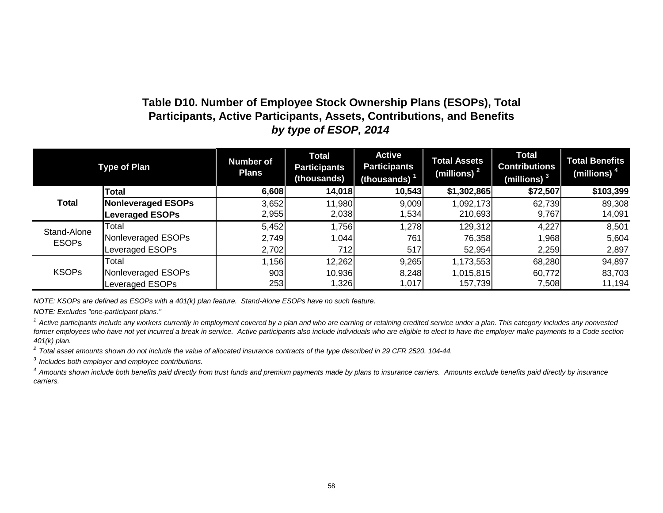### **Table D10. Number of Employee Stock Ownership Plans (ESOPs), Total Participants, Active Participants, Assets, Contributions, and Benefits** *by type of ESOP, 2014*

| <b>Type of Plan</b> |                        | <b>Number of</b><br><b>Plans</b> | <b>Total</b><br><b>Participants</b><br>(thousands) | <b>Active</b><br><b>Participants</b><br>(thousands) $1$ | <b>Total Assets</b><br>(millions) $2$ | <b>Total</b><br><b>Contributions</b><br>(millions) $^3$ | <b>Total Benefits</b><br>(millions) $4$ |
|---------------------|------------------------|----------------------------------|----------------------------------------------------|---------------------------------------------------------|---------------------------------------|---------------------------------------------------------|-----------------------------------------|
|                     | <b>Total</b>           | 6,608                            | 14,018                                             | 10,543                                                  | \$1,302,865                           | \$72,507                                                | \$103,399                               |
| <b>Total</b>        | Nonleveraged ESOPs     | 3,652                            | 11,980                                             | 9,009                                                   | 1,092,173                             | 62,739                                                  | 89,308                                  |
|                     | <b>Leveraged ESOPs</b> | 2,955                            | 2,038                                              | 1,534                                                   | 210,693                               | 9,767                                                   | 14,091                                  |
| Stand-Alone         | Total                  | 5,452                            | 1,756                                              | 1,278                                                   | 129,312                               | 4,227                                                   | 8,501                                   |
| <b>ESOPs</b>        | Nonleveraged ESOPs     | 2,749                            | 1,044                                              | 761                                                     | 76,358                                | 1,968                                                   | 5,604                                   |
|                     | Leveraged ESOPs        | 2,702                            | 712                                                | 517                                                     | 52,954                                | 2,259                                                   | 2,897                                   |
|                     | Total                  | 1,156                            | 12,262                                             | 9,265                                                   | 1,173,553                             | 68,280                                                  | 94,897                                  |
| <b>KSOPs</b>        | Nonleveraged ESOPs     | 903                              | 10,936                                             | 8,248                                                   | 1,015,815                             | 60,772                                                  | 83,703                                  |
|                     | Leveraged ESOPs        | 253                              | 1,326                                              | 1,017                                                   | 157,739                               | 7,508                                                   | 11,194                                  |

*NOTE: KSOPs are defined as ESOPs with a 401(k) plan feature. Stand-Alone ESOPs have no such feature.*

*NOTE: Excludes "one-participant plans."*

<sup>1</sup> Active participants include any workers currently in employment covered by a plan and who are earning or retaining credited service under a plan. This category includes any nonvested former employees who have not yet incurred a break in service. Active participants also include individuals who are eligible to elect to have the employer make payments to a Code section *401(k) plan.* 

*2 Total asset amounts shown do not include the value of allocated insurance contracts of the type described in 29 CFR 2520. 104-44.*

*3 Includes both employer and employee contributions.*

<sup>4</sup> Amounts shown include both benefits paid directly from trust funds and premium payments made by plans to insurance carriers. Amounts exclude benefits paid directly by insurance *carriers.*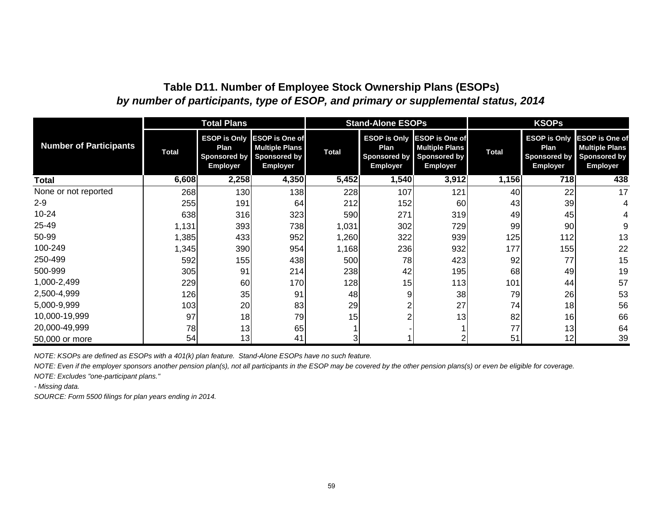### **Table D11. Number of Employee Stock Ownership Plans (ESOPs)** *by number of participants, type of ESOP, and primary or supplemental status, 2014*

|                               |              | <b>Total Plans</b>                                                    |                                                                                          |              | <b>Stand-Alone ESOPs</b>                                              |                                                                                          |              | <b>KSOPs</b>                                                          |                                                                                          |
|-------------------------------|--------------|-----------------------------------------------------------------------|------------------------------------------------------------------------------------------|--------------|-----------------------------------------------------------------------|------------------------------------------------------------------------------------------|--------------|-----------------------------------------------------------------------|------------------------------------------------------------------------------------------|
| <b>Number of Participants</b> | <b>Total</b> | <b>ESOP is Only</b><br>Plan<br><b>Sponsored by</b><br><b>Employer</b> | <b>ESOP is One of</b><br><b>Multiple Plans</b><br><b>Sponsored by</b><br><b>Employer</b> | <b>Total</b> | <b>ESOP is Only</b><br>Plan<br><b>Sponsored by</b><br><b>Employer</b> | <b>ESOP is One of</b><br><b>Multiple Plans</b><br><b>Sponsored by</b><br><b>Employer</b> | <b>Total</b> | <b>ESOP is Only</b><br>Plan<br><b>Sponsored by</b><br><b>Employer</b> | <b>ESOP</b> is One of<br><b>Multiple Plans</b><br><b>Sponsored by</b><br><b>Employer</b> |
| Total                         | 6,608        | 2,258                                                                 | 4,350                                                                                    | 5,452        | 1,540                                                                 | 3,912                                                                                    | 1,156        | 718                                                                   | 438                                                                                      |
| None or not reported          | 268          | 130                                                                   | 138                                                                                      | 228          | 107                                                                   | 121                                                                                      | 40           | 22                                                                    | 17                                                                                       |
| $2 - 9$                       | 255          | 191                                                                   | 64                                                                                       | 212          | 152                                                                   | 60                                                                                       | 43           | 39                                                                    |                                                                                          |
| $10 - 24$                     | 638          | 316                                                                   | 323                                                                                      | 590          | 271                                                                   | 319                                                                                      | 49           | 45                                                                    |                                                                                          |
| 25-49                         | 1,131        | 393                                                                   | 738                                                                                      | 1,031        | 302                                                                   | 729                                                                                      | 99           | 90                                                                    |                                                                                          |
| 50-99                         | 1,385        | 433                                                                   | 952                                                                                      | 1,260        | 322                                                                   | 939                                                                                      | 125          | 112                                                                   | 13                                                                                       |
| 100-249                       | 1,345        | 390                                                                   | 954                                                                                      | 1,168        | 236                                                                   | 932                                                                                      | 177          | 155                                                                   | 22                                                                                       |
| 250-499                       | 592          | 155                                                                   | 438                                                                                      | 500          | 78                                                                    | 423                                                                                      | 92           | 77                                                                    | 15                                                                                       |
| 500-999                       | 305          | 91                                                                    | 214                                                                                      | 238          | 42                                                                    | 195                                                                                      | 68           | 49                                                                    | 19                                                                                       |
| 1,000-2,499                   | 229          | 60                                                                    | 170                                                                                      | 128          | 15                                                                    | 113                                                                                      | 101          | 44                                                                    | 57                                                                                       |
| 2,500-4,999                   | 126          | 35                                                                    | 91                                                                                       | 48           | 9                                                                     | 38                                                                                       | 79           | 26                                                                    | 53                                                                                       |
| 5,000-9,999                   | 103          | 20                                                                    | 83                                                                                       | 29           |                                                                       | 27                                                                                       | 74           | 18                                                                    | 56                                                                                       |
| 10,000-19,999                 | 97           | 18                                                                    | 79                                                                                       | 15           |                                                                       | 13                                                                                       | 82           | 16                                                                    | 66                                                                                       |
| 20,000-49,999                 | 78           | 13                                                                    | 65                                                                                       |              |                                                                       |                                                                                          | 77           | 13                                                                    | 64                                                                                       |
| 50,000 or more                | 54           | 13                                                                    | 41                                                                                       |              |                                                                       |                                                                                          | 51           | 12                                                                    | 39                                                                                       |

*NOTE: KSOPs are defined as ESOPs with a 401(k) plan feature. Stand-Alone ESOPs have no such feature.*

*NOTE: Even if the employer sponsors another pension plan(s), not all participants in the ESOP may be covered by the other pension plans(s) or even be eligible for coverage.*

*NOTE: Excludes "one-participant plans."*

*- Missing data.*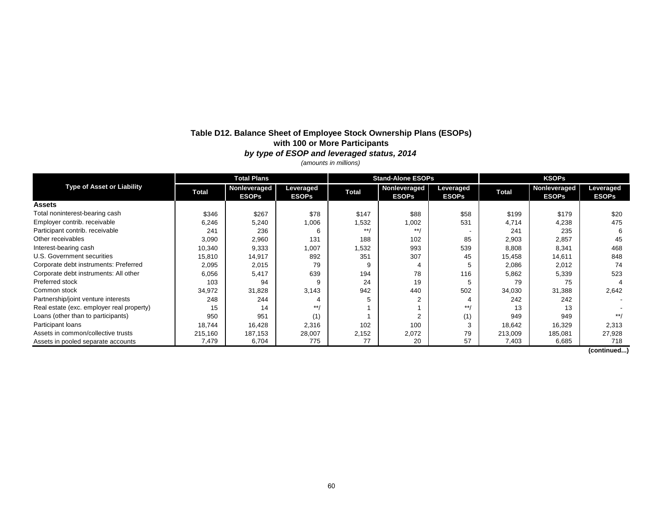#### **Table D12. Balance Sheet of Employee Stock Ownership Plans (ESOPs) with 100 or More Participants** *by type of ESOP and leveraged status, 2014*

*(amounts in millions)*

|                                           | <b>Total Plans</b> |                              |                           |              | <b>Stand-Alone ESOPs</b>     |                           | <b>KSOPs</b> |                                     |                           |
|-------------------------------------------|--------------------|------------------------------|---------------------------|--------------|------------------------------|---------------------------|--------------|-------------------------------------|---------------------------|
| <b>Type of Asset or Liability</b>         | <b>Total</b>       | Nonleveraged<br><b>ESOPs</b> | Leveraged<br><b>ESOPs</b> | <b>Total</b> | Nonleveraged<br><b>ESOPs</b> | Leveraged<br><b>ESOPs</b> | <b>Total</b> | <b>Nonleveraged</b><br><b>ESOPs</b> | Leveraged<br><b>ESOPs</b> |
| <b>Assets</b>                             |                    |                              |                           |              |                              |                           |              |                                     |                           |
| Total noninterest-bearing cash            | \$346              | \$267                        | \$78                      | \$147        | \$88                         | \$58                      | \$199        | \$179                               | \$20                      |
| Employer contrib. receivable              | 6,246              | 5,240                        | 1,006                     | 1,532        | 1,002                        | 531                       | 4,714        | 4,238                               | 475                       |
| Participant contrib. receivable           | 241                | 236                          | 6                         | $* * 1$      | $***/$                       |                           | 241          | 235                                 | 6                         |
| Other receivables                         | 3,090              | 2,960                        | 131                       | 188          | 102                          | 85                        | 2,903        | 2,857                               | 45                        |
| Interest-bearing cash                     | 10,340             | 9,333                        | 1,007                     | 1,532        | 993                          | 539                       | 8,808        | 8,341                               | 468                       |
| U.S. Government securities                | 15,810             | 14,917                       | 892                       | 351          | 307                          | 45                        | 15,458       | 14,611                              | 848                       |
| Corporate debt instruments: Preferred     | 2,095              | 2,015                        | 79                        | 9            |                              |                           | 2,086        | 2,012                               | 74                        |
| Corporate debt instruments: All other     | 6,056              | 5,417                        | 639                       | 194          | 78                           | 116                       | 5,862        | 5,339                               | 523                       |
| Preferred stock                           | 103                | 94                           | 9                         | 24           | 19                           |                           | 79           | 75                                  |                           |
| Common stock                              | 34,972             | 31,828                       | 3,143                     | 942          | 440                          | 502                       | 34,030       | 31,388                              | 2,642                     |
| Partnership/joint venture interests       | 248                | 244                          |                           | 5            | 2                            |                           | 242          | 242                                 |                           |
| Real estate (exc. employer real property) | 15                 | 14                           | $***/$                    |              |                              | $***/$                    | 13           | 13                                  |                           |
| Loans (other than to participants)        | 950                | 951                          | (1)                       |              | $\overline{2}$               | (1)                       | 949          | 949                                 | $**/$                     |
| Participant loans                         | 18,744             | 16,428                       | 2,316                     | 102          | 100                          |                           | 18,642       | 16,329                              | 2,313                     |
| Assets in common/collective trusts        | 215,160            | 187,153                      | 28,007                    | 2,152        | 2,072                        | 79                        | 213,009      | 185,081                             | 27,928                    |
| Assets in pooled separate accounts        | 7,479              | 6,704                        | 775                       | 77           | 20                           | 57                        | 7,403        | 6,685                               | 718                       |

**(continued...)**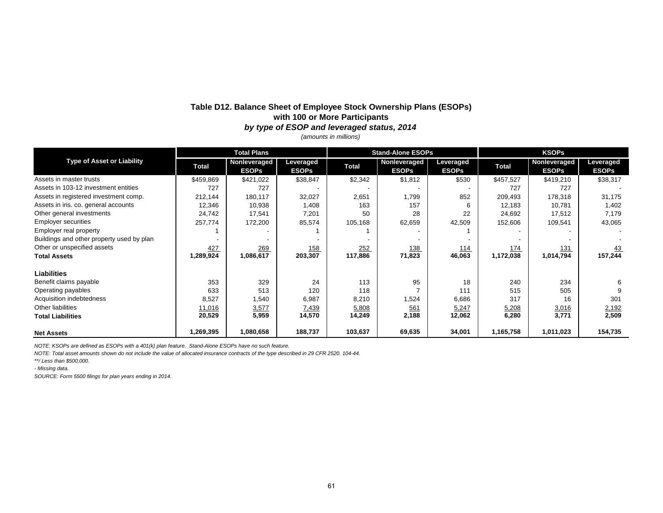#### **Table D12. Balance Sheet of Employee Stock Ownership Plans (ESOPs) with 100 or More Participants** *by type of ESOP and leveraged status, 2014*

*(amounts in millions)*

|                                           |              | <b>Total Plans</b>           |                           |              | <b>Stand-Alone ESOPs</b>     |                           | <b>KSOPs</b> |                                     |                           |
|-------------------------------------------|--------------|------------------------------|---------------------------|--------------|------------------------------|---------------------------|--------------|-------------------------------------|---------------------------|
| <b>Type of Asset or Liability</b>         | <b>Total</b> | Nonleveraged<br><b>ESOPs</b> | Leveraged<br><b>ESOPs</b> | <b>Total</b> | Nonleveraged<br><b>ESOPs</b> | Leveraged<br><b>ESOPs</b> | <b>Total</b> | <b>Nonleveraged</b><br><b>ESOPs</b> | Leveraged<br><b>ESOPs</b> |
| Assets in master trusts                   | \$459,869    | \$421,022                    | \$38,847                  | \$2,342      | \$1,812                      | \$530                     | \$457,527    | \$419,210                           | \$38,317                  |
| Assets in 103-12 investment entities      | 727          | 727                          |                           |              |                              |                           | 727          | 727                                 |                           |
| Assets in registered investment comp.     | 212,144      | 180,117                      | 32,027                    | 2,651        | 1,799                        | 852                       | 209,493      | 178,318                             | 31,175                    |
| Assets in ins. co. general accounts       | 12,346       | 10,938                       | 1,408                     | 163          | 157                          | 6                         | 12,183       | 10,781                              | 1,402                     |
| Other general investments                 | 24,742       | 17,541                       | 7,201                     | 50           | 28                           | 22                        | 24,692       | 17,512                              | 7,179                     |
| <b>Employer securities</b>                | 257,774      | 172,200                      | 85,574                    | 105,168      | 62,659                       | 42,509                    | 152,606      | 109,541                             | 43,065                    |
| Employer real property                    |              |                              |                           |              | $\overline{\phantom{a}}$     |                           |              |                                     |                           |
| Buildings and other property used by plan |              |                              |                           |              |                              |                           |              |                                     |                           |
| Other or unspecified assets               | 427          | 269                          | <u>158</u>                | 252          | <u>138</u>                   | <u>114</u>                | <u>174</u>   | <u>131</u>                          | <u>43</u>                 |
| <b>Total Assets</b>                       | 1,289,924    | 1,086,617                    | 203,307                   | 117,886      | 71,823                       | 46,063                    | 1,172,038    | 1,014,794                           | 157,244                   |
| <b>Liabilities</b>                        |              |                              |                           |              |                              |                           |              |                                     |                           |
| Benefit claims payable                    | 353          | 329                          | 24                        | 113          | 95                           | 18                        | 240          | 234                                 |                           |
| Operating payables                        | 633          | 513                          | 120                       | 118          |                              | 111                       | 515          | 505                                 |                           |
| Acquisition indebtedness                  | 8,527        | 1,540                        | 6,987                     | 8,210        | 1,524                        | 6,686                     | 317          | 16                                  | 301                       |
| Other liabilities                         | 11,016       | 3,577                        | 7,439                     | 5,808        | 561                          | 5,247                     | 5,208        | 3,016                               | 2,192                     |
| <b>Total Liabilities</b>                  | 20,529       | 5,959                        | 14,570                    | 14,249       | 2,188                        | 12,062                    | 6,280        | 3,771                               | 2,509                     |
| <b>Net Assets</b>                         | 1,269,395    | 1,080,658                    | 188,737                   | 103,637      | 69,635                       | 34,001                    | 1,165,758    | 1,011,023                           | 154,735                   |

*NOTE: KSOPs are defined as ESOPs with a 401(k) plan feature. Stand-Alone ESOPs have no such feature.*

*NOTE: Total asset amounts shown do not include the value of allocated insurance contracts of the type described in 29 CFR 2520. 104-44.*

*\*\*/ Less than \$500,000.*

*- Missing data.*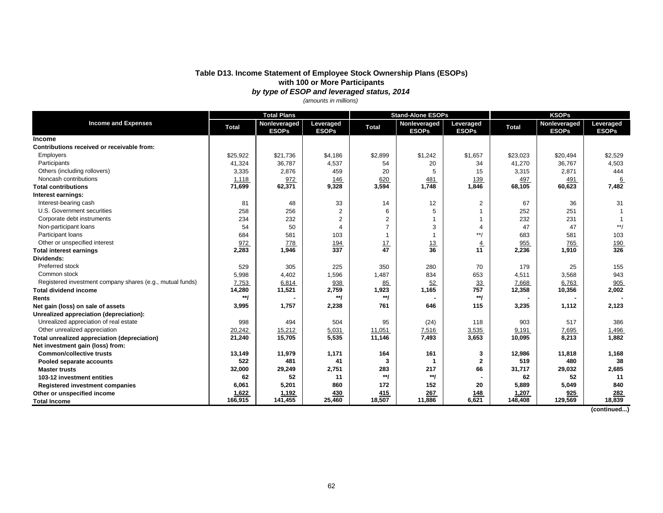#### **Table D13. Income Statement of Employee Stock Ownership Plans (ESOPs) with 100 or More Participants** *by type of ESOP and leveraged status, 2014*

*(amounts in millions)*

|                                                           | <b>Total Plans</b> |                              |                           | <b>Stand-Alone ESOPs</b> |                              |                           | <b>KSOPs</b> |                              |                           |
|-----------------------------------------------------------|--------------------|------------------------------|---------------------------|--------------------------|------------------------------|---------------------------|--------------|------------------------------|---------------------------|
| <b>Income and Expenses</b>                                | <b>Total</b>       | Nonleveraged<br><b>ESOPs</b> | Leveraged<br><b>ESOPs</b> | <b>Total</b>             | Nonleveraged<br><b>ESOPs</b> | Leveraged<br><b>ESOPs</b> | <b>Total</b> | Nonleveraged<br><b>ESOPs</b> | Leveraged<br><b>ESOPs</b> |
| <b>Income</b>                                             |                    |                              |                           |                          |                              |                           |              |                              |                           |
| Contributions received or receivable from:                |                    |                              |                           |                          |                              |                           |              |                              |                           |
| Employers                                                 | \$25,922           | \$21,736                     | \$4,186                   | \$2,899                  | \$1,242                      | \$1,657                   | \$23,023     | \$20,494                     | \$2,529                   |
| Participants                                              | 41,324             | 36,787                       | 4,537                     | 54                       | 20                           | 34                        | 41,270       | 36,767                       | 4,503                     |
| Others (including rollovers)                              | 3,335              | 2,876                        | 459                       | 20                       | 5                            | 15                        | 3,315        | 2,871                        | 444                       |
| Noncash contributions                                     | 1,118              | 972                          | 146                       | 620                      | 481                          | 139                       | 497          | 491                          | 6                         |
| <b>Total contributions</b>                                | 71,699             | 62,371                       | 9,328                     | 3,594                    | 1,748                        | 1,846                     | 68,105       | 60,623                       | 7,482                     |
| Interest earnings:                                        |                    |                              |                           |                          |                              |                           |              |                              |                           |
| Interest-bearing cash                                     | 81                 | 48                           | 33                        | 14                       | 12                           | $\overline{2}$            | 67           | 36                           | 31                        |
| U.S. Government securities                                | 258                | 256                          | $\overline{2}$            | 6                        | 5                            | $\mathbf 1$               | 252          | 251                          |                           |
| Corporate debt instruments                                | 234                | 232                          | $\overline{2}$            | 2                        | 1                            | $\mathbf 1$               | 232          | 231                          |                           |
| Non-participant loans                                     | 54                 | 50                           | $\overline{4}$            | $\overline{7}$           | 3                            | $\overline{4}$            | 47           | 47                           | $**/$                     |
| Participant loans                                         | 684                | 581                          | 103                       |                          | 1                            | $**/$                     | 683          | 581                          | 103                       |
| Other or unspecified interest                             | 972                | 778                          | <u>194</u>                | $\frac{17}{47}$          | $\frac{13}{36}$              | $\overline{4}$            | 955          | 765                          | $\frac{190}{326}$         |
| <b>Total interest earnings</b>                            | 2,283              | 1,946                        | $\overline{337}$          |                          |                              | 11                        | 2,236        | 1,910                        |                           |
| Dividends:                                                |                    |                              |                           |                          |                              |                           |              |                              |                           |
| Preferred stock                                           | 529                | 305                          | 225                       | 350                      | 280                          | 70                        | 179          | 25                           | 155                       |
| Common stock                                              | 5,998              | 4,402                        | 1,596                     | 1,487                    | 834                          | 653                       | 4,511        | 3,568                        | 943                       |
| Registered investment company shares (e.g., mutual funds) | 7,753              | 6,814                        | 938                       | 85                       | 52                           | 33                        | 7,668        | 6,763                        | 905                       |
| <b>Total dividend income</b>                              | 14,280             | 11,521                       | 2,759                     | 1,923                    | 1,165                        | 757                       | 12,358       | 10,356                       | 2,002                     |
| <b>Rents</b>                                              | $**$               |                              | $^{\ast\ast}$ /           | $*$                      |                              | **/                       |              |                              |                           |
| Net gain (loss) on sale of assets                         | 3,995              | 1,757                        | 2,238                     | 761                      | 646                          | 115                       | 3,235        | 1,112                        | 2,123                     |
| Unrealized appreciation (depreciation):                   |                    |                              |                           |                          |                              |                           |              |                              |                           |
| Unrealized appreciation of real estate                    | 998                | 494                          | 504                       | 95                       | (24)                         | 118                       | 903          | 517                          | 386                       |
| Other unrealized appreciation                             | 20,242             | 15,212                       | 5,031                     | 11,051                   | 7,516                        | 3,535                     | 9,191        | 7,695                        | 1,496                     |
| Total unrealized appreciation (depreciation)              | 21,240             | 15,705                       | 5,535                     | 11,146                   | 7,493                        | 3,653                     | 10,095       | 8,213                        | 1,882                     |
| Net investment gain (loss) from:                          |                    |                              |                           |                          |                              |                           |              |                              |                           |
| <b>Common/collective trusts</b>                           | 13,149             | 11,979                       | 1,171                     | 164                      | 161                          | 3                         | 12,986       | 11,818                       | 1,168                     |
| Pooled separate accounts                                  | 522                | 481                          | 41                        | 3                        | 1                            | $\mathbf 2$               | 519          | 480                          | 38                        |
| <b>Master trusts</b>                                      | 32,000             | 29,249                       | 2,751                     | 283                      | 217                          | 66                        | 31,717       | 29,032                       | 2,685                     |
| 103-12 investment entities                                | 62                 | 52                           | 11                        | $*$                      | **/                          |                           | 62           | 52                           | 11                        |
| Registered investment companies                           | 6,061              | 5,201                        | 860                       | 172                      | 152                          | 20                        | 5,889        | 5,049                        | 840                       |
| Other or unspecified income                               | 1,622              | 1,192                        | 430                       | 415                      | 267                          | 148                       | 1,207        | 925                          | 282                       |
| <b>Total Income</b>                                       | 166.915            | 141,455                      | 25,460                    | 18,507                   | 11,886                       | 6,621                     | 148,408      | 129,569                      | 18,839                    |

 **(continued...)**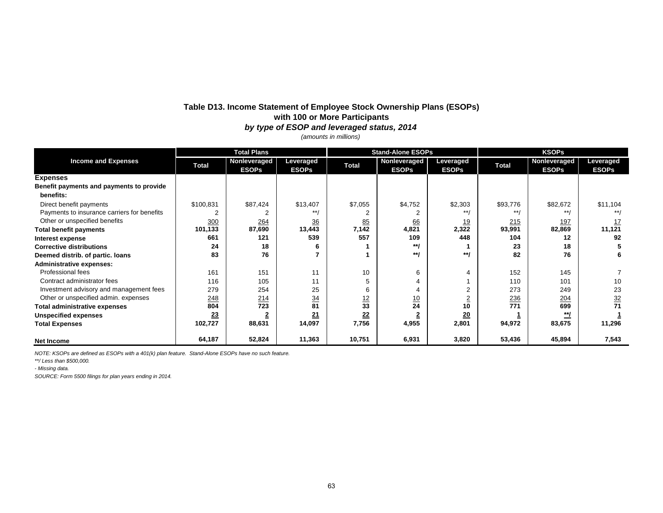#### **Table D13. Income Statement of Employee Stock Ownership Plans (ESOPs) with 100 or More Participants** *by type of ESOP and leveraged status, 2014*

*(amounts in millions)*

|                                             | <b>Total Plans</b> |                              |                           |                 | <b>Stand-Alone ESOPs</b>     |                           | <b>KSOPs</b> |                              |                           |
|---------------------------------------------|--------------------|------------------------------|---------------------------|-----------------|------------------------------|---------------------------|--------------|------------------------------|---------------------------|
| <b>Income and Expenses</b>                  | <b>Total</b>       | Nonleveraged<br><b>ESOPs</b> | Leveraged<br><b>ESOPs</b> | <b>Total</b>    | Nonleveraged<br><b>ESOPs</b> | Leveraged<br><b>ESOPs</b> | <b>Total</b> | Nonleveraged<br><b>ESOPs</b> | Leveraged<br><b>ESOPs</b> |
| <b>Expenses</b>                             |                    |                              |                           |                 |                              |                           |              |                              |                           |
| Benefit payments and payments to provide    |                    |                              |                           |                 |                              |                           |              |                              |                           |
| benefits:                                   |                    |                              |                           |                 |                              |                           |              |                              |                           |
| Direct benefit payments                     | \$100,831          | \$87,424                     | \$13,407                  | \$7,055         | \$4,752                      | \$2,303                   | \$93,776     | \$82,672                     | \$11,104                  |
| Payments to insurance carriers for benefits |                    |                              | $***$                     |                 |                              | $***/$                    | $***$        | $* * 1$                      | $***/$                    |
| Other or unspecified benefits               | 300                | 264                          | 36                        | 85              | 66                           | <u>19</u>                 | 215          | 197                          | <u> 17</u>                |
| <b>Total benefit payments</b>               | 101,133            | 87,690                       | 13,443                    | 7,142           | 4,821                        | 2,322                     | 93,991       | 82,869                       | 11,121                    |
| Interest expense                            | 661                | 121                          | 539                       | 557             | 109                          | 448                       | 104          | 12                           | 92                        |
| <b>Corrective distributions</b>             | 24                 | 18                           |                           |                 | **/                          |                           | 23           | 18                           |                           |
| Deemed distrib. of partic. Ioans            | 83                 | 76                           |                           |                 | **/                          | $**1$                     | 82           | 76                           | 6                         |
| <b>Administrative expenses:</b>             |                    |                              |                           |                 |                              |                           |              |                              |                           |
| Professional fees                           | 161                | 151                          | 11                        | 10              | 6                            | 4                         | 152          | 145                          |                           |
| Contract administrator fees                 | 116                | 105                          | 11                        |                 | 4                            |                           | 110          | 101                          | 10                        |
| Investment advisory and management fees     | 279                | 254                          | 25                        | 6               | $\overline{4}$               | $\overline{2}$            | 273          | 249                          | 23                        |
| Other or unspecified admin. expenses        | 248                | 214                          | 34                        | $\frac{12}{33}$ | <u>10</u>                    | ∠                         | 236          | 204                          | <u>32</u>                 |
| <b>Total administrative expenses</b>        | 804                | 723                          | 81                        |                 | 24                           | 10                        | 771          | 699                          | 71                        |
| <b>Unspecified expenses</b>                 | 23                 |                              | 21                        | 22              |                              | 20                        |              | <u>**/</u>                   |                           |
| <b>Total Expenses</b>                       | 102,727            | 88,631                       | 14,097                    | 7,756           | 4,955                        | 2,801                     | 94,972       | 83,675                       | 11,296                    |
| <b>Net Income</b>                           | 64,187             | 52,824                       | 11,363                    | 10,751          | 6,931                        | 3,820                     | 53,436       | 45,894                       | 7,543                     |

*NOTE: KSOPs are defined as ESOPs with a 401(k) plan feature. Stand-Alone ESOPs have no such feature.*

*\*\*/ Less than \$500,000.*

*- Missing data.*